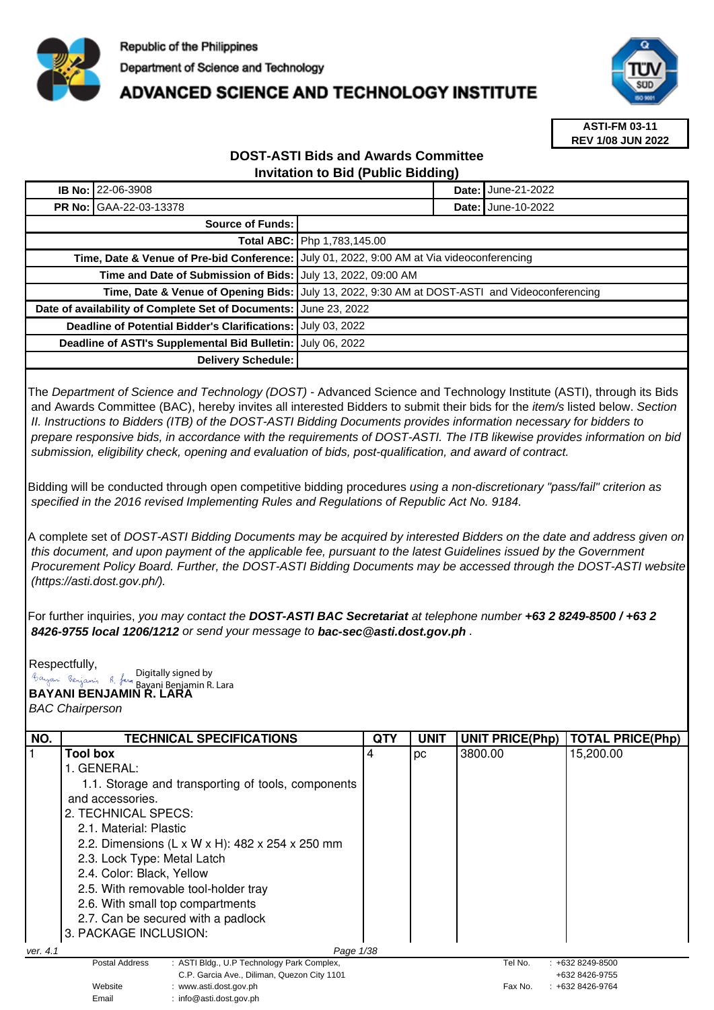

## **ADVANCED SCIENCE AND TECHNOLOGY INSTITUTE**



**ASTI-FM 03-11 REV 1/08 JUN 2022**

## **DOST-ASTI Bids and Awards Committee Invitation to Bid (Public Bidding)**

| <b>IB No: 22-06-3908</b>                                         |                    |                                                                                               | <b>Date: June-21-2022</b> |  |  |
|------------------------------------------------------------------|--------------------|-----------------------------------------------------------------------------------------------|---------------------------|--|--|
| <b>PR No: GAA-22-03-13378</b>                                    |                    | Date: I                                                                                       | June-10-2022              |  |  |
| <b>Source of Funds:</b>                                          |                    |                                                                                               |                           |  |  |
|                                                                  |                    | <b>Total ABC:   Php 1,783,145.00</b>                                                          |                           |  |  |
|                                                                  |                    | Time, Date & Venue of Pre-bid Conference:   July 01, 2022, 9:00 AM at Via videoconferencing   |                           |  |  |
| Time and Date of Submission of Bids: July 13, 2022, 09:00 AM     |                    |                                                                                               |                           |  |  |
|                                                                  |                    | Time, Date & Venue of Opening Bids: July 13, 2022, 9:30 AM at DOST-ASTI and Videoconferencing |                           |  |  |
| Date of availability of Complete Set of Documents: June 23, 2022 |                    |                                                                                               |                           |  |  |
| <b>Deadline of Potential Bidder's Clarifications:</b>            |                    | July 03, 2022                                                                                 |                           |  |  |
| Deadline of ASTI's Supplemental Bid Bulletin:                    |                    | July 06, 2022                                                                                 |                           |  |  |
|                                                                  | Delivery Schedule: |                                                                                               |                           |  |  |

The Department of Science and Technology (DOST) - Advanced Science and Technology Institute (ASTI), through its Bids and Awards Committee (BAC), hereby invites all interested Bidders to submit their bids for the *item/s* listed below. Section II. Instructions to Bidders (ITB) of the DOST-ASTI Bidding Documents provides information necessary for bidders to prepare responsive bids, in accordance with the requirements of DOST-ASTI. The ITB likewise provides information on bid submission, eligibility check, opening and evaluation of bids, post-qualification, and award of contract.

Bidding will be conducted through open competitive bidding procedures using a non-discretionary "pass/fail" criterion as specified in the 2016 revised Implementing Rules and Regulations of Republic Act No. 9184.

A complete set of DOST-ASTI Bidding Documents may be acquired by interested Bidders on the date and address given on this document, and upon payment of the applicable fee, pursuant to the latest Guidelines issued by the Government Procurement Policy Board. Further, the DOST-ASTI Bidding Documents may be accessed through the DOST-ASTI website (https://asti.dost.gov.ph/).

For further inquiries, you may contact the **DOST-ASTI BAC Secretariat** at telephone number **+63 2 8249-8500 / +63 2 8426-9755 local 1206/1212** or send your message to **bac-sec@asti.dost.gov.ph** .

Respectfully, **Bayani Benjamin R. Lara** Bayani Benjamin R. Lara Bayan: Penjamin R. fan Digitally signed by

Email : info@asti.dost.gov.ph

BAC Chairperson

| NO.      | <b>TECHNICAL SPECIFICATIONS</b>                                                                  | QTY | <b>UNIT</b> | <b>UNIT PRICE(Php)</b> | <b>TOTAL PRICE(Php)</b> |
|----------|--------------------------------------------------------------------------------------------------|-----|-------------|------------------------|-------------------------|
|          | <b>Tool box</b>                                                                                  | 4   | рc          | 3800.00                | 15,200.00               |
|          | 1. GENERAL:                                                                                      |     |             |                        |                         |
|          | 1.1. Storage and transporting of tools, components                                               |     |             |                        |                         |
|          | and accessories.                                                                                 |     |             |                        |                         |
|          | 2. TECHNICAL SPECS:                                                                              |     |             |                        |                         |
|          | 2.1. Material: Plastic                                                                           |     |             |                        |                         |
|          | 2.2. Dimensions (L x W x H): 482 x 254 x 250 mm                                                  |     |             |                        |                         |
|          | 2.3. Lock Type: Metal Latch<br>2.4. Color: Black, Yellow<br>2.5. With removable tool-holder tray |     |             |                        |                         |
|          |                                                                                                  |     |             |                        |                         |
|          |                                                                                                  |     |             |                        |                         |
|          | 2.6. With small top compartments                                                                 |     |             |                        |                         |
|          | 2.7. Can be secured with a padlock                                                               |     |             |                        |                         |
|          | 3. PACKAGE INCLUSION:                                                                            |     |             |                        |                         |
| ver. 4.1 | Page 1/38                                                                                        |     |             |                        |                         |
|          | : ASTI Bldg., U.P Technology Park Complex,<br>Postal Address                                     |     |             | Tel No.                | $: +6328249 - 8500$     |
|          | C.P. Garcia Ave., Diliman, Quezon City 1101                                                      |     |             |                        | +632 8426-9755          |
|          | Website<br>: www.asti.dost.gov.ph                                                                |     |             | Fax No.                | $: +6328426-9764$       |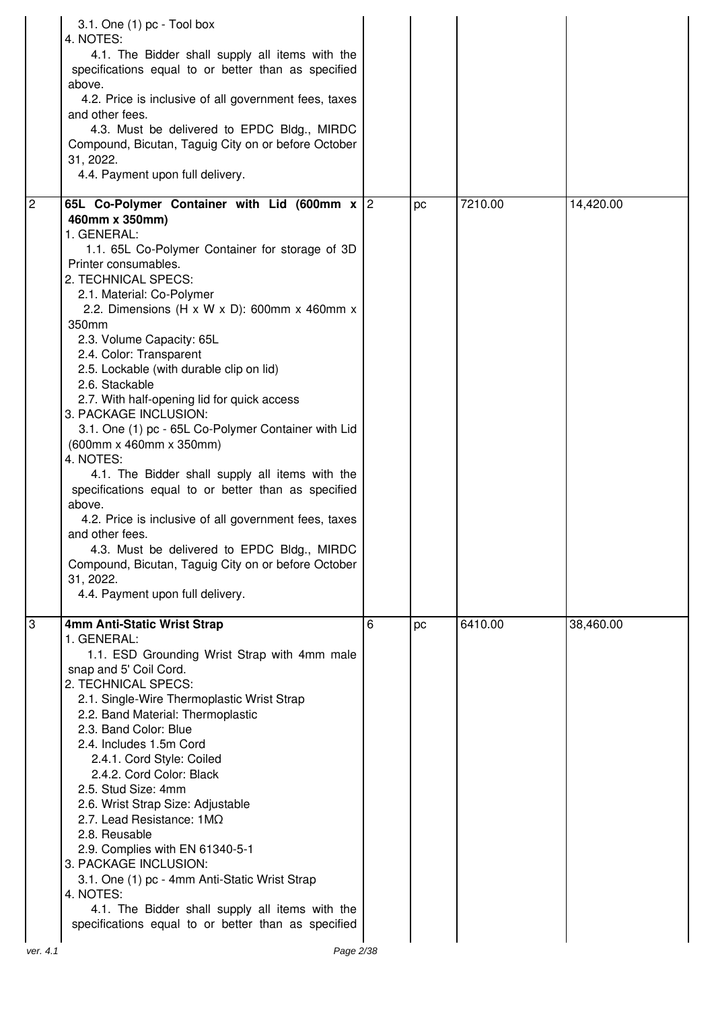|                | 3.1. One $(1)$ pc - Tool box<br>4. NOTES:<br>4.1. The Bidder shall supply all items with the<br>specifications equal to or better than as specified<br>above.<br>4.2. Price is inclusive of all government fees, taxes<br>and other fees.<br>4.3. Must be delivered to EPDC Bldg., MIRDC<br>Compound, Bicutan, Taguig City on or before October<br>31, 2022.<br>4.4. Payment upon full delivery.                                                                                                                                                                                                                                                                                                                                                                                                                                                                                                                          |   |    |         |           |
|----------------|---------------------------------------------------------------------------------------------------------------------------------------------------------------------------------------------------------------------------------------------------------------------------------------------------------------------------------------------------------------------------------------------------------------------------------------------------------------------------------------------------------------------------------------------------------------------------------------------------------------------------------------------------------------------------------------------------------------------------------------------------------------------------------------------------------------------------------------------------------------------------------------------------------------------------|---|----|---------|-----------|
| $\overline{c}$ | 65L Co-Polymer Container with Lid (600mm x 2<br>460mm x 350mm)<br>1. GENERAL:<br>1.1. 65L Co-Polymer Container for storage of 3D<br>Printer consumables.<br>2. TECHNICAL SPECS:<br>2.1. Material: Co-Polymer<br>2.2. Dimensions (H x W x D): 600mm x 460mm x<br>350mm<br>2.3. Volume Capacity: 65L<br>2.4. Color: Transparent<br>2.5. Lockable (with durable clip on lid)<br>2.6. Stackable<br>2.7. With half-opening lid for quick access<br>3. PACKAGE INCLUSION:<br>3.1. One (1) pc - 65L Co-Polymer Container with Lid<br>(600mm x 460mm x 350mm)<br>4. NOTES:<br>4.1. The Bidder shall supply all items with the<br>specifications equal to or better than as specified<br>above.<br>4.2. Price is inclusive of all government fees, taxes<br>and other fees.<br>4.3. Must be delivered to EPDC Bldg., MIRDC<br>Compound, Bicutan, Taguig City on or before October<br>31, 2022.<br>4.4. Payment upon full delivery. |   | pc | 7210.00 | 14,420.00 |
| 3<br>ver. 4.1  | 4mm Anti-Static Wrist Strap<br>1. GENERAL:<br>1.1. ESD Grounding Wrist Strap with 4mm male<br>snap and 5' Coil Cord.<br>2. TECHNICAL SPECS:<br>2.1. Single-Wire Thermoplastic Wrist Strap<br>2.2. Band Material: Thermoplastic<br>2.3. Band Color: Blue<br>2.4. Includes 1.5m Cord<br>2.4.1. Cord Style: Coiled<br>2.4.2. Cord Color: Black<br>2.5. Stud Size: 4mm<br>2.6. Wrist Strap Size: Adjustable<br>2.7. Lead Resistance: $1M\Omega$<br>2.8. Reusable<br>2.9. Complies with EN 61340-5-1<br>3. PACKAGE INCLUSION:<br>3.1. One (1) pc - 4mm Anti-Static Wrist Strap<br>4. NOTES:<br>4.1. The Bidder shall supply all items with the<br>specifications equal to or better than as specified<br>Page 2/38                                                                                                                                                                                                             | 6 | pc | 6410.00 | 38,460.00 |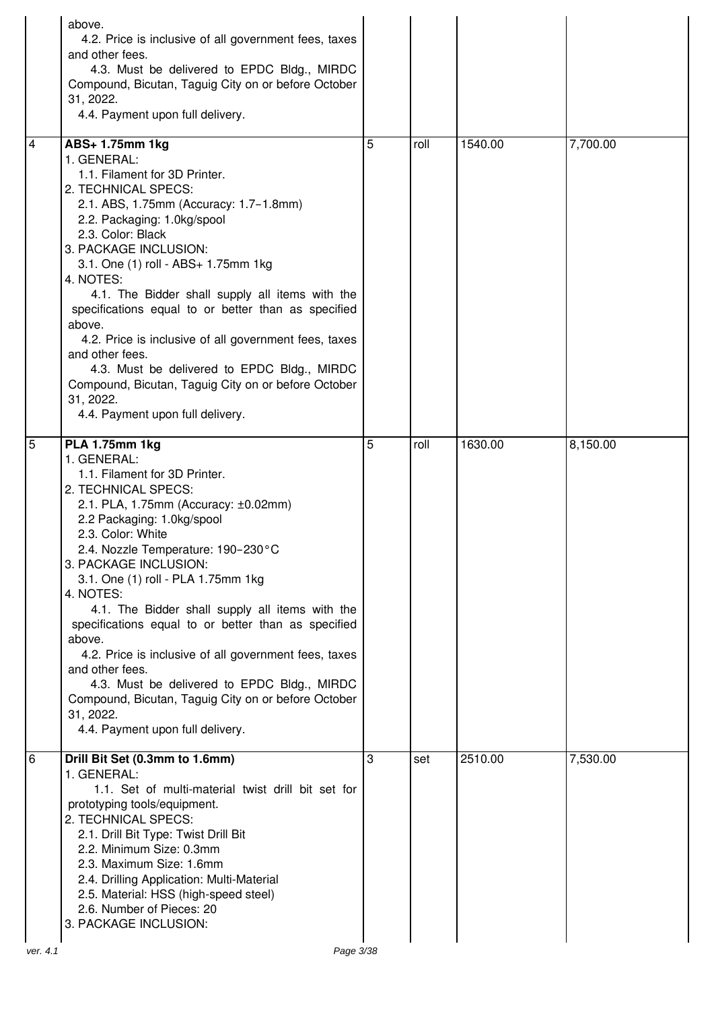|                | above.<br>4.2. Price is inclusive of all government fees, taxes<br>and other fees.<br>4.3. Must be delivered to EPDC Bldg., MIRDC<br>Compound, Bicutan, Taguig City on or before October<br>31, 2022.<br>4.4. Payment upon full delivery.                                                                                                                                                                                                                                                                                                                                                                                                                        |   |      |         |          |
|----------------|------------------------------------------------------------------------------------------------------------------------------------------------------------------------------------------------------------------------------------------------------------------------------------------------------------------------------------------------------------------------------------------------------------------------------------------------------------------------------------------------------------------------------------------------------------------------------------------------------------------------------------------------------------------|---|------|---------|----------|
| $\overline{4}$ | ABS+ 1.75mm 1kg<br>1. GENERAL:<br>1.1. Filament for 3D Printer.<br>2. TECHNICAL SPECS:<br>2.1. ABS, 1.75mm (Accuracy: 1.7-1.8mm)<br>2.2. Packaging: 1.0kg/spool<br>2.3. Color: Black<br>3. PACKAGE INCLUSION:<br>3.1. One (1) roll - ABS+ 1.75mm 1kg<br>4. NOTES:<br>4.1. The Bidder shall supply all items with the<br>specifications equal to or better than as specified<br>above.<br>4.2. Price is inclusive of all government fees, taxes<br>and other fees.<br>4.3. Must be delivered to EPDC Bldg., MIRDC<br>Compound, Bicutan, Taguig City on or before October<br>31, 2022.<br>4.4. Payment upon full delivery.                                         | 5 | roll | 1540.00 | 7,700.00 |
| 5              | <b>PLA 1.75mm 1kg</b><br>1. GENERAL:<br>1.1. Filament for 3D Printer.<br>2. TECHNICAL SPECS:<br>2.1. PLA, 1.75mm (Accuracy: ±0.02mm)<br>2.2 Packaging: 1.0kg/spool<br>2.3. Color: White<br>2.4. Nozzle Temperature: 190-230°C<br>3. PACKAGE INCLUSION:<br>3.1. One (1) roll - PLA 1.75mm 1kg<br>4. NOTES:<br>4.1. The Bidder shall supply all items with the<br>specifications equal to or better than as specified<br>above.<br>4.2. Price is inclusive of all government fees, taxes<br>and other fees.<br>4.3. Must be delivered to EPDC Bldg., MIRDC<br>Compound, Bicutan, Taguig City on or before October<br>31, 2022.<br>4.4. Payment upon full delivery. | 5 | roll | 1630.00 | 8,150.00 |
| 6              | Drill Bit Set (0.3mm to 1.6mm)<br>1. GENERAL:<br>1.1. Set of multi-material twist drill bit set for<br>prototyping tools/equipment.<br>2. TECHNICAL SPECS:<br>2.1. Drill Bit Type: Twist Drill Bit<br>2.2. Minimum Size: 0.3mm<br>2.3. Maximum Size: 1.6mm<br>2.4. Drilling Application: Multi-Material<br>2.5. Material: HSS (high-speed steel)<br>2.6. Number of Pieces: 20<br>3. PACKAGE INCLUSION:                                                                                                                                                                                                                                                           | 3 | set  | 2510.00 | 7,530.00 |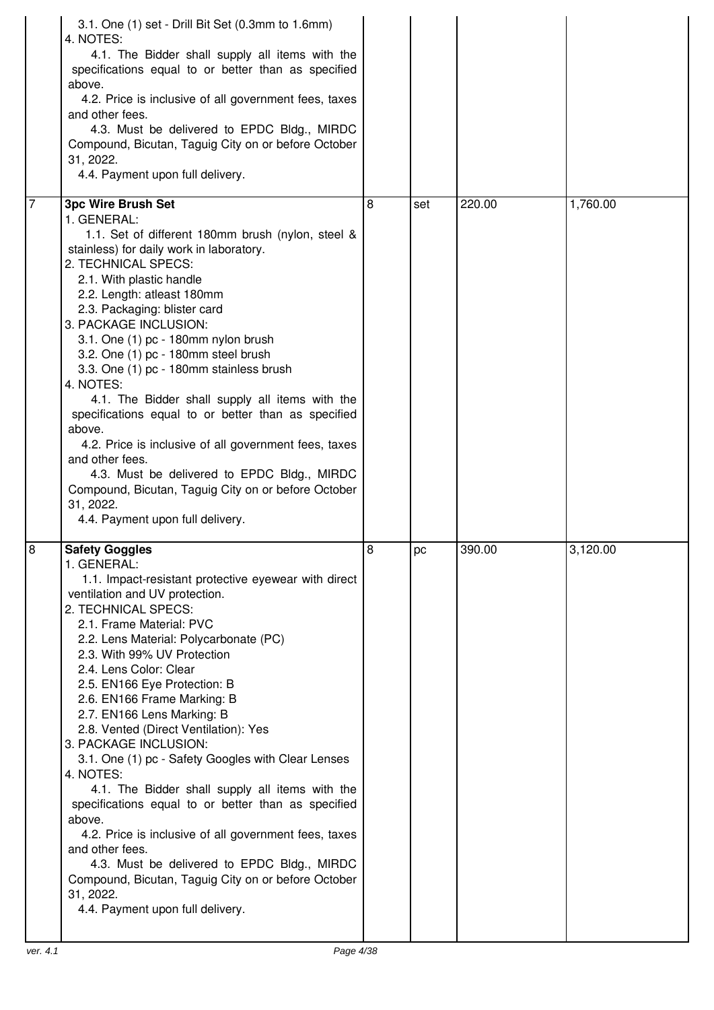|                | 3.1. One (1) set - Drill Bit Set (0.3mm to 1.6mm)<br>4. NOTES:<br>4.1. The Bidder shall supply all items with the<br>specifications equal to or better than as specified<br>above.<br>4.2. Price is inclusive of all government fees, taxes<br>and other fees.<br>4.3. Must be delivered to EPDC Bldg., MIRDC<br>Compound, Bicutan, Taguig City on or before October<br>31, 2022.<br>4.4. Payment upon full delivery.                                                                                                                                                                                                                                                                                                                                                                                                                                                         |   |     |        |          |
|----------------|-------------------------------------------------------------------------------------------------------------------------------------------------------------------------------------------------------------------------------------------------------------------------------------------------------------------------------------------------------------------------------------------------------------------------------------------------------------------------------------------------------------------------------------------------------------------------------------------------------------------------------------------------------------------------------------------------------------------------------------------------------------------------------------------------------------------------------------------------------------------------------|---|-----|--------|----------|
| $\overline{7}$ | <b>3pc Wire Brush Set</b>                                                                                                                                                                                                                                                                                                                                                                                                                                                                                                                                                                                                                                                                                                                                                                                                                                                     | 8 | set | 220.00 | 1,760.00 |
|                | 1. GENERAL:<br>1.1. Set of different 180mm brush (nylon, steel &<br>stainless) for daily work in laboratory.<br>2. TECHNICAL SPECS:<br>2.1. With plastic handle<br>2.2. Length: atleast 180mm<br>2.3. Packaging: blister card<br>3. PACKAGE INCLUSION:<br>3.1. One (1) pc - 180mm nylon brush<br>3.2. One (1) pc - 180mm steel brush<br>3.3. One (1) pc - 180mm stainless brush<br>4. NOTES:<br>4.1. The Bidder shall supply all items with the<br>specifications equal to or better than as specified<br>above.<br>4.2. Price is inclusive of all government fees, taxes<br>and other fees.<br>4.3. Must be delivered to EPDC Bldg., MIRDC<br>Compound, Bicutan, Taguig City on or before October<br>31, 2022.<br>4.4. Payment upon full delivery.                                                                                                                           |   |     |        |          |
| 8              | <b>Safety Goggles</b><br>1. GENERAL:<br>1.1. Impact-resistant protective eyewear with direct<br>ventilation and UV protection.<br>2. TECHNICAL SPECS:<br>2.1. Frame Material: PVC<br>2.2. Lens Material: Polycarbonate (PC)<br>2.3. With 99% UV Protection<br>2.4. Lens Color: Clear<br>2.5. EN166 Eye Protection: B<br>2.6. EN166 Frame Marking: B<br>2.7. EN166 Lens Marking: B<br>2.8. Vented (Direct Ventilation): Yes<br>3. PACKAGE INCLUSION:<br>3.1. One (1) pc - Safety Googles with Clear Lenses<br>4. NOTES:<br>4.1. The Bidder shall supply all items with the<br>specifications equal to or better than as specified<br>above.<br>4.2. Price is inclusive of all government fees, taxes<br>and other fees.<br>4.3. Must be delivered to EPDC Bldg., MIRDC<br>Compound, Bicutan, Taguig City on or before October<br>31, 2022.<br>4.4. Payment upon full delivery. | 8 | pc  | 390.00 | 3,120.00 |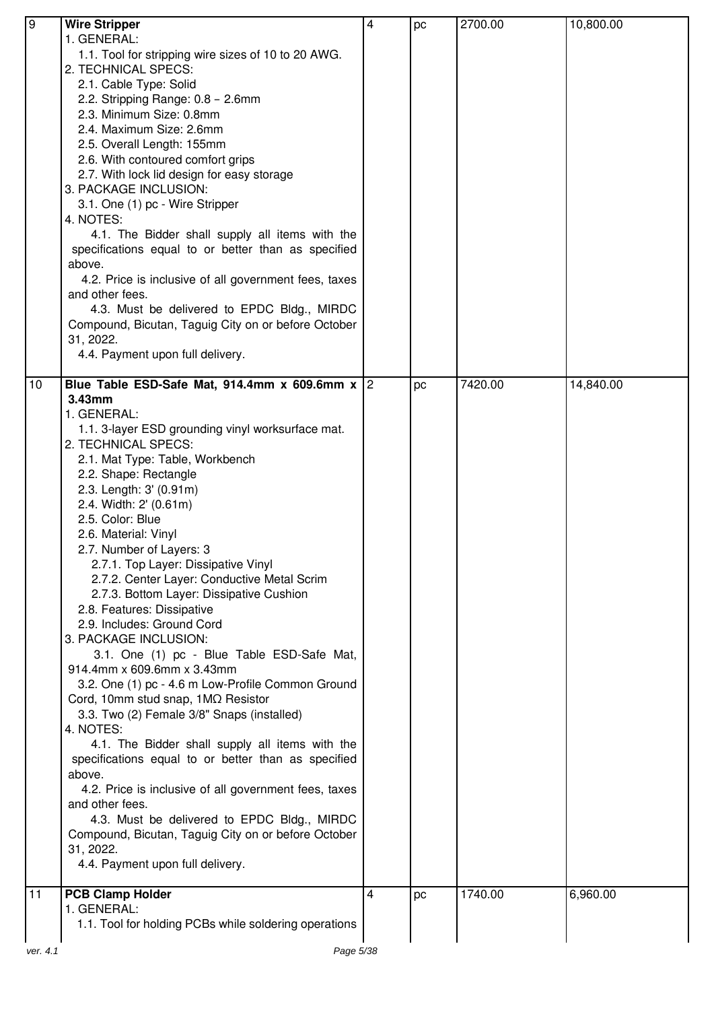| ७<br><b>Wire Stripper</b><br>2700.00<br>10,800.00<br>pc<br>1. GENERAL:<br>1.1. Tool for stripping wire sizes of 10 to 20 AWG.<br>2. TECHNICAL SPECS:<br>2.1. Cable Type: Solid<br>2.2. Stripping Range: 0.8 - 2.6mm<br>2.3. Minimum Size: 0.8mm<br>2.4. Maximum Size: 2.6mm<br>2.5. Overall Length: 155mm<br>2.6. With contoured comfort grips<br>2.7. With lock lid design for easy storage<br>3. PACKAGE INCLUSION:<br>3.1. One (1) pc - Wire Stripper<br>4. NOTES:<br>4.1. The Bidder shall supply all items with the<br>specifications equal to or better than as specified<br>above.<br>4.2. Price is inclusive of all government fees, taxes<br>and other fees.<br>4.3. Must be delivered to EPDC Bldg., MIRDC<br>Compound, Bicutan, Taguig City on or before October<br>31, 2022.<br>4.4. Payment upon full delivery.<br>10<br>Blue Table ESD-Safe Mat, 914.4mm x 609.6mm x $ 2 $<br>7420.00<br>14,840.00<br>pc<br>$3.43$ mm<br>1. GENERAL:<br>1.1. 3-layer ESD grounding vinyl worksurface mat.<br>2. TECHNICAL SPECS:<br>2.1. Mat Type: Table, Workbench<br>2.2. Shape: Rectangle<br>2.3. Length: 3' (0.91m)<br>2.4. Width: 2' (0.61m)<br>2.5. Color: Blue<br>2.6. Material: Vinyl<br>2.7. Number of Layers: 3<br>2.7.1. Top Layer: Dissipative Vinyl<br>2.7.2. Center Layer: Conductive Metal Scrim<br>2.7.3. Bottom Layer: Dissipative Cushion<br>2.8. Features: Dissipative<br>2.9. Includes: Ground Cord<br>3. PACKAGE INCLUSION:<br>3.1. One (1) pc - Blue Table ESD-Safe Mat,<br>914.4mm x 609.6mm x 3.43mm<br>3.2. One (1) pc - 4.6 m Low-Profile Common Ground<br>Cord, 10mm stud snap, 1MQ Resistor<br>3.3. Two (2) Female 3/8" Snaps (installed)<br>4. NOTES: |  |
|----------------------------------------------------------------------------------------------------------------------------------------------------------------------------------------------------------------------------------------------------------------------------------------------------------------------------------------------------------------------------------------------------------------------------------------------------------------------------------------------------------------------------------------------------------------------------------------------------------------------------------------------------------------------------------------------------------------------------------------------------------------------------------------------------------------------------------------------------------------------------------------------------------------------------------------------------------------------------------------------------------------------------------------------------------------------------------------------------------------------------------------------------------------------------------------------------------------------------------------------------------------------------------------------------------------------------------------------------------------------------------------------------------------------------------------------------------------------------------------------------------------------------------------------------------------------------------------------------------------------------------------------------------------------------------|--|
|                                                                                                                                                                                                                                                                                                                                                                                                                                                                                                                                                                                                                                                                                                                                                                                                                                                                                                                                                                                                                                                                                                                                                                                                                                                                                                                                                                                                                                                                                                                                                                                                                                                                                  |  |
|                                                                                                                                                                                                                                                                                                                                                                                                                                                                                                                                                                                                                                                                                                                                                                                                                                                                                                                                                                                                                                                                                                                                                                                                                                                                                                                                                                                                                                                                                                                                                                                                                                                                                  |  |
|                                                                                                                                                                                                                                                                                                                                                                                                                                                                                                                                                                                                                                                                                                                                                                                                                                                                                                                                                                                                                                                                                                                                                                                                                                                                                                                                                                                                                                                                                                                                                                                                                                                                                  |  |
|                                                                                                                                                                                                                                                                                                                                                                                                                                                                                                                                                                                                                                                                                                                                                                                                                                                                                                                                                                                                                                                                                                                                                                                                                                                                                                                                                                                                                                                                                                                                                                                                                                                                                  |  |
|                                                                                                                                                                                                                                                                                                                                                                                                                                                                                                                                                                                                                                                                                                                                                                                                                                                                                                                                                                                                                                                                                                                                                                                                                                                                                                                                                                                                                                                                                                                                                                                                                                                                                  |  |
|                                                                                                                                                                                                                                                                                                                                                                                                                                                                                                                                                                                                                                                                                                                                                                                                                                                                                                                                                                                                                                                                                                                                                                                                                                                                                                                                                                                                                                                                                                                                                                                                                                                                                  |  |
|                                                                                                                                                                                                                                                                                                                                                                                                                                                                                                                                                                                                                                                                                                                                                                                                                                                                                                                                                                                                                                                                                                                                                                                                                                                                                                                                                                                                                                                                                                                                                                                                                                                                                  |  |
|                                                                                                                                                                                                                                                                                                                                                                                                                                                                                                                                                                                                                                                                                                                                                                                                                                                                                                                                                                                                                                                                                                                                                                                                                                                                                                                                                                                                                                                                                                                                                                                                                                                                                  |  |
|                                                                                                                                                                                                                                                                                                                                                                                                                                                                                                                                                                                                                                                                                                                                                                                                                                                                                                                                                                                                                                                                                                                                                                                                                                                                                                                                                                                                                                                                                                                                                                                                                                                                                  |  |
|                                                                                                                                                                                                                                                                                                                                                                                                                                                                                                                                                                                                                                                                                                                                                                                                                                                                                                                                                                                                                                                                                                                                                                                                                                                                                                                                                                                                                                                                                                                                                                                                                                                                                  |  |
|                                                                                                                                                                                                                                                                                                                                                                                                                                                                                                                                                                                                                                                                                                                                                                                                                                                                                                                                                                                                                                                                                                                                                                                                                                                                                                                                                                                                                                                                                                                                                                                                                                                                                  |  |
|                                                                                                                                                                                                                                                                                                                                                                                                                                                                                                                                                                                                                                                                                                                                                                                                                                                                                                                                                                                                                                                                                                                                                                                                                                                                                                                                                                                                                                                                                                                                                                                                                                                                                  |  |
|                                                                                                                                                                                                                                                                                                                                                                                                                                                                                                                                                                                                                                                                                                                                                                                                                                                                                                                                                                                                                                                                                                                                                                                                                                                                                                                                                                                                                                                                                                                                                                                                                                                                                  |  |
|                                                                                                                                                                                                                                                                                                                                                                                                                                                                                                                                                                                                                                                                                                                                                                                                                                                                                                                                                                                                                                                                                                                                                                                                                                                                                                                                                                                                                                                                                                                                                                                                                                                                                  |  |
|                                                                                                                                                                                                                                                                                                                                                                                                                                                                                                                                                                                                                                                                                                                                                                                                                                                                                                                                                                                                                                                                                                                                                                                                                                                                                                                                                                                                                                                                                                                                                                                                                                                                                  |  |
|                                                                                                                                                                                                                                                                                                                                                                                                                                                                                                                                                                                                                                                                                                                                                                                                                                                                                                                                                                                                                                                                                                                                                                                                                                                                                                                                                                                                                                                                                                                                                                                                                                                                                  |  |
|                                                                                                                                                                                                                                                                                                                                                                                                                                                                                                                                                                                                                                                                                                                                                                                                                                                                                                                                                                                                                                                                                                                                                                                                                                                                                                                                                                                                                                                                                                                                                                                                                                                                                  |  |
|                                                                                                                                                                                                                                                                                                                                                                                                                                                                                                                                                                                                                                                                                                                                                                                                                                                                                                                                                                                                                                                                                                                                                                                                                                                                                                                                                                                                                                                                                                                                                                                                                                                                                  |  |
|                                                                                                                                                                                                                                                                                                                                                                                                                                                                                                                                                                                                                                                                                                                                                                                                                                                                                                                                                                                                                                                                                                                                                                                                                                                                                                                                                                                                                                                                                                                                                                                                                                                                                  |  |
|                                                                                                                                                                                                                                                                                                                                                                                                                                                                                                                                                                                                                                                                                                                                                                                                                                                                                                                                                                                                                                                                                                                                                                                                                                                                                                                                                                                                                                                                                                                                                                                                                                                                                  |  |
|                                                                                                                                                                                                                                                                                                                                                                                                                                                                                                                                                                                                                                                                                                                                                                                                                                                                                                                                                                                                                                                                                                                                                                                                                                                                                                                                                                                                                                                                                                                                                                                                                                                                                  |  |
|                                                                                                                                                                                                                                                                                                                                                                                                                                                                                                                                                                                                                                                                                                                                                                                                                                                                                                                                                                                                                                                                                                                                                                                                                                                                                                                                                                                                                                                                                                                                                                                                                                                                                  |  |
|                                                                                                                                                                                                                                                                                                                                                                                                                                                                                                                                                                                                                                                                                                                                                                                                                                                                                                                                                                                                                                                                                                                                                                                                                                                                                                                                                                                                                                                                                                                                                                                                                                                                                  |  |
|                                                                                                                                                                                                                                                                                                                                                                                                                                                                                                                                                                                                                                                                                                                                                                                                                                                                                                                                                                                                                                                                                                                                                                                                                                                                                                                                                                                                                                                                                                                                                                                                                                                                                  |  |
|                                                                                                                                                                                                                                                                                                                                                                                                                                                                                                                                                                                                                                                                                                                                                                                                                                                                                                                                                                                                                                                                                                                                                                                                                                                                                                                                                                                                                                                                                                                                                                                                                                                                                  |  |
|                                                                                                                                                                                                                                                                                                                                                                                                                                                                                                                                                                                                                                                                                                                                                                                                                                                                                                                                                                                                                                                                                                                                                                                                                                                                                                                                                                                                                                                                                                                                                                                                                                                                                  |  |
|                                                                                                                                                                                                                                                                                                                                                                                                                                                                                                                                                                                                                                                                                                                                                                                                                                                                                                                                                                                                                                                                                                                                                                                                                                                                                                                                                                                                                                                                                                                                                                                                                                                                                  |  |
|                                                                                                                                                                                                                                                                                                                                                                                                                                                                                                                                                                                                                                                                                                                                                                                                                                                                                                                                                                                                                                                                                                                                                                                                                                                                                                                                                                                                                                                                                                                                                                                                                                                                                  |  |
|                                                                                                                                                                                                                                                                                                                                                                                                                                                                                                                                                                                                                                                                                                                                                                                                                                                                                                                                                                                                                                                                                                                                                                                                                                                                                                                                                                                                                                                                                                                                                                                                                                                                                  |  |
|                                                                                                                                                                                                                                                                                                                                                                                                                                                                                                                                                                                                                                                                                                                                                                                                                                                                                                                                                                                                                                                                                                                                                                                                                                                                                                                                                                                                                                                                                                                                                                                                                                                                                  |  |
|                                                                                                                                                                                                                                                                                                                                                                                                                                                                                                                                                                                                                                                                                                                                                                                                                                                                                                                                                                                                                                                                                                                                                                                                                                                                                                                                                                                                                                                                                                                                                                                                                                                                                  |  |
|                                                                                                                                                                                                                                                                                                                                                                                                                                                                                                                                                                                                                                                                                                                                                                                                                                                                                                                                                                                                                                                                                                                                                                                                                                                                                                                                                                                                                                                                                                                                                                                                                                                                                  |  |
|                                                                                                                                                                                                                                                                                                                                                                                                                                                                                                                                                                                                                                                                                                                                                                                                                                                                                                                                                                                                                                                                                                                                                                                                                                                                                                                                                                                                                                                                                                                                                                                                                                                                                  |  |
|                                                                                                                                                                                                                                                                                                                                                                                                                                                                                                                                                                                                                                                                                                                                                                                                                                                                                                                                                                                                                                                                                                                                                                                                                                                                                                                                                                                                                                                                                                                                                                                                                                                                                  |  |
|                                                                                                                                                                                                                                                                                                                                                                                                                                                                                                                                                                                                                                                                                                                                                                                                                                                                                                                                                                                                                                                                                                                                                                                                                                                                                                                                                                                                                                                                                                                                                                                                                                                                                  |  |
|                                                                                                                                                                                                                                                                                                                                                                                                                                                                                                                                                                                                                                                                                                                                                                                                                                                                                                                                                                                                                                                                                                                                                                                                                                                                                                                                                                                                                                                                                                                                                                                                                                                                                  |  |
|                                                                                                                                                                                                                                                                                                                                                                                                                                                                                                                                                                                                                                                                                                                                                                                                                                                                                                                                                                                                                                                                                                                                                                                                                                                                                                                                                                                                                                                                                                                                                                                                                                                                                  |  |
|                                                                                                                                                                                                                                                                                                                                                                                                                                                                                                                                                                                                                                                                                                                                                                                                                                                                                                                                                                                                                                                                                                                                                                                                                                                                                                                                                                                                                                                                                                                                                                                                                                                                                  |  |
|                                                                                                                                                                                                                                                                                                                                                                                                                                                                                                                                                                                                                                                                                                                                                                                                                                                                                                                                                                                                                                                                                                                                                                                                                                                                                                                                                                                                                                                                                                                                                                                                                                                                                  |  |
|                                                                                                                                                                                                                                                                                                                                                                                                                                                                                                                                                                                                                                                                                                                                                                                                                                                                                                                                                                                                                                                                                                                                                                                                                                                                                                                                                                                                                                                                                                                                                                                                                                                                                  |  |
|                                                                                                                                                                                                                                                                                                                                                                                                                                                                                                                                                                                                                                                                                                                                                                                                                                                                                                                                                                                                                                                                                                                                                                                                                                                                                                                                                                                                                                                                                                                                                                                                                                                                                  |  |
|                                                                                                                                                                                                                                                                                                                                                                                                                                                                                                                                                                                                                                                                                                                                                                                                                                                                                                                                                                                                                                                                                                                                                                                                                                                                                                                                                                                                                                                                                                                                                                                                                                                                                  |  |
|                                                                                                                                                                                                                                                                                                                                                                                                                                                                                                                                                                                                                                                                                                                                                                                                                                                                                                                                                                                                                                                                                                                                                                                                                                                                                                                                                                                                                                                                                                                                                                                                                                                                                  |  |
|                                                                                                                                                                                                                                                                                                                                                                                                                                                                                                                                                                                                                                                                                                                                                                                                                                                                                                                                                                                                                                                                                                                                                                                                                                                                                                                                                                                                                                                                                                                                                                                                                                                                                  |  |
|                                                                                                                                                                                                                                                                                                                                                                                                                                                                                                                                                                                                                                                                                                                                                                                                                                                                                                                                                                                                                                                                                                                                                                                                                                                                                                                                                                                                                                                                                                                                                                                                                                                                                  |  |
|                                                                                                                                                                                                                                                                                                                                                                                                                                                                                                                                                                                                                                                                                                                                                                                                                                                                                                                                                                                                                                                                                                                                                                                                                                                                                                                                                                                                                                                                                                                                                                                                                                                                                  |  |
|                                                                                                                                                                                                                                                                                                                                                                                                                                                                                                                                                                                                                                                                                                                                                                                                                                                                                                                                                                                                                                                                                                                                                                                                                                                                                                                                                                                                                                                                                                                                                                                                                                                                                  |  |
|                                                                                                                                                                                                                                                                                                                                                                                                                                                                                                                                                                                                                                                                                                                                                                                                                                                                                                                                                                                                                                                                                                                                                                                                                                                                                                                                                                                                                                                                                                                                                                                                                                                                                  |  |
|                                                                                                                                                                                                                                                                                                                                                                                                                                                                                                                                                                                                                                                                                                                                                                                                                                                                                                                                                                                                                                                                                                                                                                                                                                                                                                                                                                                                                                                                                                                                                                                                                                                                                  |  |
|                                                                                                                                                                                                                                                                                                                                                                                                                                                                                                                                                                                                                                                                                                                                                                                                                                                                                                                                                                                                                                                                                                                                                                                                                                                                                                                                                                                                                                                                                                                                                                                                                                                                                  |  |
| 4.1. The Bidder shall supply all items with the                                                                                                                                                                                                                                                                                                                                                                                                                                                                                                                                                                                                                                                                                                                                                                                                                                                                                                                                                                                                                                                                                                                                                                                                                                                                                                                                                                                                                                                                                                                                                                                                                                  |  |
| specifications equal to or better than as specified                                                                                                                                                                                                                                                                                                                                                                                                                                                                                                                                                                                                                                                                                                                                                                                                                                                                                                                                                                                                                                                                                                                                                                                                                                                                                                                                                                                                                                                                                                                                                                                                                              |  |
| above.                                                                                                                                                                                                                                                                                                                                                                                                                                                                                                                                                                                                                                                                                                                                                                                                                                                                                                                                                                                                                                                                                                                                                                                                                                                                                                                                                                                                                                                                                                                                                                                                                                                                           |  |
| 4.2. Price is inclusive of all government fees, taxes                                                                                                                                                                                                                                                                                                                                                                                                                                                                                                                                                                                                                                                                                                                                                                                                                                                                                                                                                                                                                                                                                                                                                                                                                                                                                                                                                                                                                                                                                                                                                                                                                            |  |
| and other fees.                                                                                                                                                                                                                                                                                                                                                                                                                                                                                                                                                                                                                                                                                                                                                                                                                                                                                                                                                                                                                                                                                                                                                                                                                                                                                                                                                                                                                                                                                                                                                                                                                                                                  |  |
| 4.3. Must be delivered to EPDC Bldg., MIRDC                                                                                                                                                                                                                                                                                                                                                                                                                                                                                                                                                                                                                                                                                                                                                                                                                                                                                                                                                                                                                                                                                                                                                                                                                                                                                                                                                                                                                                                                                                                                                                                                                                      |  |
| Compound, Bicutan, Taguig City on or before October                                                                                                                                                                                                                                                                                                                                                                                                                                                                                                                                                                                                                                                                                                                                                                                                                                                                                                                                                                                                                                                                                                                                                                                                                                                                                                                                                                                                                                                                                                                                                                                                                              |  |
| 31, 2022.                                                                                                                                                                                                                                                                                                                                                                                                                                                                                                                                                                                                                                                                                                                                                                                                                                                                                                                                                                                                                                                                                                                                                                                                                                                                                                                                                                                                                                                                                                                                                                                                                                                                        |  |
| 4.4. Payment upon full delivery.                                                                                                                                                                                                                                                                                                                                                                                                                                                                                                                                                                                                                                                                                                                                                                                                                                                                                                                                                                                                                                                                                                                                                                                                                                                                                                                                                                                                                                                                                                                                                                                                                                                 |  |
|                                                                                                                                                                                                                                                                                                                                                                                                                                                                                                                                                                                                                                                                                                                                                                                                                                                                                                                                                                                                                                                                                                                                                                                                                                                                                                                                                                                                                                                                                                                                                                                                                                                                                  |  |
| <b>PCB Clamp Holder</b><br>11<br>1740.00<br>6,960.00<br>4<br>pc                                                                                                                                                                                                                                                                                                                                                                                                                                                                                                                                                                                                                                                                                                                                                                                                                                                                                                                                                                                                                                                                                                                                                                                                                                                                                                                                                                                                                                                                                                                                                                                                                  |  |
| 1. GENERAL:                                                                                                                                                                                                                                                                                                                                                                                                                                                                                                                                                                                                                                                                                                                                                                                                                                                                                                                                                                                                                                                                                                                                                                                                                                                                                                                                                                                                                                                                                                                                                                                                                                                                      |  |
| 1.1. Tool for holding PCBs while soldering operations                                                                                                                                                                                                                                                                                                                                                                                                                                                                                                                                                                                                                                                                                                                                                                                                                                                                                                                                                                                                                                                                                                                                                                                                                                                                                                                                                                                                                                                                                                                                                                                                                            |  |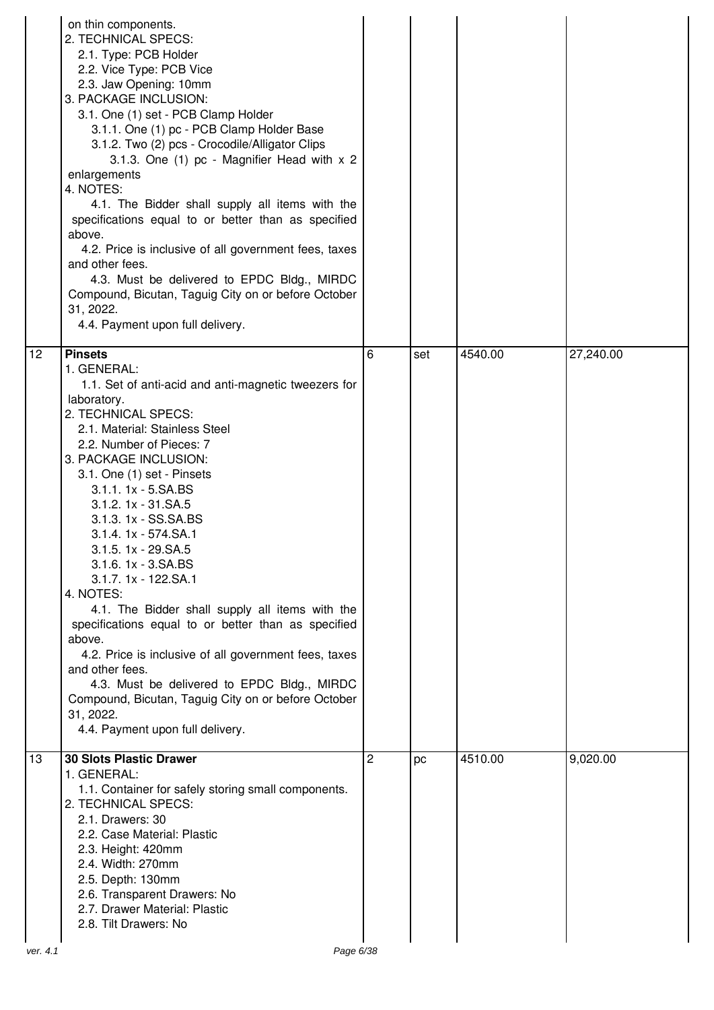| 12<br><b>Pinsets</b><br>4540.00<br>27,240.00<br>6<br>set                                                                                                                                                                                                                                                                                                                                                                                                                                                                                                                                                                                                                                                                                                                |
|-------------------------------------------------------------------------------------------------------------------------------------------------------------------------------------------------------------------------------------------------------------------------------------------------------------------------------------------------------------------------------------------------------------------------------------------------------------------------------------------------------------------------------------------------------------------------------------------------------------------------------------------------------------------------------------------------------------------------------------------------------------------------|
| 1. GENERAL:<br>1.1. Set of anti-acid and anti-magnetic tweezers for<br>laboratory.<br>2. TECHNICAL SPECS:<br>2.1. Material: Stainless Steel<br>2.2. Number of Pieces: 7<br>3. PACKAGE INCLUSION:<br>3.1. One (1) set - Pinsets<br>3.1.1. 1x - 5.SA.BS<br>3.1.2. 1x - 31.SA.5<br>3.1.3. 1x - SS.SA.BS<br>3.1.4. 1x - 574.SA.1<br>3.1.5. 1x - 29.SA.5<br>$3.1.6.1x - 3.SA.BS$<br>3.1.7. 1x - 122.SA.1<br>4. NOTES:<br>4.1. The Bidder shall supply all items with the<br>specifications equal to or better than as specified<br>above.<br>4.2. Price is inclusive of all government fees, taxes<br>and other fees.<br>4.3. Must be delivered to EPDC Bldg., MIRDC<br>Compound, Bicutan, Taguig City on or before October<br>31, 2022.<br>4.4. Payment upon full delivery. |
| <b>30 Slots Plastic Drawer</b><br>13<br>2<br>4510.00<br>9,020.00<br>pc<br>1. GENERAL:<br>1.1. Container for safely storing small components.<br>2. TECHNICAL SPECS:<br>2.1. Drawers: 30<br>2.2. Case Material: Plastic<br>2.3. Height: 420mm<br>2.4. Width: 270mm<br>2.5. Depth: 130mm<br>2.6. Transparent Drawers: No<br>2.7. Drawer Material: Plastic<br>2.8. Tilt Drawers: No<br>Page 6/38<br>ver. 4.1                                                                                                                                                                                                                                                                                                                                                               |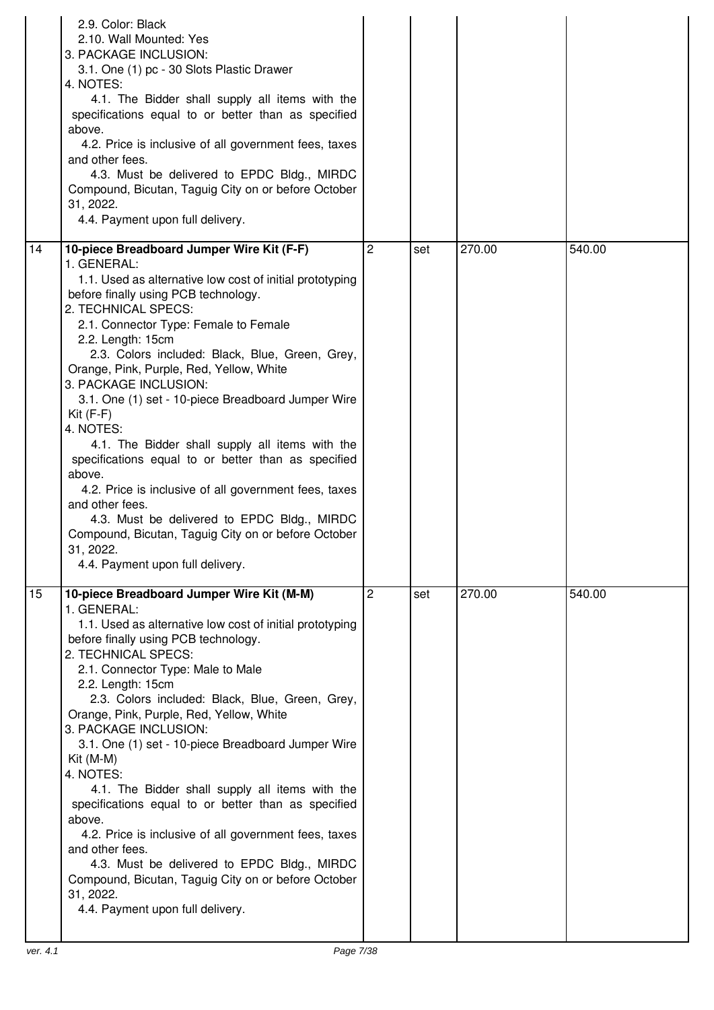|    | 2.9. Color: Black<br>2.10. Wall Mounted: Yes<br>3. PACKAGE INCLUSION:<br>3.1. One (1) pc - 30 Slots Plastic Drawer<br>4. NOTES:<br>4.1. The Bidder shall supply all items with the<br>specifications equal to or better than as specified<br>above.<br>4.2. Price is inclusive of all government fees, taxes<br>and other fees.<br>4.3. Must be delivered to EPDC Bldg., MIRDC<br>Compound, Bicutan, Taguig City on or before October<br>31, 2022.<br>4.4. Payment upon full delivery.                                                                                                                                                                                                                                                                                                                            |                |     |        |        |
|----|-------------------------------------------------------------------------------------------------------------------------------------------------------------------------------------------------------------------------------------------------------------------------------------------------------------------------------------------------------------------------------------------------------------------------------------------------------------------------------------------------------------------------------------------------------------------------------------------------------------------------------------------------------------------------------------------------------------------------------------------------------------------------------------------------------------------|----------------|-----|--------|--------|
| 14 | 10-piece Breadboard Jumper Wire Kit (F-F)<br>1. GENERAL:<br>1.1. Used as alternative low cost of initial prototyping<br>before finally using PCB technology.<br>2. TECHNICAL SPECS:<br>2.1. Connector Type: Female to Female<br>2.2. Length: 15cm<br>2.3. Colors included: Black, Blue, Green, Grey,<br>Orange, Pink, Purple, Red, Yellow, White<br>3. PACKAGE INCLUSION:<br>3.1. One (1) set - 10-piece Breadboard Jumper Wire<br>$Kit(F-F)$<br>4. NOTES:<br>4.1. The Bidder shall supply all items with the<br>specifications equal to or better than as specified<br>above.<br>4.2. Price is inclusive of all government fees, taxes<br>and other fees.<br>4.3. Must be delivered to EPDC Bldg., MIRDC<br>Compound, Bicutan, Taguig City on or before October<br>31, 2022.<br>4.4. Payment upon full delivery. | $\overline{2}$ | set | 270.00 | 540.00 |
| 15 | 10-piece Breadboard Jumper Wire Kit (M-M)<br>1. GENERAL:<br>1.1. Used as alternative low cost of initial prototyping<br>before finally using PCB technology.<br>2. TECHNICAL SPECS:<br>2.1. Connector Type: Male to Male<br>2.2. Length: 15cm<br>2.3. Colors included: Black, Blue, Green, Grey,<br>Orange, Pink, Purple, Red, Yellow, White<br>3. PACKAGE INCLUSION:<br>3.1. One (1) set - 10-piece Breadboard Jumper Wire<br>$Kit (M-M)$<br>4. NOTES:<br>4.1. The Bidder shall supply all items with the<br>specifications equal to or better than as specified<br>above.<br>4.2. Price is inclusive of all government fees, taxes<br>and other fees.<br>4.3. Must be delivered to EPDC Bldg., MIRDC<br>Compound, Bicutan, Taguig City on or before October<br>31, 2022.<br>4.4. Payment upon full delivery.    | $\overline{c}$ | set | 270.00 | 540.00 |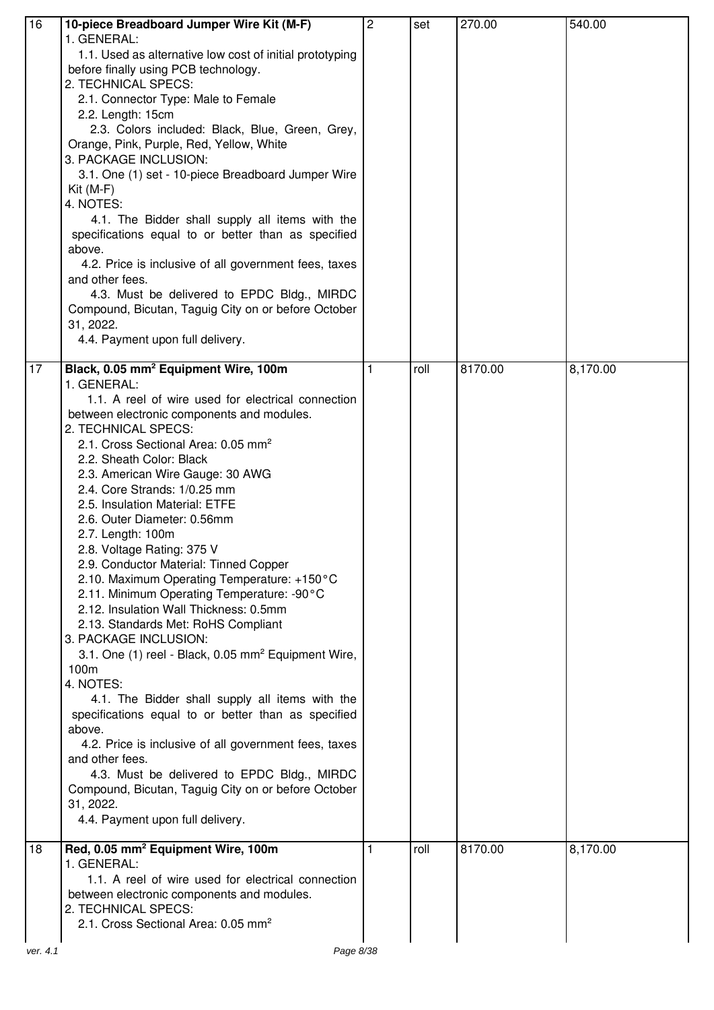| 16 | 10-piece Breadboard Jumper Wire Kit (M-F)<br>1. GENERAL:<br>1.1. Used as alternative low cost of initial prototyping<br>before finally using PCB technology.<br>2. TECHNICAL SPECS:<br>2.1. Connector Type: Male to Female<br>2.2. Length: 15cm<br>2.3. Colors included: Black, Blue, Green, Grey,<br>Orange, Pink, Purple, Red, Yellow, White<br>3. PACKAGE INCLUSION:<br>3.1. One (1) set - 10-piece Breadboard Jumper Wire<br>$Kit (M-F)$<br>4. NOTES:<br>4.1. The Bidder shall supply all items with the<br>specifications equal to or better than as specified<br>above.<br>4.2. Price is inclusive of all government fees, taxes<br>and other fees.<br>4.3. Must be delivered to EPDC Bldg., MIRDC<br>Compound, Bicutan, Taguig City on or before October<br>31, 2022.<br>4.4. Payment upon full delivery.                                                                                                                                                                                                                                                                                                                                                              | $\overline{c}$ | set  | 270.00  | 540.00   |
|----|-------------------------------------------------------------------------------------------------------------------------------------------------------------------------------------------------------------------------------------------------------------------------------------------------------------------------------------------------------------------------------------------------------------------------------------------------------------------------------------------------------------------------------------------------------------------------------------------------------------------------------------------------------------------------------------------------------------------------------------------------------------------------------------------------------------------------------------------------------------------------------------------------------------------------------------------------------------------------------------------------------------------------------------------------------------------------------------------------------------------------------------------------------------------------------|----------------|------|---------|----------|
| 17 | Black, 0.05 mm <sup>2</sup> Equipment Wire, 100m<br>1. GENERAL:<br>1.1. A reel of wire used for electrical connection<br>between electronic components and modules.<br>2. TECHNICAL SPECS:<br>2.1. Cross Sectional Area: 0.05 mm <sup>2</sup><br>2.2. Sheath Color: Black<br>2.3. American Wire Gauge: 30 AWG<br>2.4. Core Strands: 1/0.25 mm<br>2.5. Insulation Material: ETFE<br>2.6. Outer Diameter: 0.56mm<br>2.7. Length: 100m<br>2.8. Voltage Rating: 375 V<br>2.9. Conductor Material: Tinned Copper<br>2.10. Maximum Operating Temperature: +150°C<br>2.11. Minimum Operating Temperature: -90°C<br>2.12. Insulation Wall Thickness: 0.5mm<br>2.13. Standards Met: RoHS Compliant<br>3. PACKAGE INCLUSION:<br>3.1. One (1) reel - Black, 0.05 mm <sup>2</sup> Equipment Wire,<br>100 <sub>m</sub><br>4. NOTES:<br>4.1. The Bidder shall supply all items with the<br>specifications equal to or better than as specified<br>above.<br>4.2. Price is inclusive of all government fees, taxes<br>and other fees.<br>4.3. Must be delivered to EPDC Bldg., MIRDC<br>Compound, Bicutan, Taguig City on or before October<br>31, 2022.<br>4.4. Payment upon full delivery. | 1              | roll | 8170.00 | 8,170.00 |
| 18 | Red, 0.05 mm <sup>2</sup> Equipment Wire, 100m<br>1. GENERAL:<br>1.1. A reel of wire used for electrical connection<br>between electronic components and modules.<br>2. TECHNICAL SPECS:<br>2.1. Cross Sectional Area: 0.05 mm <sup>2</sup>                                                                                                                                                                                                                                                                                                                                                                                                                                                                                                                                                                                                                                                                                                                                                                                                                                                                                                                                   |                | roll | 8170.00 | 8,170.00 |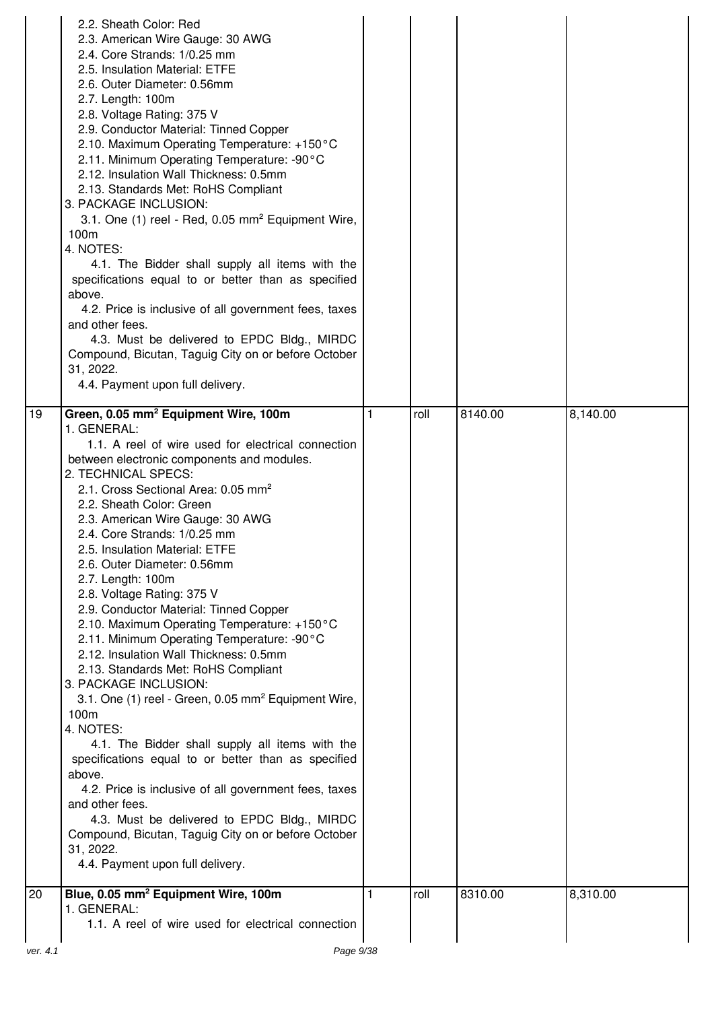|    | 2.2. Sheath Color: Red<br>2.3. American Wire Gauge: 30 AWG<br>2.4. Core Strands: 1/0.25 mm<br>2.5. Insulation Material: ETFE<br>2.6. Outer Diameter: 0.56mm<br>2.7. Length: 100m<br>2.8. Voltage Rating: 375 V<br>2.9. Conductor Material: Tinned Copper<br>2.10. Maximum Operating Temperature: +150°C<br>2.11. Minimum Operating Temperature: -90°C<br>2.12. Insulation Wall Thickness: 0.5mm<br>2.13. Standards Met: RoHS Compliant<br>3. PACKAGE INCLUSION:<br>3.1. One (1) reel - Red, 0.05 mm <sup>2</sup> Equipment Wire,<br>100m<br>4. NOTES:<br>4.1. The Bidder shall supply all items with the<br>specifications equal to or better than as specified<br>above.<br>4.2. Price is inclusive of all government fees, taxes<br>and other fees.<br>4.3. Must be delivered to EPDC Bldg., MIRDC<br>Compound, Bicutan, Taguig City on or before October<br>31, 2022.<br>4.4. Payment upon full delivery.                                                                                                                                                                                   |      |         |          |
|----|------------------------------------------------------------------------------------------------------------------------------------------------------------------------------------------------------------------------------------------------------------------------------------------------------------------------------------------------------------------------------------------------------------------------------------------------------------------------------------------------------------------------------------------------------------------------------------------------------------------------------------------------------------------------------------------------------------------------------------------------------------------------------------------------------------------------------------------------------------------------------------------------------------------------------------------------------------------------------------------------------------------------------------------------------------------------------------------------|------|---------|----------|
| 19 | Green, 0.05 mm <sup>2</sup> Equipment Wire, 100m<br>1. GENERAL:                                                                                                                                                                                                                                                                                                                                                                                                                                                                                                                                                                                                                                                                                                                                                                                                                                                                                                                                                                                                                                | roll | 8140.00 | 8,140.00 |
|    | 1.1. A reel of wire used for electrical connection<br>between electronic components and modules.<br>2. TECHNICAL SPECS:<br>2.1. Cross Sectional Area: 0.05 mm <sup>2</sup><br>2.2. Sheath Color: Green<br>2.3. American Wire Gauge: 30 AWG<br>2.4. Core Strands: 1/0.25 mm<br>2.5. Insulation Material: ETFE<br>2.6. Outer Diameter: 0.56mm<br>2.7. Length: 100m<br>2.8. Voltage Rating: 375 V<br>2.9. Conductor Material: Tinned Copper<br>2.10. Maximum Operating Temperature: +150°C<br>2.11. Minimum Operating Temperature: -90°C<br>2.12. Insulation Wall Thickness: 0.5mm<br>2.13. Standards Met: RoHS Compliant<br>3. PACKAGE INCLUSION:<br>3.1. One (1) reel - Green, 0.05 mm <sup>2</sup> Equipment Wire,<br>100m<br>4. NOTES:<br>4.1. The Bidder shall supply all items with the<br>specifications equal to or better than as specified<br>above.<br>4.2. Price is inclusive of all government fees, taxes<br>and other fees.<br>4.3. Must be delivered to EPDC Bldg., MIRDC<br>Compound, Bicutan, Taguig City on or before October<br>31, 2022.<br>4.4. Payment upon full delivery. |      |         |          |
| 20 | Blue, 0.05 mm <sup>2</sup> Equipment Wire, 100m<br>1. GENERAL:                                                                                                                                                                                                                                                                                                                                                                                                                                                                                                                                                                                                                                                                                                                                                                                                                                                                                                                                                                                                                                 | roll | 8310.00 | 8,310.00 |
|    | 1.1. A reel of wire used for electrical connection                                                                                                                                                                                                                                                                                                                                                                                                                                                                                                                                                                                                                                                                                                                                                                                                                                                                                                                                                                                                                                             |      |         |          |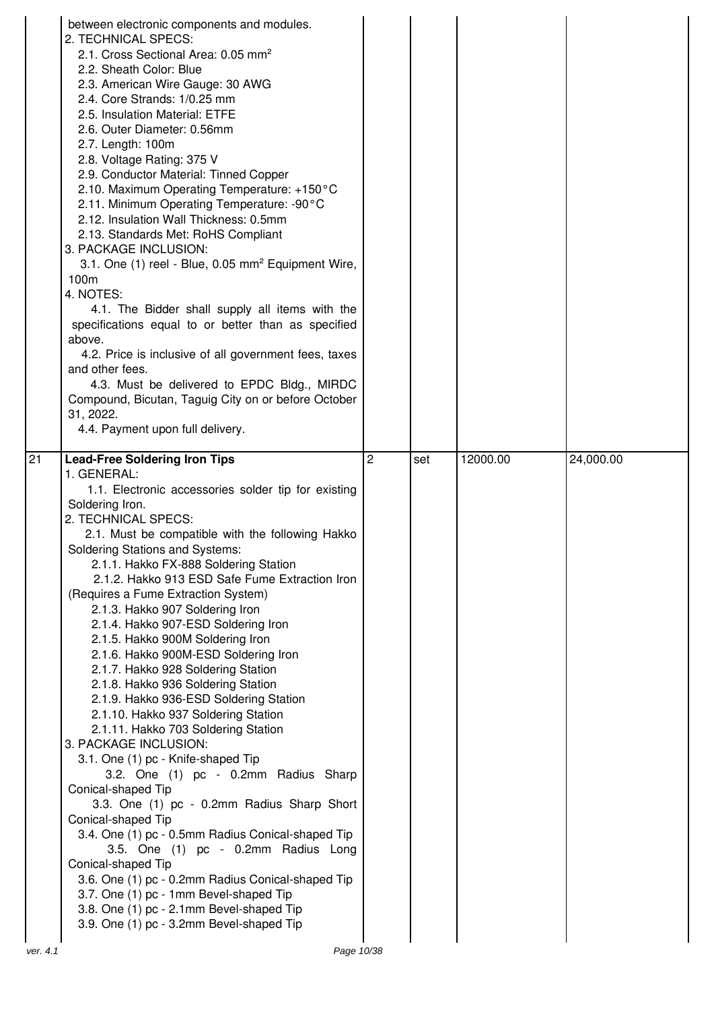|          | between electronic components and modules.<br>2. TECHNICAL SPECS:<br>2.1. Cross Sectional Area: 0.05 mm <sup>2</sup><br>2.2. Sheath Color: Blue<br>2.3. American Wire Gauge: 30 AWG<br>2.4. Core Strands: 1/0.25 mm<br>2.5. Insulation Material: ETFE<br>2.6. Outer Diameter: 0.56mm<br>2.7. Length: 100m<br>2.8. Voltage Rating: 375 V<br>2.9. Conductor Material: Tinned Copper<br>2.10. Maximum Operating Temperature: +150°C<br>2.11. Minimum Operating Temperature: -90°C<br>2.12. Insulation Wall Thickness: 0.5mm<br>2.13. Standards Met: RoHS Compliant<br>3. PACKAGE INCLUSION:<br>3.1. One (1) reel - Blue, 0.05 mm <sup>2</sup> Equipment Wire,<br>100m<br>4. NOTES:<br>4.1. The Bidder shall supply all items with the<br>specifications equal to or better than as specified<br>above.<br>4.2. Price is inclusive of all government fees, taxes<br>and other fees.<br>4.3. Must be delivered to EPDC Bldg., MIRDC<br>Compound, Bicutan, Taguig City on or before October<br>31, 2022.<br>4.4. Payment upon full delivery.                                                                                 |                |     |          |           |
|----------|------------------------------------------------------------------------------------------------------------------------------------------------------------------------------------------------------------------------------------------------------------------------------------------------------------------------------------------------------------------------------------------------------------------------------------------------------------------------------------------------------------------------------------------------------------------------------------------------------------------------------------------------------------------------------------------------------------------------------------------------------------------------------------------------------------------------------------------------------------------------------------------------------------------------------------------------------------------------------------------------------------------------------------------------------------------------------------------------------------------------|----------------|-----|----------|-----------|
| 21       | <b>Lead-Free Soldering Iron Tips</b><br>1. GENERAL:<br>1.1. Electronic accessories solder tip for existing<br>Soldering Iron.<br>2. TECHNICAL SPECS:<br>2.1. Must be compatible with the following Hakko<br><b>Soldering Stations and Systems:</b><br>2.1.1. Hakko FX-888 Soldering Station<br>2.1.2. Hakko 913 ESD Safe Fume Extraction Iron<br>(Requires a Fume Extraction System)<br>2.1.3. Hakko 907 Soldering Iron<br>2.1.4. Hakko 907-ESD Soldering Iron<br>2.1.5. Hakko 900M Soldering Iron<br>2.1.6. Hakko 900M-ESD Soldering Iron<br>2.1.7. Hakko 928 Soldering Station<br>2.1.8. Hakko 936 Soldering Station<br>2.1.9. Hakko 936-ESD Soldering Station<br>2.1.10. Hakko 937 Soldering Station<br>2.1.11. Hakko 703 Soldering Station<br>3. PACKAGE INCLUSION:<br>3.1. One (1) pc - Knife-shaped Tip<br>3.2. One (1) pc - 0.2mm Radius Sharp<br>Conical-shaped Tip<br>3.3. One (1) pc - 0.2mm Radius Sharp Short<br>Conical-shaped Tip<br>3.4. One (1) pc - 0.5mm Radius Conical-shaped Tip<br>3.5. One (1) pc - 0.2mm Radius Long<br>Conical-shaped Tip<br>3.6. One (1) pc - 0.2mm Radius Conical-shaped Tip | $\overline{2}$ | set | 12000.00 | 24,000.00 |
| ver. 4.1 | 3.7. One (1) pc - 1mm Bevel-shaped Tip<br>3.8. One (1) pc - 2.1mm Bevel-shaped Tip<br>3.9. One (1) pc - 3.2mm Bevel-shaped Tip<br>Page 10/38                                                                                                                                                                                                                                                                                                                                                                                                                                                                                                                                                                                                                                                                                                                                                                                                                                                                                                                                                                           |                |     |          |           |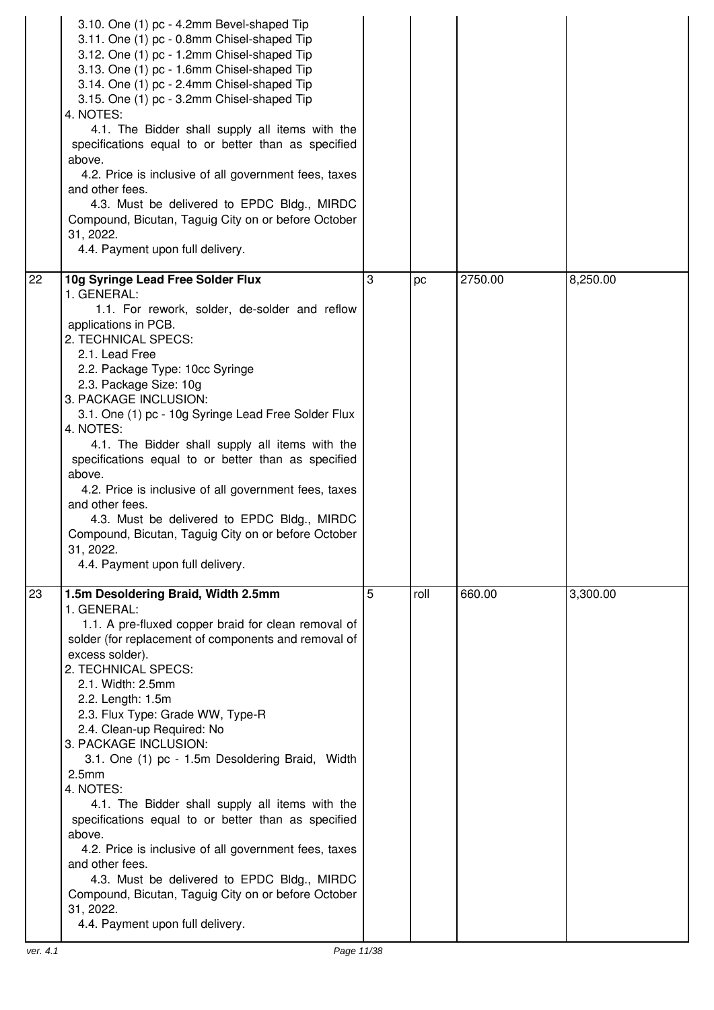| 3.10. One (1) pc - 4.2mm Bevel-shaped Tip<br>3.11. One (1) pc - 0.8mm Chisel-shaped Tip<br>3.12. One (1) pc - 1.2mm Chisel-shaped Tip<br>3.13. One (1) pc - 1.6mm Chisel-shaped Tip<br>3.14. One (1) pc - 2.4mm Chisel-shaped Tip<br>3.15. One (1) pc - 3.2mm Chisel-shaped Tip<br>4. NOTES:<br>4.1. The Bidder shall supply all items with the<br>specifications equal to or better than as specified<br>above.<br>4.2. Price is inclusive of all government fees, taxes<br>and other fees.<br>4.3. Must be delivered to EPDC Bldg., MIRDC<br>Compound, Bicutan, Taguig City on or before October<br>31, 2022.<br>4.4. Payment upon full delivery.                                                                                                                                                |   |      |         |          |
|----------------------------------------------------------------------------------------------------------------------------------------------------------------------------------------------------------------------------------------------------------------------------------------------------------------------------------------------------------------------------------------------------------------------------------------------------------------------------------------------------------------------------------------------------------------------------------------------------------------------------------------------------------------------------------------------------------------------------------------------------------------------------------------------------|---|------|---------|----------|
| 22<br>10g Syringe Lead Free Solder Flux<br>1. GENERAL:<br>1.1. For rework, solder, de-solder and reflow<br>applications in PCB.<br>2. TECHNICAL SPECS:<br>2.1. Lead Free<br>2.2. Package Type: 10cc Syringe<br>2.3. Package Size: 10g<br>3. PACKAGE INCLUSION:<br>3.1. One (1) pc - 10g Syringe Lead Free Solder Flux<br>4. NOTES:<br>4.1. The Bidder shall supply all items with the<br>specifications equal to or better than as specified<br>above.<br>4.2. Price is inclusive of all government fees, taxes<br>and other fees.<br>4.3. Must be delivered to EPDC Bldg., MIRDC<br>Compound, Bicutan, Taguig City on or before October<br>31, 2022.<br>4.4. Payment upon full delivery.                                                                                                          | 3 | pc   | 2750.00 | 8,250.00 |
| 23<br>1.5m Desoldering Braid, Width 2.5mm<br>1. GENERAL:<br>1.1. A pre-fluxed copper braid for clean removal of<br>solder (for replacement of components and removal of<br>excess solder).<br>2. TECHNICAL SPECS:<br>2.1. Width: 2.5mm<br>2.2. Length: 1.5m<br>2.3. Flux Type: Grade WW, Type-R<br>2.4. Clean-up Required: No<br>3. PACKAGE INCLUSION:<br>3.1. One (1) pc - 1.5m Desoldering Braid, Width<br>2.5 <sub>mm</sub><br>4. NOTES:<br>4.1. The Bidder shall supply all items with the<br>specifications equal to or better than as specified<br>above.<br>4.2. Price is inclusive of all government fees, taxes<br>and other fees.<br>4.3. Must be delivered to EPDC Bldg., MIRDC<br>Compound, Bicutan, Taguig City on or before October<br>31, 2022.<br>4.4. Payment upon full delivery. | 5 | roll | 660.00  | 3,300.00 |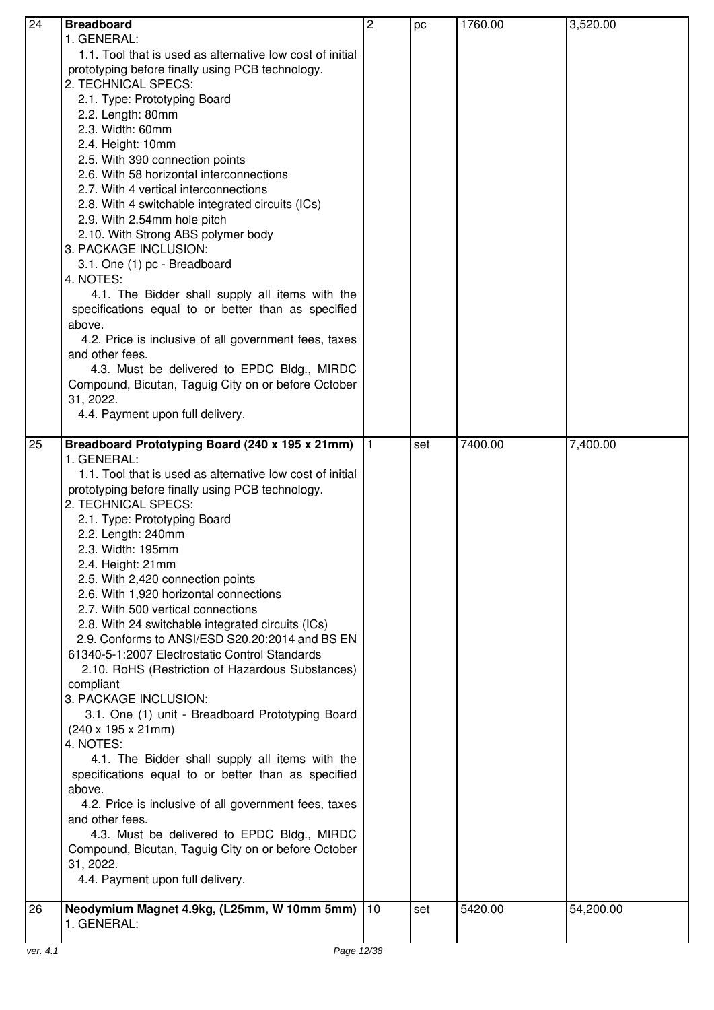| 24       | <b>Breadboard</b>                                               | $\overline{2}$ | pc  | 1760.00 | 3,520.00  |
|----------|-----------------------------------------------------------------|----------------|-----|---------|-----------|
|          | 1. GENERAL:                                                     |                |     |         |           |
|          | 1.1. Tool that is used as alternative low cost of initial       |                |     |         |           |
|          | prototyping before finally using PCB technology.                |                |     |         |           |
|          | 2. TECHNICAL SPECS:                                             |                |     |         |           |
|          | 2.1. Type: Prototyping Board                                    |                |     |         |           |
|          | 2.2. Length: 80mm                                               |                |     |         |           |
|          | 2.3. Width: 60mm                                                |                |     |         |           |
|          | 2.4. Height: 10mm                                               |                |     |         |           |
|          | 2.5. With 390 connection points                                 |                |     |         |           |
|          | 2.6. With 58 horizontal interconnections                        |                |     |         |           |
|          | 2.7. With 4 vertical interconnections                           |                |     |         |           |
|          | 2.8. With 4 switchable integrated circuits (ICs)                |                |     |         |           |
|          | 2.9. With 2.54mm hole pitch                                     |                |     |         |           |
|          | 2.10. With Strong ABS polymer body                              |                |     |         |           |
|          | 3. PACKAGE INCLUSION:                                           |                |     |         |           |
|          | 3.1. One (1) pc - Breadboard                                    |                |     |         |           |
|          | 4. NOTES:                                                       |                |     |         |           |
|          | 4.1. The Bidder shall supply all items with the                 |                |     |         |           |
|          | specifications equal to or better than as specified             |                |     |         |           |
|          |                                                                 |                |     |         |           |
|          | above.<br>4.2. Price is inclusive of all government fees, taxes |                |     |         |           |
|          | and other fees.                                                 |                |     |         |           |
|          | 4.3. Must be delivered to EPDC Bldg., MIRDC                     |                |     |         |           |
|          | Compound, Bicutan, Taguig City on or before October             |                |     |         |           |
|          | 31, 2022.                                                       |                |     |         |           |
|          | 4.4. Payment upon full delivery.                                |                |     |         |           |
|          |                                                                 |                |     |         |           |
| 25       | Breadboard Prototyping Board (240 x 195 x 21mm)                 | $\vert$ 1      | set | 7400.00 | 7,400.00  |
|          | 1. GENERAL:                                                     |                |     |         |           |
|          | 1.1. Tool that is used as alternative low cost of initial       |                |     |         |           |
|          | prototyping before finally using PCB technology.                |                |     |         |           |
|          | 2. TECHNICAL SPECS:                                             |                |     |         |           |
|          | 2.1. Type: Prototyping Board                                    |                |     |         |           |
|          | 2.2. Length: 240mm                                              |                |     |         |           |
|          | 2.3. Width: 195mm                                               |                |     |         |           |
|          | 2.4. Height: 21mm                                               |                |     |         |           |
|          | 2.5. With 2,420 connection points                               |                |     |         |           |
|          | 2.6. With 1,920 horizontal connections                          |                |     |         |           |
|          | 2.7. With 500 vertical connections                              |                |     |         |           |
|          | 2.8. With 24 switchable integrated circuits (ICs)               |                |     |         |           |
|          | 2.9. Conforms to ANSI/ESD S20.20:2014 and BS EN                 |                |     |         |           |
|          | 61340-5-1:2007 Electrostatic Control Standards                  |                |     |         |           |
|          | 2.10. RoHS (Restriction of Hazardous Substances)                |                |     |         |           |
|          | compliant                                                       |                |     |         |           |
|          | 3. PACKAGE INCLUSION:                                           |                |     |         |           |
|          | 3.1. One (1) unit - Breadboard Prototyping Board                |                |     |         |           |
|          | $(240 \times 195 \times 21$ mm)                                 |                |     |         |           |
|          | 4. NOTES:                                                       |                |     |         |           |
|          | 4.1. The Bidder shall supply all items with the                 |                |     |         |           |
|          | specifications equal to or better than as specified             |                |     |         |           |
|          | above.                                                          |                |     |         |           |
|          | 4.2. Price is inclusive of all government fees, taxes           |                |     |         |           |
|          | and other fees.                                                 |                |     |         |           |
|          | 4.3. Must be delivered to EPDC Bldg., MIRDC                     |                |     |         |           |
|          | Compound, Bicutan, Taguig City on or before October             |                |     |         |           |
|          | 31, 2022.                                                       |                |     |         |           |
|          | 4.4. Payment upon full delivery.                                |                |     |         |           |
|          |                                                                 |                |     |         |           |
| 26       | Neodymium Magnet 4.9kg, (L25mm, W 10mm 5mm)   10                |                | set | 5420.00 | 54,200.00 |
|          | 1. GENERAL:                                                     |                |     |         |           |
|          |                                                                 |                |     |         |           |
| ver. 4.1 | Page 12/38                                                      |                |     |         |           |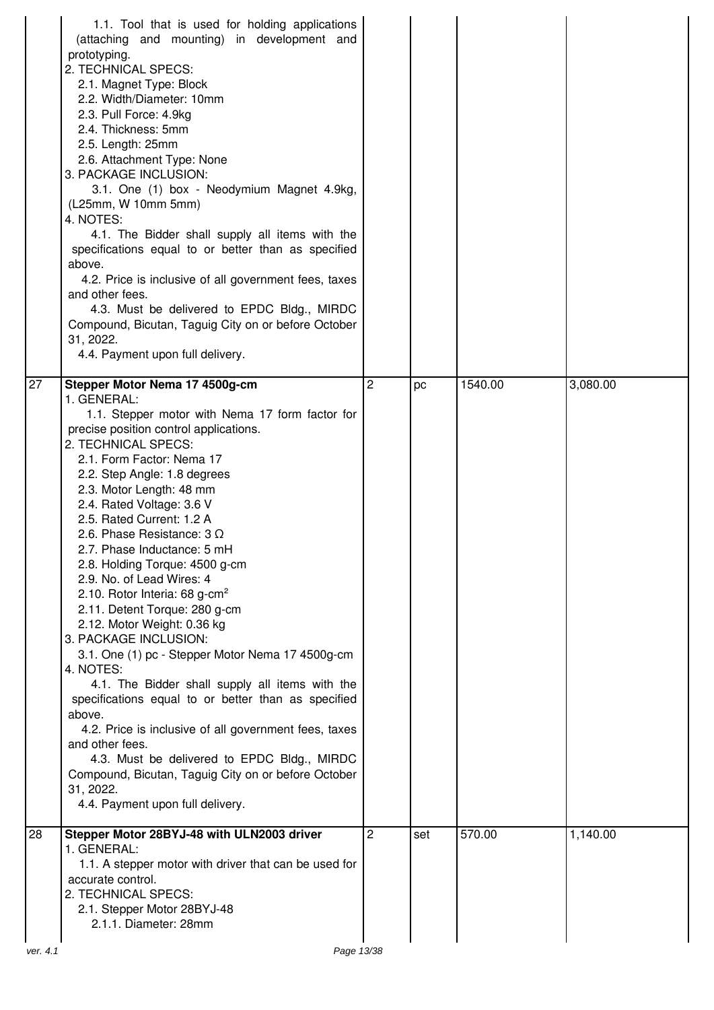|          | 1.1. Tool that is used for holding applications<br>(attaching and mounting) in development and<br>prototyping.<br>2. TECHNICAL SPECS:<br>2.1. Magnet Type: Block<br>2.2. Width/Diameter: 10mm<br>2.3. Pull Force: 4.9kg<br>2.4. Thickness: 5mm<br>2.5. Length: 25mm<br>2.6. Attachment Type: None<br>3. PACKAGE INCLUSION:<br>3.1. One (1) box - Neodymium Magnet 4.9kg,<br>(L25mm, W 10mm 5mm)<br>4. NOTES:<br>4.1. The Bidder shall supply all items with the<br>specifications equal to or better than as specified<br>above.<br>4.2. Price is inclusive of all government fees, taxes<br>and other fees.<br>4.3. Must be delivered to EPDC Bldg., MIRDC<br>Compound, Bicutan, Taguig City on or before October<br>31, 2022.<br>4.4. Payment upon full delivery.                                                                                                                                                                                                                                                   |                |     |         |          |
|----------|-----------------------------------------------------------------------------------------------------------------------------------------------------------------------------------------------------------------------------------------------------------------------------------------------------------------------------------------------------------------------------------------------------------------------------------------------------------------------------------------------------------------------------------------------------------------------------------------------------------------------------------------------------------------------------------------------------------------------------------------------------------------------------------------------------------------------------------------------------------------------------------------------------------------------------------------------------------------------------------------------------------------------|----------------|-----|---------|----------|
| 27       | Stepper Motor Nema 17 4500g-cm<br>1. GENERAL:<br>1.1. Stepper motor with Nema 17 form factor for<br>precise position control applications.<br>2. TECHNICAL SPECS:<br>2.1. Form Factor: Nema 17<br>2.2. Step Angle: 1.8 degrees<br>2.3. Motor Length: 48 mm<br>2.4. Rated Voltage: 3.6 V<br>2.5. Rated Current: 1.2 A<br>2.6. Phase Resistance: $3 \Omega$<br>2.7. Phase Inductance: 5 mH<br>2.8. Holding Torque: 4500 g-cm<br>2.9. No. of Lead Wires: 4<br>2.10. Rotor Interia: 68 g-cm <sup>2</sup><br>2.11. Detent Torque: 280 g-cm<br>2.12. Motor Weight: 0.36 kg<br>3. PACKAGE INCLUSION:<br>3.1. One (1) pc - Stepper Motor Nema 17 4500g-cm<br>4. NOTES:<br>4.1. The Bidder shall supply all items with the<br>specifications equal to or better than as specified<br>above.<br>4.2. Price is inclusive of all government fees, taxes<br>and other fees.<br>4.3. Must be delivered to EPDC Bldg., MIRDC<br>Compound, Bicutan, Taguig City on or before October<br>31, 2022.<br>4.4. Payment upon full delivery. | $\overline{2}$ | pc  | 1540.00 | 3,080.00 |
| 28       | Stepper Motor 28BYJ-48 with ULN2003 driver<br>1. GENERAL:<br>1.1. A stepper motor with driver that can be used for<br>accurate control.<br>2. TECHNICAL SPECS:<br>2.1. Stepper Motor 28BYJ-48<br>2.1.1. Diameter: 28mm                                                                                                                                                                                                                                                                                                                                                                                                                                                                                                                                                                                                                                                                                                                                                                                                | $\overline{c}$ | set | 570.00  | 1,140.00 |
| ver. 4.1 | Page 13/38                                                                                                                                                                                                                                                                                                                                                                                                                                                                                                                                                                                                                                                                                                                                                                                                                                                                                                                                                                                                            |                |     |         |          |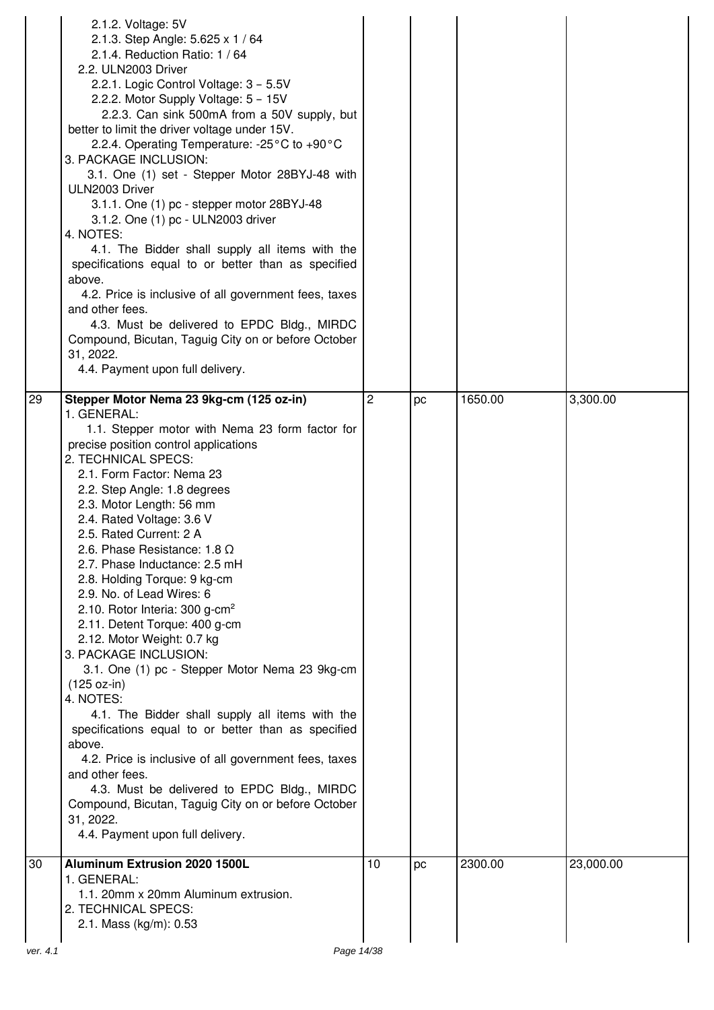|          | 2.1.2. Voltage: 5V<br>2.1.3. Step Angle: 5.625 x 1 / 64<br>2.1.4. Reduction Ratio: 1 / 64<br>2.2. ULN2003 Driver<br>2.2.1. Logic Control Voltage: 3 - 5.5V<br>2.2.2. Motor Supply Voltage: 5 - 15V<br>2.2.3. Can sink 500mA from a 50V supply, but<br>better to limit the driver voltage under 15V.<br>2.2.4. Operating Temperature: -25°C to +90°C<br>3. PACKAGE INCLUSION:<br>3.1. One (1) set - Stepper Motor 28BYJ-48 with<br>ULN2003 Driver<br>3.1.1. One (1) pc - stepper motor 28BYJ-48<br>3.1.2. One (1) pc - ULN2003 driver<br>4. NOTES:<br>4.1. The Bidder shall supply all items with the<br>specifications equal to or better than as specified<br>above.<br>4.2. Price is inclusive of all government fees, taxes<br>and other fees.<br>4.3. Must be delivered to EPDC Bldg., MIRDC<br>Compound, Bicutan, Taguig City on or before October<br>31, 2022.<br>4.4. Payment upon full delivery.                                                                                                                                      |                |    |         |           |
|----------|-----------------------------------------------------------------------------------------------------------------------------------------------------------------------------------------------------------------------------------------------------------------------------------------------------------------------------------------------------------------------------------------------------------------------------------------------------------------------------------------------------------------------------------------------------------------------------------------------------------------------------------------------------------------------------------------------------------------------------------------------------------------------------------------------------------------------------------------------------------------------------------------------------------------------------------------------------------------------------------------------------------------------------------------------|----------------|----|---------|-----------|
| 29       | Stepper Motor Nema 23 9kg-cm (125 oz-in)<br>1. GENERAL:<br>1.1. Stepper motor with Nema 23 form factor for<br>precise position control applications<br>2. TECHNICAL SPECS:<br>2.1. Form Factor: Nema 23<br>2.2. Step Angle: 1.8 degrees<br>2.3. Motor Length: 56 mm<br>2.4. Rated Voltage: 3.6 V<br>2.5. Rated Current: 2 A<br>2.6. Phase Resistance: 1.8 $\Omega$<br>2.7. Phase Inductance: 2.5 mH<br>2.8. Holding Torque: 9 kg-cm<br>2.9. No. of Lead Wires: 6<br>2.10. Rotor Interia: 300 g-cm <sup>2</sup><br>2.11. Detent Torque: 400 g-cm<br>2.12. Motor Weight: 0.7 kg<br>3. PACKAGE INCLUSION:<br>3.1. One (1) pc - Stepper Motor Nema 23 9kg-cm<br>$(125 oz-in)$<br>4. NOTES:<br>4.1. The Bidder shall supply all items with the<br>specifications equal to or better than as specified<br>above.<br>4.2. Price is inclusive of all government fees, taxes<br>and other fees.<br>4.3. Must be delivered to EPDC Bldg., MIRDC<br>Compound, Bicutan, Taguig City on or before October<br>31, 2022.<br>4.4. Payment upon full delivery. | $\overline{c}$ | pc | 1650.00 | 3,300.00  |
| 30       | <b>Aluminum Extrusion 2020 1500L</b><br>1. GENERAL:<br>1.1. 20mm x 20mm Aluminum extrusion.<br>2. TECHNICAL SPECS:<br>2.1. Mass (kg/m): 0.53                                                                                                                                                                                                                                                                                                                                                                                                                                                                                                                                                                                                                                                                                                                                                                                                                                                                                                  | 10             | pc | 2300.00 | 23,000.00 |
| ver. 4.1 | Page 14/38                                                                                                                                                                                                                                                                                                                                                                                                                                                                                                                                                                                                                                                                                                                                                                                                                                                                                                                                                                                                                                    |                |    |         |           |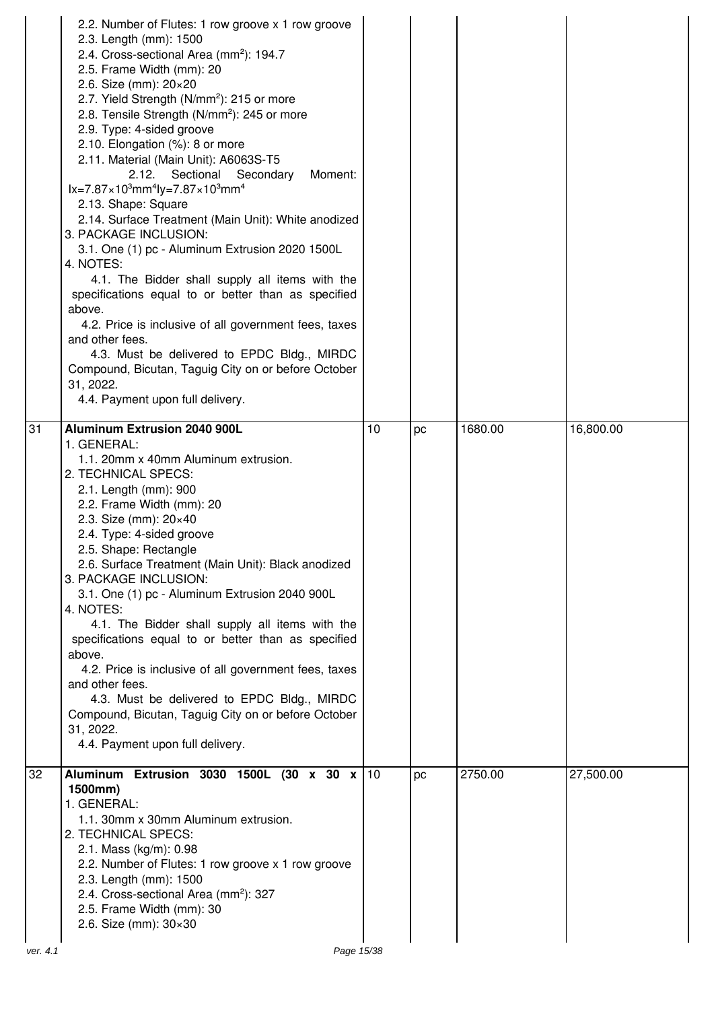|                | 2.2. Number of Flutes: 1 row groove x 1 row groove<br>2.3. Length (mm): 1500<br>2.4. Cross-sectional Area (mm <sup>2</sup> ): 194.7<br>2.5. Frame Width (mm): 20<br>2.6. Size (mm): 20×20<br>2.7. Yield Strength (N/mm <sup>2</sup> ): 215 or more<br>2.8. Tensile Strength (N/mm <sup>2</sup> ): 245 or more<br>2.9. Type: 4-sided groove<br>2.10. Elongation (%): 8 or more<br>2.11. Material (Main Unit): A6063S-T5<br>Moment:<br>2.12. Sectional Secondary<br>$lx = 7.87 \times 10^3$ mm <sup>4</sup> ly=7.87×10 <sup>3</sup> mm <sup>4</sup><br>2.13. Shape: Square<br>2.14. Surface Treatment (Main Unit): White anodized<br>3. PACKAGE INCLUSION:<br>3.1. One (1) pc - Aluminum Extrusion 2020 1500L<br>4. NOTES:<br>4.1. The Bidder shall supply all items with the<br>specifications equal to or better than as specified<br>above.<br>4.2. Price is inclusive of all government fees, taxes<br>and other fees.<br>4.3. Must be delivered to EPDC Bldg., MIRDC<br>Compound, Bicutan, Taguig City on or before October<br>31, 2022.<br>4.4. Payment upon full delivery. |    |    |         |           |
|----------------|---------------------------------------------------------------------------------------------------------------------------------------------------------------------------------------------------------------------------------------------------------------------------------------------------------------------------------------------------------------------------------------------------------------------------------------------------------------------------------------------------------------------------------------------------------------------------------------------------------------------------------------------------------------------------------------------------------------------------------------------------------------------------------------------------------------------------------------------------------------------------------------------------------------------------------------------------------------------------------------------------------------------------------------------------------------------------------|----|----|---------|-----------|
| 31             | <b>Aluminum Extrusion 2040 900L</b><br>1. GENERAL:<br>1.1. 20mm x 40mm Aluminum extrusion.<br>2. TECHNICAL SPECS:<br>2.1. Length (mm): 900<br>2.2. Frame Width (mm): 20<br>2.3. Size (mm): 20×40<br>2.4. Type: 4-sided groove<br>2.5. Shape: Rectangle<br>2.6. Surface Treatment (Main Unit): Black anodized<br>3. PACKAGE INCLUSION:<br>3.1. One (1) pc - Aluminum Extrusion 2040 900L<br>4. NOTES:<br>4.1. The Bidder shall supply all items with the<br>specifications equal to or better than as specified<br>above.<br>4.2. Price is inclusive of all government fees, taxes<br>and other fees.<br>4.3. Must be delivered to EPDC Bldg., MIRDC<br>Compound, Bicutan, Taguig City on or before October<br>31, 2022.<br>4.4. Payment upon full delivery.                                                                                                                                                                                                                                                                                                                     | 10 | рc | 1680.00 | 16,800.00 |
| 32<br>ver. 4.1 | Aluminum Extrusion 3030 1500L (30 x 30 x 10<br>1500mm)<br>1. GENERAL:<br>1.1. 30mm x 30mm Aluminum extrusion.<br>2. TECHNICAL SPECS:<br>2.1. Mass (kg/m): 0.98<br>2.2. Number of Flutes: 1 row groove x 1 row groove<br>2.3. Length (mm): 1500<br>2.4. Cross-sectional Area (mm <sup>2</sup> ): 327<br>2.5. Frame Width (mm): 30<br>2.6. Size (mm): $30 \times 30$<br>Page 15/38                                                                                                                                                                                                                                                                                                                                                                                                                                                                                                                                                                                                                                                                                                |    | рc | 2750.00 | 27,500.00 |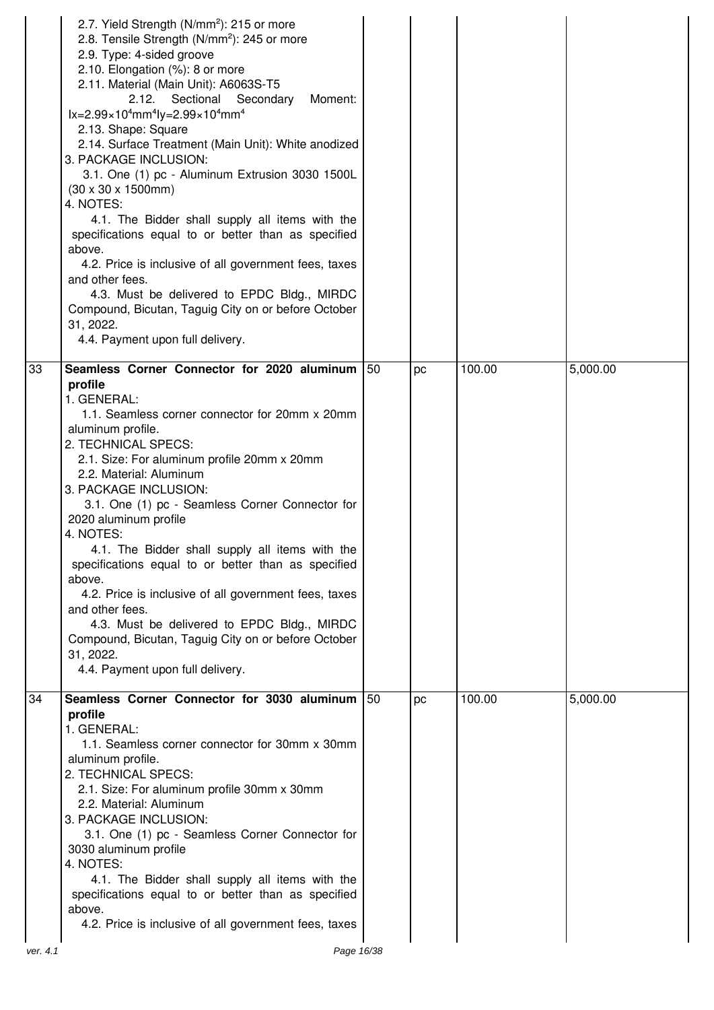|    | 2.7. Yield Strength (N/mm <sup>2</sup> ): 215 or more<br>2.8. Tensile Strength (N/mm <sup>2</sup> ): 245 or more<br>2.9. Type: 4-sided groove<br>2.10. Elongation (%): 8 or more<br>2.11. Material (Main Unit): A6063S-T5<br>Moment:<br>2.12.<br>Sectional Secondary<br>$lx = 2.99 \times 10^4$ mm <sup>4</sup> ly=2.99×10 <sup>4</sup> mm <sup>4</sup><br>2.13. Shape: Square<br>2.14. Surface Treatment (Main Unit): White anodized<br>3. PACKAGE INCLUSION:<br>3.1. One (1) pc - Aluminum Extrusion 3030 1500L<br>$(30 \times 30 \times 1500$ mm)<br>4. NOTES:<br>4.1. The Bidder shall supply all items with the<br>specifications equal to or better than as specified<br>above.<br>4.2. Price is inclusive of all government fees, taxes<br>and other fees.<br>4.3. Must be delivered to EPDC Bldg., MIRDC<br>Compound, Bicutan, Taguig City on or before October<br>31, 2022.<br>4.4. Payment upon full delivery. |     |    |        |          |
|----|--------------------------------------------------------------------------------------------------------------------------------------------------------------------------------------------------------------------------------------------------------------------------------------------------------------------------------------------------------------------------------------------------------------------------------------------------------------------------------------------------------------------------------------------------------------------------------------------------------------------------------------------------------------------------------------------------------------------------------------------------------------------------------------------------------------------------------------------------------------------------------------------------------------------------|-----|----|--------|----------|
| 33 | Seamless Corner Connector for 2020 aluminum<br>profile<br>1. GENERAL:<br>1.1. Seamless corner connector for 20mm x 20mm<br>aluminum profile.<br>2. TECHNICAL SPECS:<br>2.1. Size: For aluminum profile 20mm x 20mm<br>2.2. Material: Aluminum<br>3. PACKAGE INCLUSION:<br>3.1. One (1) pc - Seamless Corner Connector for<br>2020 aluminum profile<br>4. NOTES:<br>4.1. The Bidder shall supply all items with the<br>specifications equal to or better than as specified<br>above.<br>4.2. Price is inclusive of all government fees, taxes<br>and other fees.<br>4.3. Must be delivered to EPDC Bldg., MIRDC<br>Compound, Bicutan, Taguig City on or before October<br>31, 2022.<br>4.4. Payment upon full delivery.<br>Seamless Corner Connector for 3030 aluminum                                                                                                                                                    | 150 | pc | 100.00 | 5,000.00 |
| 34 | profile<br>1. GENERAL:<br>1.1. Seamless corner connector for 30mm x 30mm<br>aluminum profile.<br>2. TECHNICAL SPECS:<br>2.1. Size: For aluminum profile 30mm x 30mm<br>2.2. Material: Aluminum<br>3. PACKAGE INCLUSION:<br>3.1. One (1) pc - Seamless Corner Connector for<br>3030 aluminum profile<br>4. NOTES:<br>4.1. The Bidder shall supply all items with the<br>specifications equal to or better than as specified<br>above.<br>4.2. Price is inclusive of all government fees, taxes                                                                                                                                                                                                                                                                                                                                                                                                                            | 150 | pc | 100.00 | 5,000.00 |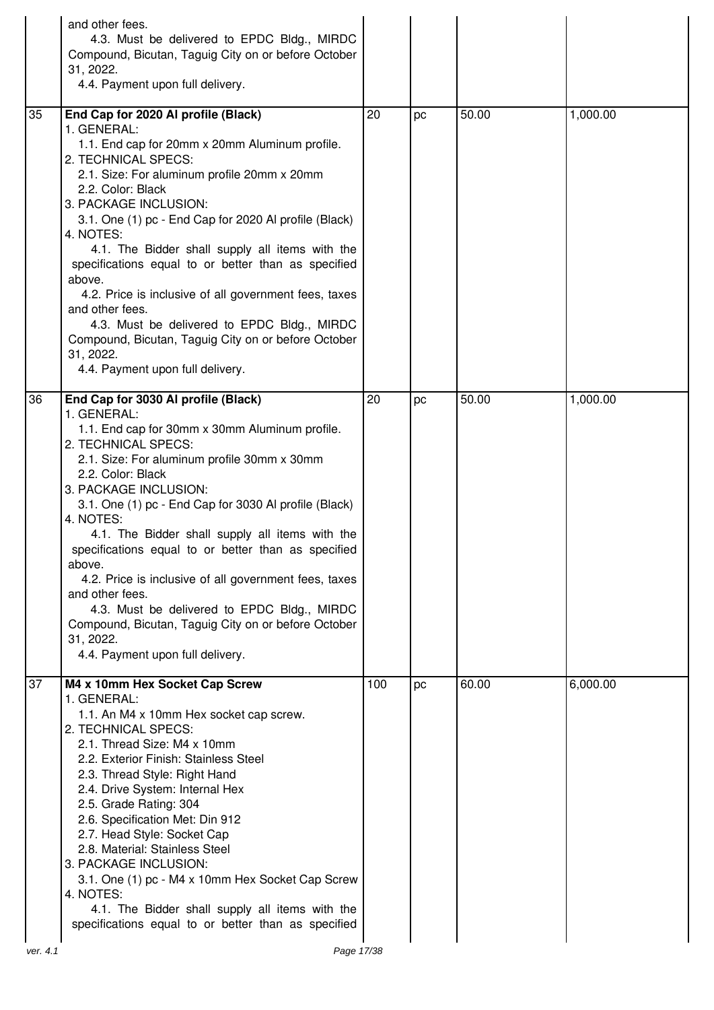|    | and other fees.<br>4.3. Must be delivered to EPDC Bldg., MIRDC<br>Compound, Bicutan, Taguig City on or before October<br>31, 2022.<br>4.4. Payment upon full delivery.                                                                                                                                                                                                                                                                                                                                                                                                                                                                                |     |    |       |          |
|----|-------------------------------------------------------------------------------------------------------------------------------------------------------------------------------------------------------------------------------------------------------------------------------------------------------------------------------------------------------------------------------------------------------------------------------------------------------------------------------------------------------------------------------------------------------------------------------------------------------------------------------------------------------|-----|----|-------|----------|
| 35 | End Cap for 2020 Al profile (Black)<br>1. GENERAL:<br>1.1. End cap for 20mm x 20mm Aluminum profile.<br>2. TECHNICAL SPECS:<br>2.1. Size: For aluminum profile 20mm x 20mm<br>2.2. Color: Black<br>3. PACKAGE INCLUSION:<br>3.1. One (1) pc - End Cap for 2020 Al profile (Black)<br>4. NOTES:<br>4.1. The Bidder shall supply all items with the<br>specifications equal to or better than as specified<br>above.<br>4.2. Price is inclusive of all government fees, taxes<br>and other fees.<br>4.3. Must be delivered to EPDC Bldg., MIRDC<br>Compound, Bicutan, Taguig City on or before October<br>31, 2022.<br>4.4. Payment upon full delivery. | 20  | pc | 50.00 | 1,000.00 |
| 36 | End Cap for 3030 Al profile (Black)<br>1. GENERAL:<br>1.1. End cap for 30mm x 30mm Aluminum profile.<br>2. TECHNICAL SPECS:<br>2.1. Size: For aluminum profile 30mm x 30mm<br>2.2. Color: Black<br>3. PACKAGE INCLUSION:<br>3.1. One (1) pc - End Cap for 3030 Al profile (Black)<br>4. NOTES:<br>4.1. The Bidder shall supply all items with the<br>specifications equal to or better than as specified<br>above.<br>4.2. Price is inclusive of all government fees, taxes<br>and other fees.<br>4.3. Must be delivered to EPDC Bldg., MIRDC<br>Compound, Bicutan, Taguig City on or before October<br>31, 2022.<br>4.4. Payment upon full delivery. | 20  | pc | 50.00 | 1,000.00 |
| 37 | M4 x 10mm Hex Socket Cap Screw<br>1. GENERAL:<br>1.1. An M4 x 10mm Hex socket cap screw.<br>2. TECHNICAL SPECS:<br>2.1. Thread Size: M4 x 10mm<br>2.2. Exterior Finish: Stainless Steel<br>2.3. Thread Style: Right Hand<br>2.4. Drive System: Internal Hex<br>2.5. Grade Rating: 304<br>2.6. Specification Met: Din 912<br>2.7. Head Style: Socket Cap<br>2.8. Material: Stainless Steel<br>3. PACKAGE INCLUSION:<br>3.1. One (1) pc - M4 x 10mm Hex Socket Cap Screw<br>4. NOTES:<br>4.1. The Bidder shall supply all items with the<br>specifications equal to or better than as specified                                                         | 100 | pc | 60.00 | 6,000.00 |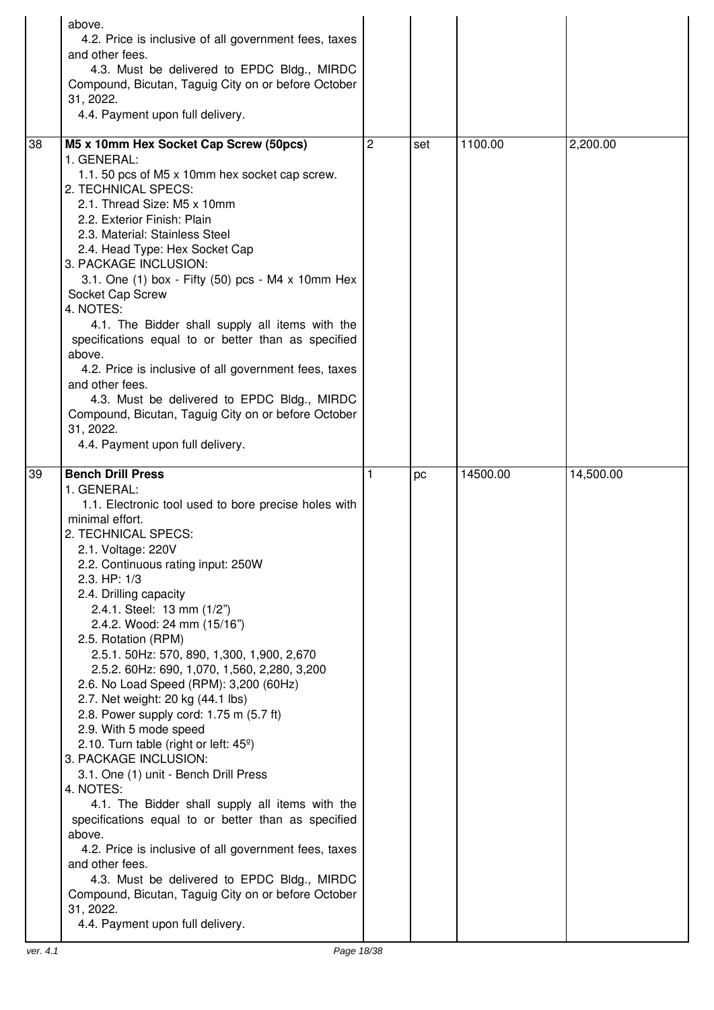|    | above.<br>4.2. Price is inclusive of all government fees, taxes<br>and other fees.<br>4.3. Must be delivered to EPDC Bldg., MIRDC<br>Compound, Bicutan, Taguig City on or before October<br>31, 2022.<br>4.4. Payment upon full delivery.                                                                                                                                                                                                                                                                                                                                                                                                                                                                                                                                                                                                                                                                                                                                                                                                                                    |   |     |          |           |
|----|------------------------------------------------------------------------------------------------------------------------------------------------------------------------------------------------------------------------------------------------------------------------------------------------------------------------------------------------------------------------------------------------------------------------------------------------------------------------------------------------------------------------------------------------------------------------------------------------------------------------------------------------------------------------------------------------------------------------------------------------------------------------------------------------------------------------------------------------------------------------------------------------------------------------------------------------------------------------------------------------------------------------------------------------------------------------------|---|-----|----------|-----------|
| 38 | M5 x 10mm Hex Socket Cap Screw (50pcs)<br>1. GENERAL:<br>1.1. 50 pcs of M5 x 10mm hex socket cap screw.<br>2. TECHNICAL SPECS:<br>2.1. Thread Size: M5 x 10mm<br>2.2. Exterior Finish: Plain<br>2.3. Material: Stainless Steel<br>2.4. Head Type: Hex Socket Cap<br>3. PACKAGE INCLUSION:<br>3.1. One (1) box - Fifty (50) pcs - M4 x 10mm Hex<br>Socket Cap Screw<br>4. NOTES:<br>4.1. The Bidder shall supply all items with the<br>specifications equal to or better than as specified<br>above.<br>4.2. Price is inclusive of all government fees, taxes<br>and other fees.<br>4.3. Must be delivered to EPDC Bldg., MIRDC<br>Compound, Bicutan, Taguig City on or before October<br>31, 2022.<br>4.4. Payment upon full delivery.                                                                                                                                                                                                                                                                                                                                       | 2 | set | 1100.00  | 2,200.00  |
| 39 | <b>Bench Drill Press</b><br>1. GENERAL:<br>1.1. Electronic tool used to bore precise holes with<br>minimal effort.<br>2. TECHNICAL SPECS:<br>2.1. Voltage: 220V<br>2.2. Continuous rating input: 250W<br>2.3. HP: 1/3<br>2.4. Drilling capacity<br>2.4.1. Steel: 13 mm (1/2")<br>2.4.2. Wood: 24 mm (15/16")<br>2.5. Rotation (RPM)<br>2.5.1. 50Hz: 570, 890, 1,300, 1,900, 2,670<br>2.5.2. 60Hz: 690, 1,070, 1,560, 2,280, 3,200<br>2.6. No Load Speed (RPM): 3,200 (60Hz)<br>2.7. Net weight: 20 kg (44.1 lbs)<br>2.8. Power supply cord: 1.75 m (5.7 ft)<br>2.9. With 5 mode speed<br>2.10. Turn table (right or left: $45^\circ$ )<br>3. PACKAGE INCLUSION:<br>3.1. One (1) unit - Bench Drill Press<br>4. NOTES:<br>4.1. The Bidder shall supply all items with the<br>specifications equal to or better than as specified<br>above.<br>4.2. Price is inclusive of all government fees, taxes<br>and other fees.<br>4.3. Must be delivered to EPDC Bldg., MIRDC<br>Compound, Bicutan, Taguig City on or before October<br>31, 2022.<br>4.4. Payment upon full delivery. | 1 | pc  | 14500.00 | 14,500.00 |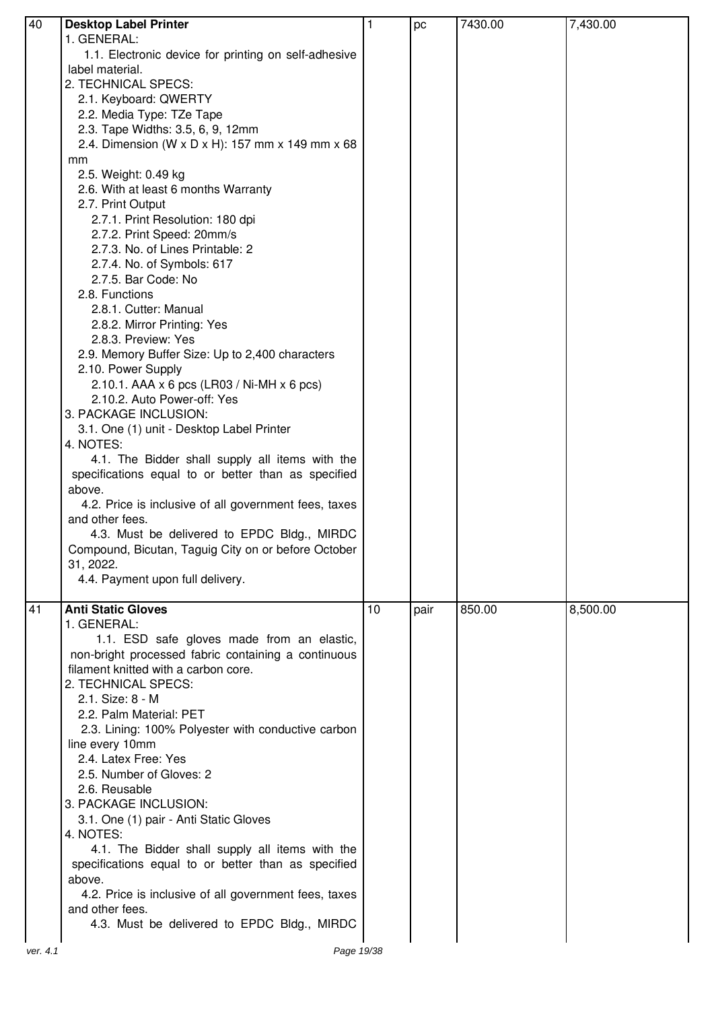| 40 | <b>Desktop Label Printer</b>                          | 1  | pc   | 7430.00 | 7,430.00 |
|----|-------------------------------------------------------|----|------|---------|----------|
|    | 1. GENERAL:                                           |    |      |         |          |
|    |                                                       |    |      |         |          |
|    | 1.1. Electronic device for printing on self-adhesive  |    |      |         |          |
|    | label material.                                       |    |      |         |          |
|    | 2. TECHNICAL SPECS:                                   |    |      |         |          |
|    | 2.1. Keyboard: QWERTY                                 |    |      |         |          |
|    | 2.2. Media Type: TZe Tape                             |    |      |         |          |
|    | 2.3. Tape Widths: 3.5, 6, 9, 12mm                     |    |      |         |          |
|    | 2.4. Dimension (W x D x H): 157 mm x 149 mm x 68      |    |      |         |          |
|    | mm                                                    |    |      |         |          |
|    | 2.5. Weight: 0.49 kg                                  |    |      |         |          |
|    | 2.6. With at least 6 months Warranty                  |    |      |         |          |
|    | 2.7. Print Output                                     |    |      |         |          |
|    |                                                       |    |      |         |          |
|    | 2.7.1. Print Resolution: 180 dpi                      |    |      |         |          |
|    | 2.7.2. Print Speed: 20mm/s                            |    |      |         |          |
|    | 2.7.3. No. of Lines Printable: 2                      |    |      |         |          |
|    | 2.7.4. No. of Symbols: 617                            |    |      |         |          |
|    | 2.7.5. Bar Code: No                                   |    |      |         |          |
|    | 2.8. Functions                                        |    |      |         |          |
|    | 2.8.1. Cutter: Manual                                 |    |      |         |          |
|    | 2.8.2. Mirror Printing: Yes                           |    |      |         |          |
|    | 2.8.3. Preview: Yes                                   |    |      |         |          |
|    | 2.9. Memory Buffer Size: Up to 2,400 characters       |    |      |         |          |
|    | 2.10. Power Supply                                    |    |      |         |          |
|    | 2.10.1. AAA x 6 pcs (LR03 / Ni-MH x 6 pcs)            |    |      |         |          |
|    | 2.10.2. Auto Power-off: Yes                           |    |      |         |          |
|    |                                                       |    |      |         |          |
|    | 3. PACKAGE INCLUSION:                                 |    |      |         |          |
|    | 3.1. One (1) unit - Desktop Label Printer             |    |      |         |          |
|    | 4. NOTES:                                             |    |      |         |          |
|    | 4.1. The Bidder shall supply all items with the       |    |      |         |          |
|    | specifications equal to or better than as specified   |    |      |         |          |
|    | above.                                                |    |      |         |          |
|    | 4.2. Price is inclusive of all government fees, taxes |    |      |         |          |
|    | and other fees.                                       |    |      |         |          |
|    | 4.3. Must be delivered to EPDC Bldg., MIRDC           |    |      |         |          |
|    | Compound, Bicutan, Taguig City on or before October   |    |      |         |          |
|    | 31, 2022.                                             |    |      |         |          |
|    | 4.4. Payment upon full delivery.                      |    |      |         |          |
|    |                                                       |    |      |         |          |
| 41 | <b>Anti Static Gloves</b>                             | 10 | pair | 850.00  | 8,500.00 |
|    |                                                       |    |      |         |          |
|    | 1. GENERAL:                                           |    |      |         |          |
|    | 1.1. ESD safe gloves made from an elastic,            |    |      |         |          |
|    | non-bright processed fabric containing a continuous   |    |      |         |          |
|    | filament knitted with a carbon core.                  |    |      |         |          |
|    | 2. TECHNICAL SPECS:                                   |    |      |         |          |
|    | 2.1. Size: 8 - M                                      |    |      |         |          |
|    | 2.2. Palm Material: PET                               |    |      |         |          |
|    | 2.3. Lining: 100% Polyester with conductive carbon    |    |      |         |          |
|    | line every 10mm                                       |    |      |         |          |
|    | 2.4. Latex Free: Yes                                  |    |      |         |          |
|    | 2.5. Number of Gloves: 2                              |    |      |         |          |
|    | 2.6. Reusable                                         |    |      |         |          |
|    | 3. PACKAGE INCLUSION:                                 |    |      |         |          |
|    |                                                       |    |      |         |          |
|    | 3.1. One (1) pair - Anti Static Gloves                |    |      |         |          |
|    | 4. NOTES:                                             |    |      |         |          |
|    | 4.1. The Bidder shall supply all items with the       |    |      |         |          |
|    | specifications equal to or better than as specified   |    |      |         |          |
|    | above.                                                |    |      |         |          |
|    | 4.2. Price is inclusive of all government fees, taxes |    |      |         |          |
|    | and other fees.                                       |    |      |         |          |
|    | 4.3. Must be delivered to EPDC Bldg., MIRDC           |    |      |         |          |
|    |                                                       |    |      |         |          |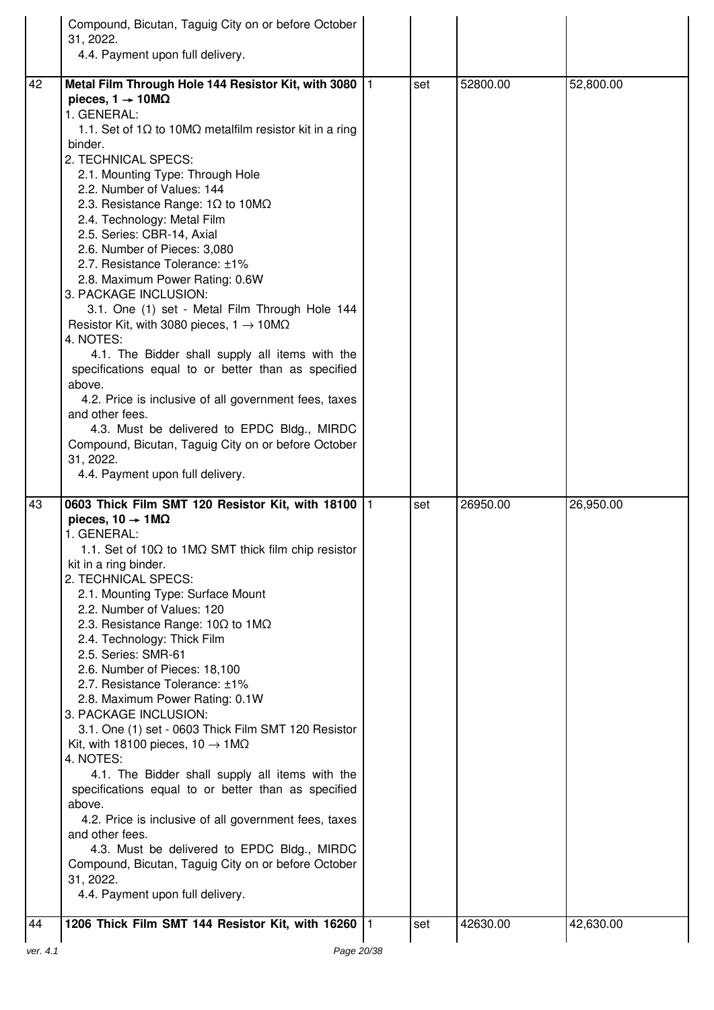|    | Compound, Bicutan, Taguig City on or before October<br>31, 2022.<br>4.4. Payment upon full delivery.                                                                                                                                                                                                                                                                                                                                                                                                                                                                                                                                                                                                                                                                                                                                                                                                                                                                                                                                        |     |          |           |
|----|---------------------------------------------------------------------------------------------------------------------------------------------------------------------------------------------------------------------------------------------------------------------------------------------------------------------------------------------------------------------------------------------------------------------------------------------------------------------------------------------------------------------------------------------------------------------------------------------------------------------------------------------------------------------------------------------------------------------------------------------------------------------------------------------------------------------------------------------------------------------------------------------------------------------------------------------------------------------------------------------------------------------------------------------|-----|----------|-----------|
| 42 | Metal Film Through Hole 144 Resistor Kit, with 3080   1<br>pieces, $1 \rightarrow 10 \text{M}\Omega$<br>1. GENERAL:<br>1.1. Set of 1 $\Omega$ to 10M $\Omega$ metalfilm resistor kit in a ring<br>binder.<br>2. TECHNICAL SPECS:<br>2.1. Mounting Type: Through Hole<br>2.2. Number of Values: 144<br>2.3. Resistance Range: $1\Omega$ to $10M\Omega$<br>2.4. Technology: Metal Film<br>2.5. Series: CBR-14, Axial<br>2.6. Number of Pieces: 3,080<br>2.7. Resistance Tolerance: ±1%<br>2.8. Maximum Power Rating: 0.6W<br>3. PACKAGE INCLUSION:<br>3.1. One (1) set - Metal Film Through Hole 144<br>Resistor Kit, with 3080 pieces, $1 \rightarrow 10 \text{M}\Omega$<br>4. NOTES:<br>4.1. The Bidder shall supply all items with the<br>specifications equal to or better than as specified<br>above.<br>4.2. Price is inclusive of all government fees, taxes<br>and other fees.<br>4.3. Must be delivered to EPDC Bldg., MIRDC<br>Compound, Bicutan, Taguig City on or before October<br>31, 2022.<br>4.4. Payment upon full delivery. | set | 52800.00 | 52,800.00 |
| 43 | 0603 Thick Film SMT 120 Resistor Kit, with 18100 1<br>pieces, $10 \rightarrow 1 \text{M}\Omega$<br>1. GENERAL:<br>1.1. Set of 10Ω to 1MΩ SMT thick film chip resistor<br>kit in a ring binder.<br>2. TECHNICAL SPECS:<br>2.1. Mounting Type: Surface Mount<br>2.2. Number of Values: 120<br>2.3. Resistance Range: $10\Omega$ to $1\text{M}\Omega$<br>2.4. Technology: Thick Film<br>2.5. Series: SMR-61<br>2.6. Number of Pieces: 18,100<br>2.7. Resistance Tolerance: ±1%<br>2.8. Maximum Power Rating: 0.1W<br>3. PACKAGE INCLUSION:<br>3.1. One (1) set - 0603 Thick Film SMT 120 Resistor<br>Kit, with 18100 pieces, $10 \rightarrow 1 \text{M}\Omega$<br>4. NOTES:<br>4.1. The Bidder shall supply all items with the<br>specifications equal to or better than as specified<br>above.<br>4.2. Price is inclusive of all government fees, taxes<br>and other fees.<br>4.3. Must be delivered to EPDC Bldg., MIRDC<br>Compound, Bicutan, Taguig City on or before October<br>31, 2022.<br>4.4. Payment upon full delivery.             | set | 26950.00 | 26,950.00 |
| 44 | 1206 Thick Film SMT 144 Resistor Kit, with 16260  1                                                                                                                                                                                                                                                                                                                                                                                                                                                                                                                                                                                                                                                                                                                                                                                                                                                                                                                                                                                         | set | 42630.00 | 42,630.00 |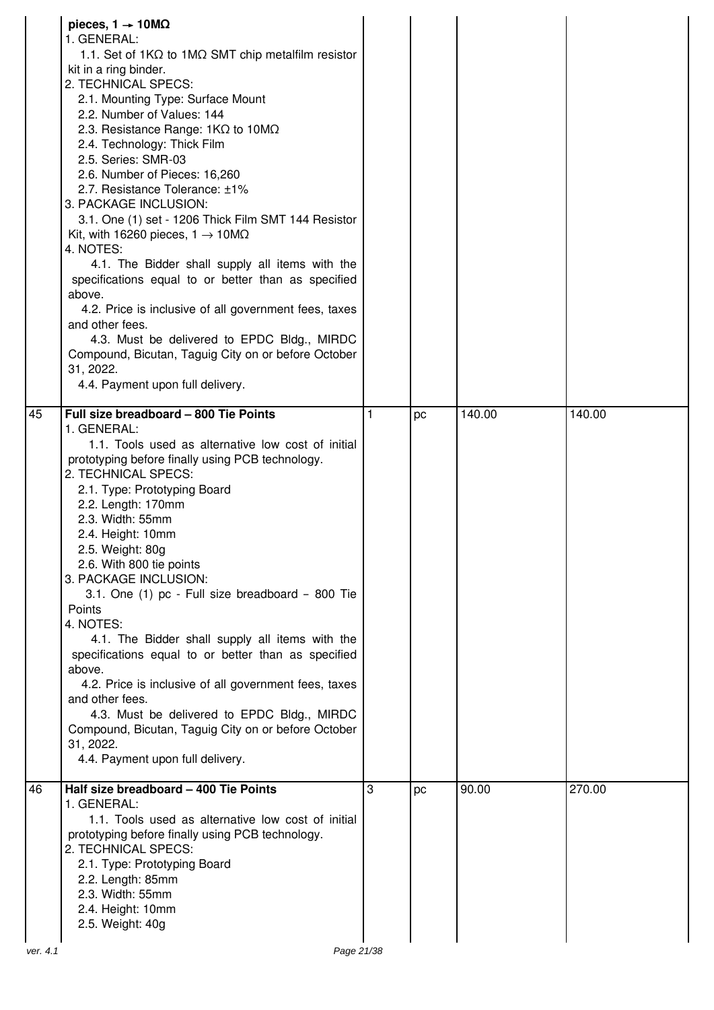|          | pieces, $1 \rightarrow 10 \text{M}\Omega$<br>1. GENERAL:<br>1.1. Set of $1K\Omega$ to $1M\Omega$ SMT chip metalfilm resistor<br>kit in a ring binder.<br>2. TECHNICAL SPECS:<br>2.1. Mounting Type: Surface Mount<br>2.2. Number of Values: 144<br>2.3. Resistance Range: $1K\Omega$ to $10M\Omega$<br>2.4. Technology: Thick Film<br>2.5. Series: SMR-03<br>2.6. Number of Pieces: 16,260<br>2.7. Resistance Tolerance: ±1%<br>3. PACKAGE INCLUSION:<br>3.1. One (1) set - 1206 Thick Film SMT 144 Resistor<br>Kit, with 16260 pieces, $1 \rightarrow 10 \text{M}\Omega$<br>4. NOTES:<br>4.1. The Bidder shall supply all items with the<br>specifications equal to or better than as specified<br>above.<br>4.2. Price is inclusive of all government fees, taxes<br>and other fees.<br>4.3. Must be delivered to EPDC Bldg., MIRDC<br>Compound, Bicutan, Taguig City on or before October<br>31, 2022.<br>4.4. Payment upon full delivery. |   |    |        |        |
|----------|-----------------------------------------------------------------------------------------------------------------------------------------------------------------------------------------------------------------------------------------------------------------------------------------------------------------------------------------------------------------------------------------------------------------------------------------------------------------------------------------------------------------------------------------------------------------------------------------------------------------------------------------------------------------------------------------------------------------------------------------------------------------------------------------------------------------------------------------------------------------------------------------------------------------------------------------------|---|----|--------|--------|
| 45       | Full size breadboard - 800 Tie Points<br>1. GENERAL:<br>1.1. Tools used as alternative low cost of initial<br>prototyping before finally using PCB technology.<br>2. TECHNICAL SPECS:<br>2.1. Type: Prototyping Board<br>2.2. Length: 170mm<br>2.3. Width: 55mm<br>2.4. Height: 10mm<br>2.5. Weight: 80g<br>2.6. With 800 tie points<br>3. PACKAGE INCLUSION:<br>3.1. One (1) pc - Full size breadboard - 800 Tie<br><b>Points</b><br>4. NOTES:<br>4.1. The Bidder shall supply all items with the<br>specifications equal to or better than as specified<br>above.<br>4.2. Price is inclusive of all government fees, taxes<br>and other fees.<br>4.3. Must be delivered to EPDC Bldg., MIRDC<br>Compound, Bicutan, Taguig City on or before October<br>31, 2022.<br>4.4. Payment upon full delivery.                                                                                                                                        | 1 | рc | 140.00 | 140.00 |
| 46       | Half size breadboard - 400 Tie Points<br>1. GENERAL:<br>1.1. Tools used as alternative low cost of initial<br>prototyping before finally using PCB technology.<br>2. TECHNICAL SPECS:<br>2.1. Type: Prototyping Board<br>2.2. Length: 85mm<br>2.3. Width: 55mm<br>2.4. Height: 10mm<br>2.5. Weight: 40g                                                                                                                                                                                                                                                                                                                                                                                                                                                                                                                                                                                                                                       | 3 | pc | 90.00  | 270.00 |
| ver. 4.1 | Page 21/38                                                                                                                                                                                                                                                                                                                                                                                                                                                                                                                                                                                                                                                                                                                                                                                                                                                                                                                                    |   |    |        |        |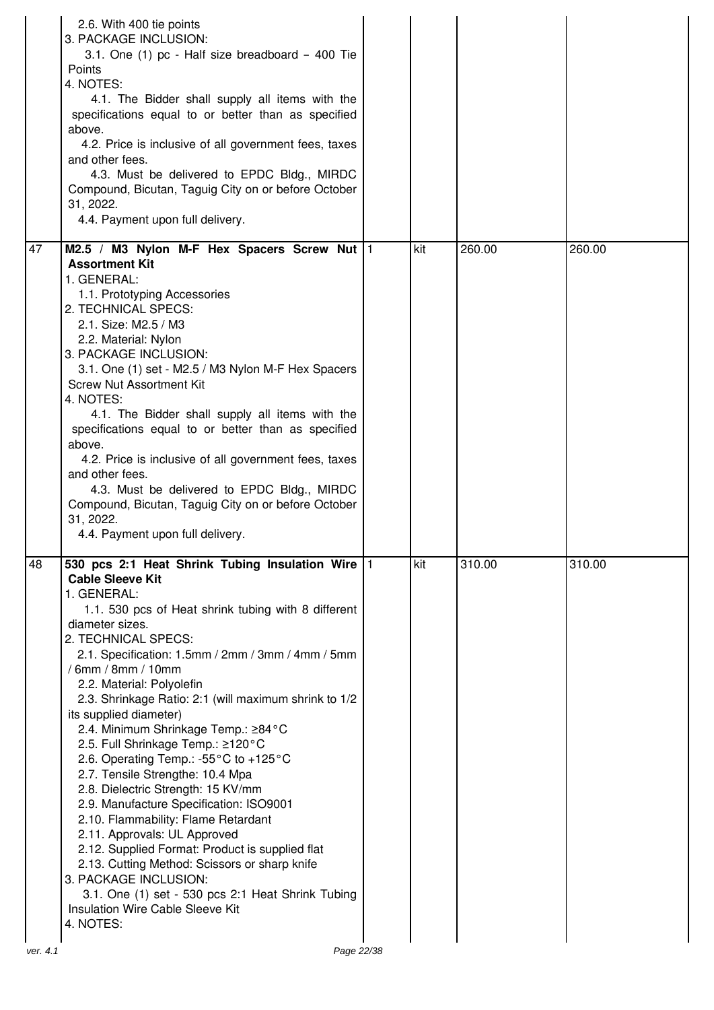| M2.5 / M3 Nylon M-F Hex Spacers Screw Nut  1<br>kit<br>260.00<br>260.00<br><b>Assortment Kit</b><br>1. GENERAL:<br>1.1. Prototyping Accessories<br>2. TECHNICAL SPECS:<br>2.1. Size: M2.5 / M3<br>2.2. Material: Nylon<br>3. PACKAGE INCLUSION:<br>3.1. One (1) set - M2.5 / M3 Nylon M-F Hex Spacers<br><b>Screw Nut Assortment Kit</b><br>4. NOTES:<br>4.1. The Bidder shall supply all items with the<br>specifications equal to or better than as specified<br>above.<br>4.2. Price is inclusive of all government fees, taxes<br>and other fees.<br>4.3. Must be delivered to EPDC Bldg., MIRDC<br>Compound, Bicutan, Taguig City on or before October<br>31, 2022.<br>4.4. Payment upon full delivery.<br>530 pcs 2:1 Heat Shrink Tubing Insulation Wire   1<br>kit<br>310.00<br>310.00<br><b>Cable Sleeve Kit</b><br>1. GENERAL:<br>1.1. 530 pcs of Heat shrink tubing with 8 different<br>diameter sizes.<br>2. TECHNICAL SPECS:<br>2.1. Specification: 1.5mm / 2mm / 3mm / 4mm / 5mm<br>/ 6mm / 8mm / 10mm<br>2.2. Material: Polyolefin<br>2.3. Shrinkage Ratio: 2:1 (will maximum shrink to 1/2<br>its supplied diameter)<br>2.4. Minimum Shrinkage Temp.: ≥84°C<br>2.5. Full Shrinkage Temp.: ≥120°C<br>2.6. Operating Temp.: -55°C to +125°C<br>2.7. Tensile Strengthe: 10.4 Mpa<br>2.8. Dielectric Strength: 15 KV/mm<br>2.9. Manufacture Specification: ISO9001<br>2.10. Flammability: Flame Retardant<br>2.11. Approvals: UL Approved<br>2.12. Supplied Format: Product is supplied flat<br>2.13. Cutting Method: Scissors or sharp knife<br>3. PACKAGE INCLUSION:<br>3.1. One (1) set - 530 pcs 2:1 Heat Shrink Tubing<br>Insulation Wire Cable Sleeve Kit<br>4. NOTES:<br>Page 22/38<br>ver. 4.1 |    | 2.6. With 400 tie points<br>3. PACKAGE INCLUSION:<br>3.1. One (1) pc - Half size breadboard - 400 Tie<br>Points<br>4. NOTES:<br>4.1. The Bidder shall supply all items with the<br>specifications equal to or better than as specified<br>above.<br>4.2. Price is inclusive of all government fees, taxes<br>and other fees.<br>4.3. Must be delivered to EPDC Bldg., MIRDC<br>Compound, Bicutan, Taguig City on or before October<br>31, 2022.<br>4.4. Payment upon full delivery. |  |  |
|-------------------------------------------------------------------------------------------------------------------------------------------------------------------------------------------------------------------------------------------------------------------------------------------------------------------------------------------------------------------------------------------------------------------------------------------------------------------------------------------------------------------------------------------------------------------------------------------------------------------------------------------------------------------------------------------------------------------------------------------------------------------------------------------------------------------------------------------------------------------------------------------------------------------------------------------------------------------------------------------------------------------------------------------------------------------------------------------------------------------------------------------------------------------------------------------------------------------------------------------------------------------------------------------------------------------------------------------------------------------------------------------------------------------------------------------------------------------------------------------------------------------------------------------------------------------------------------------------------------------------------------------------------------------------------------------------------------------|----|-------------------------------------------------------------------------------------------------------------------------------------------------------------------------------------------------------------------------------------------------------------------------------------------------------------------------------------------------------------------------------------------------------------------------------------------------------------------------------------|--|--|
|                                                                                                                                                                                                                                                                                                                                                                                                                                                                                                                                                                                                                                                                                                                                                                                                                                                                                                                                                                                                                                                                                                                                                                                                                                                                                                                                                                                                                                                                                                                                                                                                                                                                                                                   | 47 |                                                                                                                                                                                                                                                                                                                                                                                                                                                                                     |  |  |
|                                                                                                                                                                                                                                                                                                                                                                                                                                                                                                                                                                                                                                                                                                                                                                                                                                                                                                                                                                                                                                                                                                                                                                                                                                                                                                                                                                                                                                                                                                                                                                                                                                                                                                                   | 48 |                                                                                                                                                                                                                                                                                                                                                                                                                                                                                     |  |  |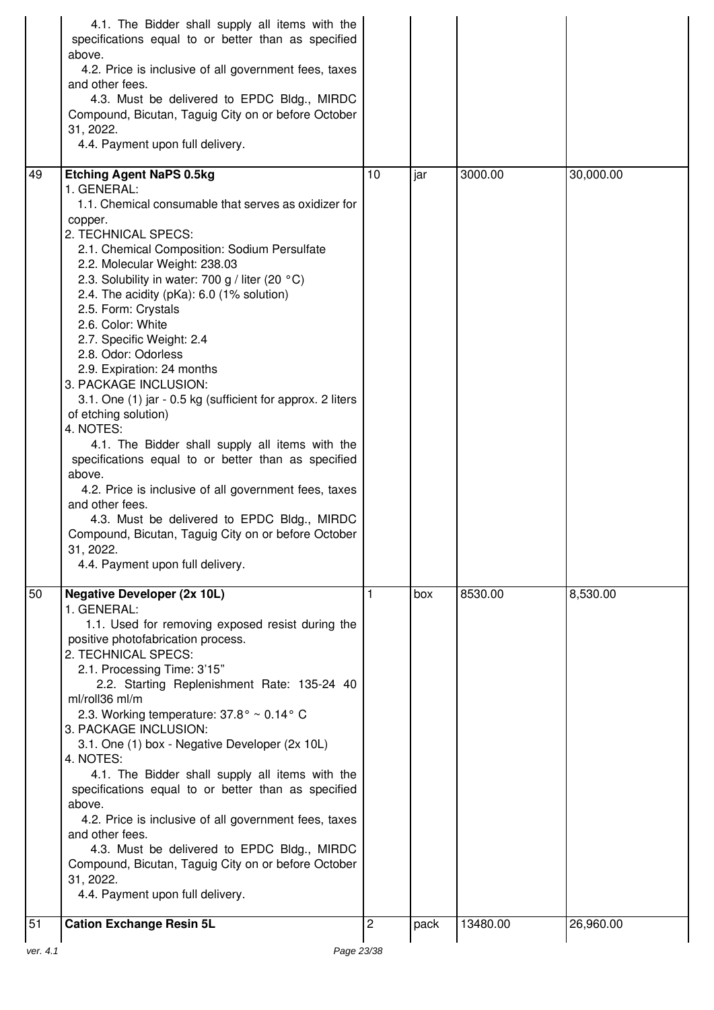|          | 4.1. The Bidder shall supply all items with the<br>specifications equal to or better than as specified<br>above.<br>4.2. Price is inclusive of all government fees, taxes<br>and other fees.<br>4.3. Must be delivered to EPDC Bldg., MIRDC<br>Compound, Bicutan, Taguig City on or before October<br>31, 2022.<br>4.4. Payment upon full delivery.                                                                                                                                                                                                                                                                                                                                                                                                                                                                                                                                                                                       |    |      |          |           |
|----------|-------------------------------------------------------------------------------------------------------------------------------------------------------------------------------------------------------------------------------------------------------------------------------------------------------------------------------------------------------------------------------------------------------------------------------------------------------------------------------------------------------------------------------------------------------------------------------------------------------------------------------------------------------------------------------------------------------------------------------------------------------------------------------------------------------------------------------------------------------------------------------------------------------------------------------------------|----|------|----------|-----------|
| 49       | <b>Etching Agent NaPS 0.5kg</b><br>1. GENERAL:<br>1.1. Chemical consumable that serves as oxidizer for<br>copper.<br>2. TECHNICAL SPECS:<br>2.1. Chemical Composition: Sodium Persulfate<br>2.2. Molecular Weight: 238.03<br>2.3. Solubility in water: 700 g / liter (20 °C)<br>2.4. The acidity (pKa): 6.0 (1% solution)<br>2.5. Form: Crystals<br>2.6. Color: White<br>2.7. Specific Weight: 2.4<br>2.8. Odor: Odorless<br>2.9. Expiration: 24 months<br>3. PACKAGE INCLUSION:<br>3.1. One (1) jar - 0.5 kg (sufficient for approx. 2 liters<br>of etching solution)<br>4. NOTES:<br>4.1. The Bidder shall supply all items with the<br>specifications equal to or better than as specified<br>above.<br>4.2. Price is inclusive of all government fees, taxes<br>and other fees.<br>4.3. Must be delivered to EPDC Bldg., MIRDC<br>Compound, Bicutan, Taguig City on or before October<br>31.2022.<br>4.4. Payment upon full delivery. | 10 | jar  | 3000.00  | 30,000.00 |
| 50<br>51 | <b>Negative Developer (2x 10L)</b><br>1. GENERAL:<br>1.1. Used for removing exposed resist during the<br>positive photofabrication process.<br>2. TECHNICAL SPECS:<br>2.1. Processing Time: 3'15"<br>2.2. Starting Replenishment Rate: 135-24 40<br>ml/roll36 ml/m<br>2.3. Working temperature: 37.8° ~ 0.14° C<br>3. PACKAGE INCLUSION:<br>3.1. One (1) box - Negative Developer (2x 10L)<br>4. NOTES:<br>4.1. The Bidder shall supply all items with the<br>specifications equal to or better than as specified<br>above.<br>4.2. Price is inclusive of all government fees, taxes<br>and other fees.<br>4.3. Must be delivered to EPDC Bldg., MIRDC<br>Compound, Bicutan, Taguig City on or before October<br>31, 2022.<br>4.4. Payment upon full delivery.                                                                                                                                                                            | 1  | box  | 8530.00  | 8,530.00  |
|          | <b>Cation Exchange Resin 5L</b>                                                                                                                                                                                                                                                                                                                                                                                                                                                                                                                                                                                                                                                                                                                                                                                                                                                                                                           | 2  | pack | 13480.00 | 26,960.00 |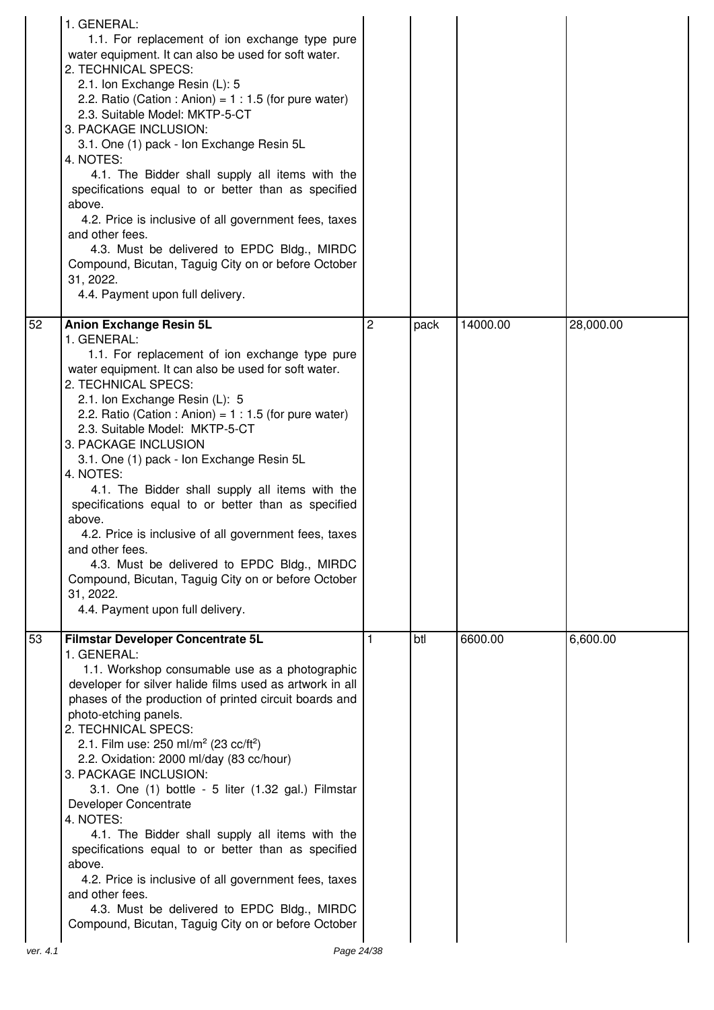|                | 1. GENERAL:<br>1.1. For replacement of ion exchange type pure<br>water equipment. It can also be used for soft water.<br>2. TECHNICAL SPECS:<br>2.1. Ion Exchange Resin (L): 5<br>2.2. Ratio (Cation : Anion) = $1:1.5$ (for pure water)<br>2.3. Suitable Model: MKTP-5-CT<br>3. PACKAGE INCLUSION:<br>3.1. One (1) pack - Ion Exchange Resin 5L<br>4. NOTES:<br>4.1. The Bidder shall supply all items with the<br>specifications equal to or better than as specified<br>above.<br>4.2. Price is inclusive of all government fees, taxes<br>and other fees.<br>4.3. Must be delivered to EPDC Bldg., MIRDC<br>Compound, Bicutan, Taguig City on or before October<br>31, 2022.<br>4.4. Payment upon full delivery.                                                                                                           |                |      |          |           |
|----------------|--------------------------------------------------------------------------------------------------------------------------------------------------------------------------------------------------------------------------------------------------------------------------------------------------------------------------------------------------------------------------------------------------------------------------------------------------------------------------------------------------------------------------------------------------------------------------------------------------------------------------------------------------------------------------------------------------------------------------------------------------------------------------------------------------------------------------------|----------------|------|----------|-----------|
| 52             | <b>Anion Exchange Resin 5L</b><br>1. GENERAL:<br>1.1. For replacement of ion exchange type pure<br>water equipment. It can also be used for soft water.<br>2. TECHNICAL SPECS:<br>2.1. Ion Exchange Resin (L): 5<br>2.2. Ratio (Cation : Anion) = $1:1.5$ (for pure water)<br>2.3. Suitable Model: MKTP-5-CT<br>3. PACKAGE INCLUSION<br>3.1. One (1) pack - Ion Exchange Resin 5L<br>4. NOTES:<br>4.1. The Bidder shall supply all items with the<br>specifications equal to or better than as specified<br>above.<br>4.2. Price is inclusive of all government fees, taxes<br>and other fees.<br>4.3. Must be delivered to EPDC Bldg., MIRDC<br>Compound, Bicutan, Taguig City on or before October<br>31, 2022.<br>4.4. Payment upon full delivery.                                                                          | $\overline{2}$ | pack | 14000.00 | 28,000.00 |
| 53<br>ver. 4.1 | Filmstar Developer Concentrate 5L<br>1. GENERAL:<br>1.1. Workshop consumable use as a photographic<br>developer for silver halide films used as artwork in all<br>phases of the production of printed circuit boards and<br>photo-etching panels.<br>2. TECHNICAL SPECS:<br>2.1. Film use: 250 ml/m <sup>2</sup> (23 cc/ft <sup>2</sup> )<br>2.2. Oxidation: 2000 ml/day (83 cc/hour)<br>3. PACKAGE INCLUSION:<br>3.1. One (1) bottle - 5 liter (1.32 gal.) Filmstar<br>Developer Concentrate<br>4. NOTES:<br>4.1. The Bidder shall supply all items with the<br>specifications equal to or better than as specified<br>above.<br>4.2. Price is inclusive of all government fees, taxes<br>and other fees.<br>4.3. Must be delivered to EPDC Bldg., MIRDC<br>Compound, Bicutan, Taguig City on or before October<br>Page 24/38 | 1              | btl  | 6600.00  | 6,600.00  |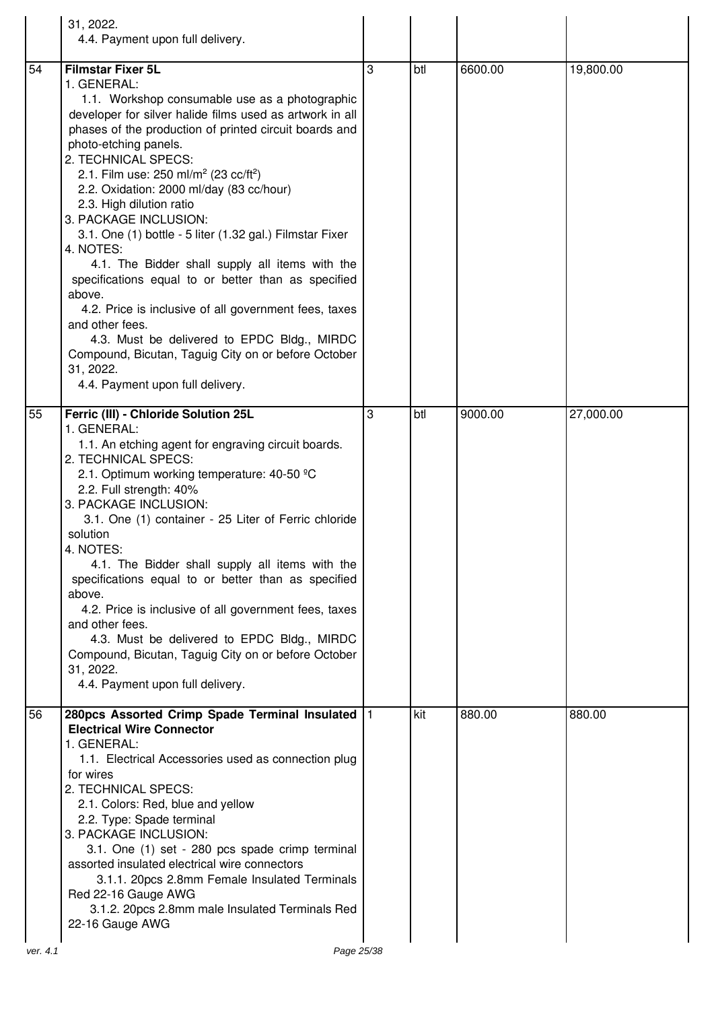|    | 31, 2022.<br>4.4. Payment upon full delivery.                                                                                                                                                                                                                                                                                                                                                                                                                                                                                                                                                                                                                                                                                                                                                                                                                     |   |     |         |           |
|----|-------------------------------------------------------------------------------------------------------------------------------------------------------------------------------------------------------------------------------------------------------------------------------------------------------------------------------------------------------------------------------------------------------------------------------------------------------------------------------------------------------------------------------------------------------------------------------------------------------------------------------------------------------------------------------------------------------------------------------------------------------------------------------------------------------------------------------------------------------------------|---|-----|---------|-----------|
| 54 | <b>Filmstar Fixer 5L</b><br>1. GENERAL:<br>1.1. Workshop consumable use as a photographic<br>developer for silver halide films used as artwork in all<br>phases of the production of printed circuit boards and<br>photo-etching panels.<br>2. TECHNICAL SPECS:<br>2.1. Film use: 250 ml/m <sup>2</sup> (23 cc/ft <sup>2</sup> )<br>2.2. Oxidation: 2000 ml/day (83 cc/hour)<br>2.3. High dilution ratio<br>3. PACKAGE INCLUSION:<br>3.1. One (1) bottle - 5 liter (1.32 gal.) Filmstar Fixer<br>4. NOTES:<br>4.1. The Bidder shall supply all items with the<br>specifications equal to or better than as specified<br>above.<br>4.2. Price is inclusive of all government fees, taxes<br>and other fees.<br>4.3. Must be delivered to EPDC Bldg., MIRDC<br>Compound, Bicutan, Taguig City on or before October<br>31, 2022.<br>4.4. Payment upon full delivery. | 3 | btl | 6600.00 | 19,800.00 |
| 55 | Ferric (III) - Chloride Solution 25L<br>1. GENERAL:<br>1.1. An etching agent for engraving circuit boards.<br>2. TECHNICAL SPECS:<br>2.1. Optimum working temperature: 40-50 °C<br>2.2. Full strength: 40%<br>3. PACKAGE INCLUSION:<br>3.1. One (1) container - 25 Liter of Ferric chloride<br>solution<br>4. NOTES:<br>4.1. The Bidder shall supply all items with the<br>specifications equal to or better than as specified<br>above.<br>4.2. Price is inclusive of all government fees, taxes<br>and other fees.<br>4.3. Must be delivered to EPDC Bldg., MIRDC<br>Compound, Bicutan, Taguig City on or before October<br>31, 2022.<br>4.4. Payment upon full delivery.                                                                                                                                                                                       | 3 | btl | 9000.00 | 27,000.00 |
| 56 | 280pcs Assorted Crimp Spade Terminal Insulated  1<br><b>Electrical Wire Connector</b><br>1. GENERAL:<br>1.1. Electrical Accessories used as connection plug<br>for wires<br>2. TECHNICAL SPECS:<br>2.1. Colors: Red, blue and yellow<br>2.2. Type: Spade terminal<br>3. PACKAGE INCLUSION:<br>3.1. One (1) set - 280 pcs spade crimp terminal<br>assorted insulated electrical wire connectors<br>3.1.1. 20pcs 2.8mm Female Insulated Terminals<br>Red 22-16 Gauge AWG<br>3.1.2. 20pcs 2.8mm male Insulated Terminals Red<br>22-16 Gauge AWG                                                                                                                                                                                                                                                                                                                      |   | kit | 880.00  | 880.00    |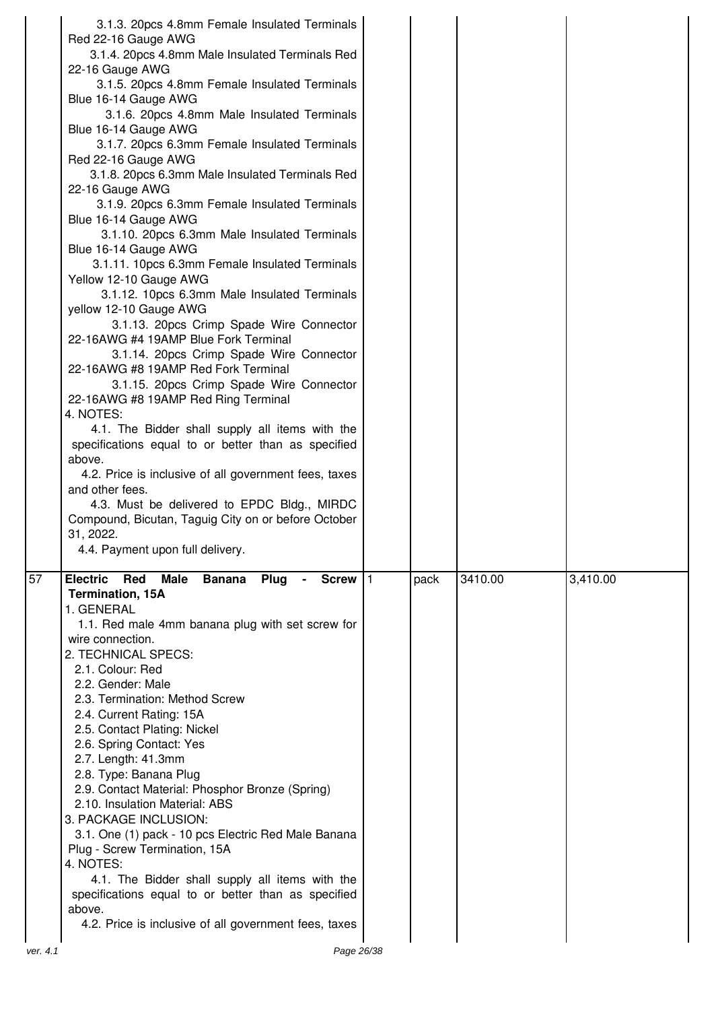|          | 3.1.3. 20pcs 4.8mm Female Insulated Terminals<br>Red 22-16 Gauge AWG<br>3.1.4. 20pcs 4.8mm Male Insulated Terminals Red<br>22-16 Gauge AWG<br>3.1.5. 20pcs 4.8mm Female Insulated Terminals<br>Blue 16-14 Gauge AWG<br>3.1.6. 20pcs 4.8mm Male Insulated Terminals<br>Blue 16-14 Gauge AWG<br>3.1.7. 20pcs 6.3mm Female Insulated Terminals<br>Red 22-16 Gauge AWG<br>3.1.8. 20pcs 6.3mm Male Insulated Terminals Red<br>22-16 Gauge AWG<br>3.1.9. 20pcs 6.3mm Female Insulated Terminals<br>Blue 16-14 Gauge AWG<br>3.1.10. 20pcs 6.3mm Male Insulated Terminals<br>Blue 16-14 Gauge AWG<br>3.1.11. 10pcs 6.3mm Female Insulated Terminals<br>Yellow 12-10 Gauge AWG<br>3.1.12. 10pcs 6.3mm Male Insulated Terminals<br>yellow 12-10 Gauge AWG<br>3.1.13. 20pcs Crimp Spade Wire Connector<br>22-16AWG #4 19AMP Blue Fork Terminal<br>3.1.14. 20pcs Crimp Spade Wire Connector<br>22-16AWG #8 19AMP Red Fork Terminal<br>3.1.15. 20pcs Crimp Spade Wire Connector<br>22-16AWG #8 19AMP Red Ring Terminal<br>4. NOTES:<br>4.1. The Bidder shall supply all items with the<br>specifications equal to or better than as specified<br>above.<br>4.2. Price is inclusive of all government fees, taxes<br>and other fees.<br>4.3. Must be delivered to EPDC Bldg., MIRDC<br>Compound, Bicutan, Taguig City on or before October<br>31, 2022. |      |         |          |
|----------|-------------------------------------------------------------------------------------------------------------------------------------------------------------------------------------------------------------------------------------------------------------------------------------------------------------------------------------------------------------------------------------------------------------------------------------------------------------------------------------------------------------------------------------------------------------------------------------------------------------------------------------------------------------------------------------------------------------------------------------------------------------------------------------------------------------------------------------------------------------------------------------------------------------------------------------------------------------------------------------------------------------------------------------------------------------------------------------------------------------------------------------------------------------------------------------------------------------------------------------------------------------------------------------------------------------------------------------------|------|---------|----------|
| 57       | 4.4. Payment upon full delivery.<br><b>Electric</b><br>Red<br><b>Male</b><br><b>Banana</b><br>Plug<br>Screw   1<br><b>Termination, 15A</b><br>1. GENERAL<br>1.1. Red male 4mm banana plug with set screw for<br>wire connection.<br>2. TECHNICAL SPECS:<br>2.1. Colour: Red<br>2.2. Gender: Male<br>2.3. Termination: Method Screw<br>2.4. Current Rating: 15A<br>2.5. Contact Plating: Nickel<br>2.6. Spring Contact: Yes<br>2.7. Length: 41.3mm<br>2.8. Type: Banana Plug<br>2.9. Contact Material: Phosphor Bronze (Spring)<br>2.10. Insulation Material: ABS<br>3. PACKAGE INCLUSION:<br>3.1. One (1) pack - 10 pcs Electric Red Male Banana<br>Plug - Screw Termination, 15A<br>4. NOTES:<br>4.1. The Bidder shall supply all items with the<br>specifications equal to or better than as specified<br>above.<br>4.2. Price is inclusive of all government fees, taxes                                                                                                                                                                                                                                                                                                                                                                                                                                                               | pack | 3410.00 | 3,410.00 |
| ver. 4.1 | Page 26/38                                                                                                                                                                                                                                                                                                                                                                                                                                                                                                                                                                                                                                                                                                                                                                                                                                                                                                                                                                                                                                                                                                                                                                                                                                                                                                                                |      |         |          |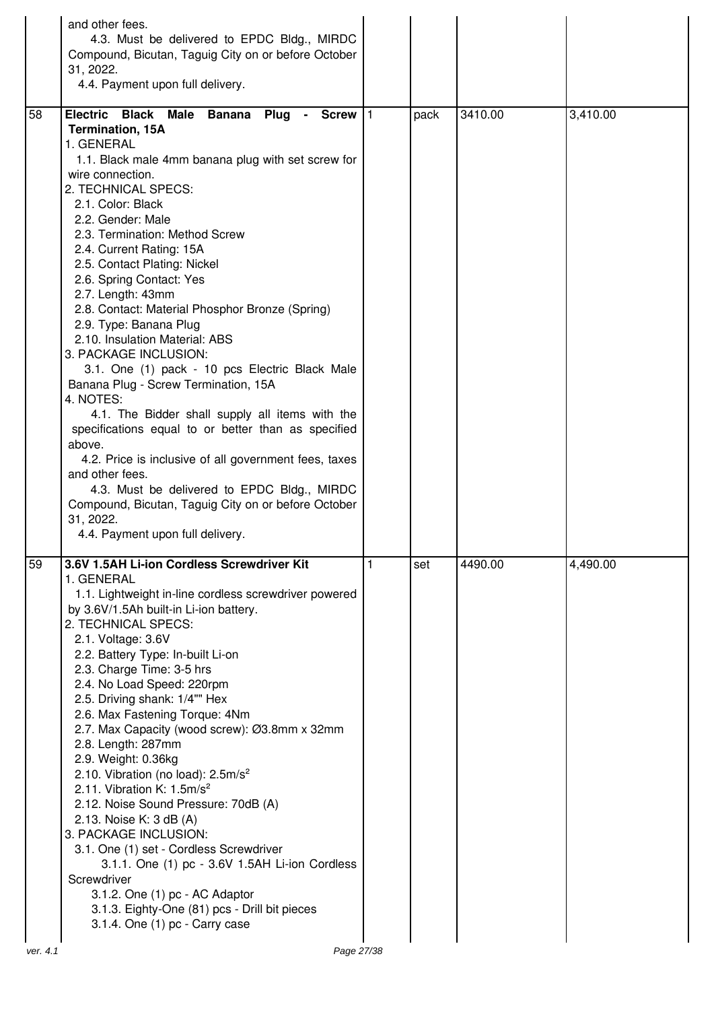|    | and other fees.<br>4.3. Must be delivered to EPDC Bldg., MIRDC<br>Compound, Bicutan, Taguig City on or before October<br>31, 2022.<br>4.4. Payment upon full delivery.                                                                                                                                                                                                                                                                                                                                                                                                                                                                                                                                                                                                                                                                                                                                                                                                                             |   |      |         |          |
|----|----------------------------------------------------------------------------------------------------------------------------------------------------------------------------------------------------------------------------------------------------------------------------------------------------------------------------------------------------------------------------------------------------------------------------------------------------------------------------------------------------------------------------------------------------------------------------------------------------------------------------------------------------------------------------------------------------------------------------------------------------------------------------------------------------------------------------------------------------------------------------------------------------------------------------------------------------------------------------------------------------|---|------|---------|----------|
| 58 | Electric Black Male Banana<br><b>Plug</b><br>- Screw $ 1$<br><b>Termination, 15A</b><br>1. GENERAL<br>1.1. Black male 4mm banana plug with set screw for<br>wire connection.<br>2. TECHNICAL SPECS:<br>2.1. Color: Black<br>2.2. Gender: Male<br>2.3. Termination: Method Screw<br>2.4. Current Rating: 15A<br>2.5. Contact Plating: Nickel<br>2.6. Spring Contact: Yes<br>2.7. Length: 43mm<br>2.8. Contact: Material Phosphor Bronze (Spring)<br>2.9. Type: Banana Plug<br>2.10. Insulation Material: ABS<br>3. PACKAGE INCLUSION:<br>3.1. One (1) pack - 10 pcs Electric Black Male<br>Banana Plug - Screw Termination, 15A<br>4. NOTES:<br>4.1. The Bidder shall supply all items with the<br>specifications equal to or better than as specified<br>above.<br>4.2. Price is inclusive of all government fees, taxes<br>and other fees.<br>4.3. Must be delivered to EPDC Bldg., MIRDC<br>Compound, Bicutan, Taguig City on or before October<br>31, 2022.<br>4.4. Payment upon full delivery. |   | pack | 3410.00 | 3,410.00 |
| 59 | 3.6V 1.5AH Li-ion Cordless Screwdriver Kit<br>1. GENERAL<br>1.1. Lightweight in-line cordless screwdriver powered<br>by 3.6V/1.5Ah built-in Li-ion battery.<br>2. TECHNICAL SPECS:<br>2.1. Voltage: 3.6V<br>2.2. Battery Type: In-built Li-on<br>2.3. Charge Time: 3-5 hrs<br>2.4. No Load Speed: 220rpm<br>2.5. Driving shank: 1/4"" Hex<br>2.6. Max Fastening Torque: 4Nm<br>2.7. Max Capacity (wood screw): Ø3.8mm x 32mm<br>2.8. Length: 287mm<br>2.9. Weight: 0.36kg<br>2.10. Vibration (no load): 2.5m/s <sup>2</sup><br>2.11. Vibration K: $1.5 \text{m/s}^2$<br>2.12. Noise Sound Pressure: 70dB (A)<br>2.13. Noise K: 3 dB (A)<br>3. PACKAGE INCLUSION:<br>3.1. One (1) set - Cordless Screwdriver<br>3.1.1. One (1) pc - 3.6V 1.5AH Li-ion Cordless<br>Screwdriver<br>3.1.2. One (1) pc - AC Adaptor<br>3.1.3. Eighty-One (81) pcs - Drill bit pieces<br>3.1.4. One (1) pc - Carry case                                                                                                  | 1 | set  | 4490.00 | 4,490.00 |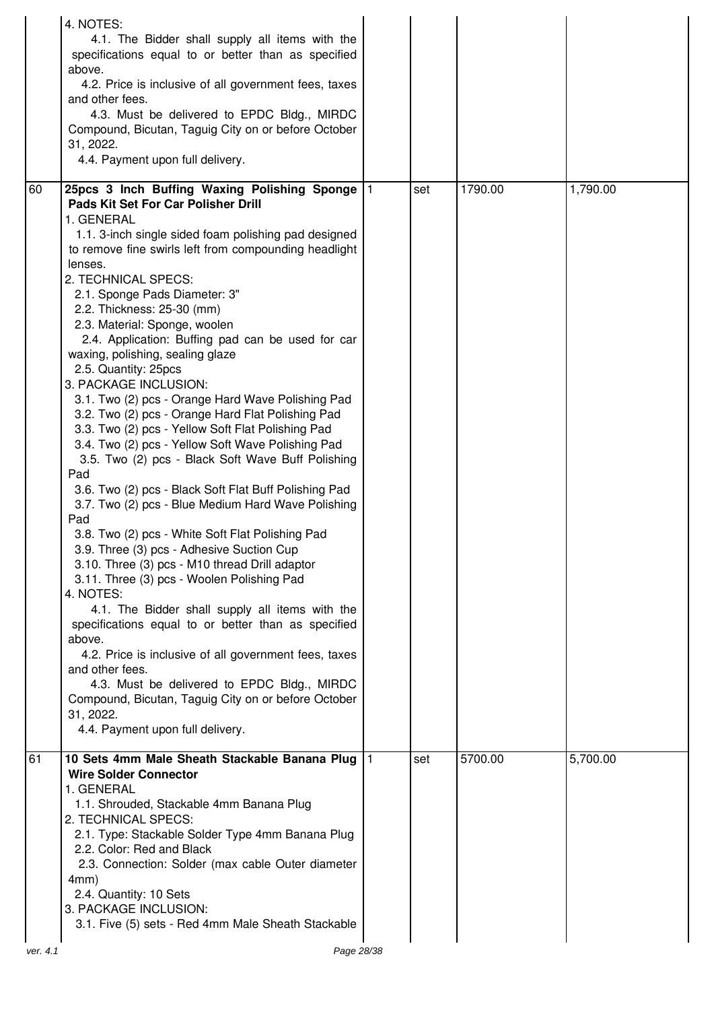|    | 4. NOTES:                                                                                                             |     |         |          |
|----|-----------------------------------------------------------------------------------------------------------------------|-----|---------|----------|
|    | 4.1. The Bidder shall supply all items with the<br>specifications equal to or better than as specified                |     |         |          |
|    | above.<br>4.2. Price is inclusive of all government fees, taxes<br>and other fees.                                    |     |         |          |
|    | 4.3. Must be delivered to EPDC Bldg., MIRDC<br>Compound, Bicutan, Taguig City on or before October                    |     |         |          |
|    | 31, 2022.<br>4.4. Payment upon full delivery.                                                                         |     |         |          |
| 60 | 25pcs 3 Inch Buffing Waxing Polishing Sponge   1                                                                      | set | 1790.00 | 1,790.00 |
|    | Pads Kit Set For Car Polisher Drill<br>1. GENERAL                                                                     |     |         |          |
|    | 1.1. 3-inch single sided foam polishing pad designed<br>to remove fine swirls left from compounding headlight         |     |         |          |
|    | lenses.<br>2. TECHNICAL SPECS:                                                                                        |     |         |          |
|    | 2.1. Sponge Pads Diameter: 3"<br>2.2. Thickness: 25-30 (mm)                                                           |     |         |          |
|    | 2.3. Material: Sponge, woolen<br>2.4. Application: Buffing pad can be used for car                                    |     |         |          |
|    | waxing, polishing, sealing glaze<br>2.5. Quantity: 25pcs                                                              |     |         |          |
|    | 3. PACKAGE INCLUSION:<br>3.1. Two (2) pcs - Orange Hard Wave Polishing Pad                                            |     |         |          |
|    | 3.2. Two (2) pcs - Orange Hard Flat Polishing Pad<br>3.3. Two (2) pcs - Yellow Soft Flat Polishing Pad                |     |         |          |
|    | 3.4. Two (2) pcs - Yellow Soft Wave Polishing Pad<br>3.5. Two (2) pcs - Black Soft Wave Buff Polishing<br>Pad         |     |         |          |
|    | 3.6. Two (2) pcs - Black Soft Flat Buff Polishing Pad<br>3.7. Two (2) pcs - Blue Medium Hard Wave Polishing<br>Pad    |     |         |          |
|    | 3.8. Two (2) pcs - White Soft Flat Polishing Pad<br>3.9. Three (3) pcs - Adhesive Suction Cup                         |     |         |          |
|    | 3.10. Three (3) pcs - M10 thread Drill adaptor<br>3.11. Three (3) pcs - Woolen Polishing Pad<br>4. NOTES:             |     |         |          |
|    | 4.1. The Bidder shall supply all items with the<br>specifications equal to or better than as specified                |     |         |          |
|    | above.<br>4.2. Price is inclusive of all government fees, taxes                                                       |     |         |          |
|    | and other fees.<br>4.3. Must be delivered to EPDC Bldg., MIRDC<br>Compound, Bicutan, Taguig City on or before October |     |         |          |
|    | 31, 2022.<br>4.4. Payment upon full delivery.                                                                         |     |         |          |
| 61 | 10 Sets 4mm Male Sheath Stackable Banana Plug                                                                         | set | 5700.00 | 5,700.00 |
|    | <b>Wire Solder Connector</b><br>1. GENERAL                                                                            |     |         |          |
|    | 1.1. Shrouded, Stackable 4mm Banana Plug<br>2. TECHNICAL SPECS:                                                       |     |         |          |
|    | 2.1. Type: Stackable Solder Type 4mm Banana Plug<br>2.2. Color: Red and Black                                         |     |         |          |
|    | 2.3. Connection: Solder (max cable Outer diameter<br>4mm)                                                             |     |         |          |
|    | 2.4. Quantity: 10 Sets<br>3. PACKAGE INCLUSION:                                                                       |     |         |          |
|    | 3.1. Five (5) sets - Red 4mm Male Sheath Stackable                                                                    |     |         |          |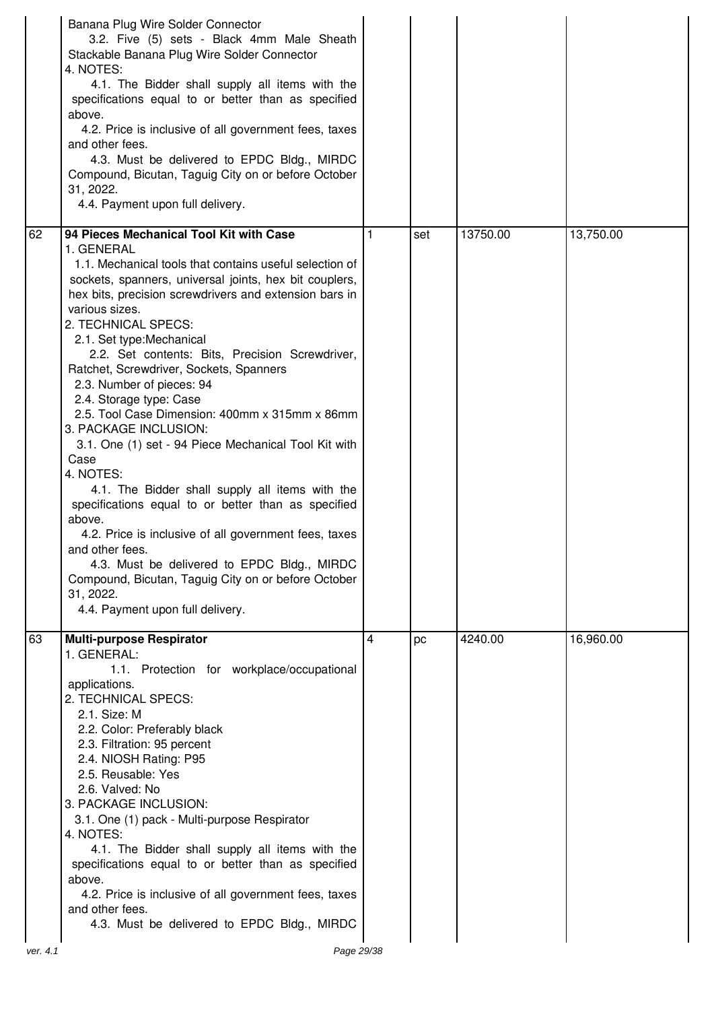|    | Banana Plug Wire Solder Connector<br>3.2. Five (5) sets - Black 4mm Male Sheath<br>Stackable Banana Plug Wire Solder Connector<br>4. NOTES:<br>4.1. The Bidder shall supply all items with the<br>specifications equal to or better than as specified<br>above.<br>4.2. Price is inclusive of all government fees, taxes<br>and other fees.<br>4.3. Must be delivered to EPDC Bldg., MIRDC<br>Compound, Bicutan, Taguig City on or before October<br>31, 2022.<br>4.4. Payment upon full delivery.                                                                                                                                                                                                                                                                                                                                                                                                                                                                              |   |     |          |           |
|----|---------------------------------------------------------------------------------------------------------------------------------------------------------------------------------------------------------------------------------------------------------------------------------------------------------------------------------------------------------------------------------------------------------------------------------------------------------------------------------------------------------------------------------------------------------------------------------------------------------------------------------------------------------------------------------------------------------------------------------------------------------------------------------------------------------------------------------------------------------------------------------------------------------------------------------------------------------------------------------|---|-----|----------|-----------|
| 62 | 94 Pieces Mechanical Tool Kit with Case<br>1. GENERAL<br>1.1. Mechanical tools that contains useful selection of<br>sockets, spanners, universal joints, hex bit couplers,<br>hex bits, precision screwdrivers and extension bars in<br>various sizes.<br>2. TECHNICAL SPECS:<br>2.1. Set type: Mechanical<br>2.2. Set contents: Bits, Precision Screwdriver,<br>Ratchet, Screwdriver, Sockets, Spanners<br>2.3. Number of pieces: 94<br>2.4. Storage type: Case<br>2.5. Tool Case Dimension: 400mm x 315mm x 86mm<br>3. PACKAGE INCLUSION:<br>3.1. One (1) set - 94 Piece Mechanical Tool Kit with<br>Case<br>4. NOTES:<br>4.1. The Bidder shall supply all items with the<br>specifications equal to or better than as specified<br>above.<br>4.2. Price is inclusive of all government fees, taxes<br>and other fees.<br>4.3. Must be delivered to EPDC Bldg., MIRDC<br>Compound, Bicutan, Taguig City on or before October<br>31, 2022.<br>4.4. Payment upon full delivery. | 1 | set | 13750.00 | 13,750.00 |
| 63 | <b>Multi-purpose Respirator</b><br>1. GENERAL:<br>1.1. Protection for workplace/occupational<br>applications.<br>2. TECHNICAL SPECS:<br>2.1. Size: M<br>2.2. Color: Preferably black<br>2.3. Filtration: 95 percent<br>2.4. NIOSH Rating: P95<br>2.5. Reusable: Yes<br>2.6. Valved: No<br>3. PACKAGE INCLUSION:<br>3.1. One (1) pack - Multi-purpose Respirator<br>4. NOTES:<br>4.1. The Bidder shall supply all items with the<br>specifications equal to or better than as specified<br>above.<br>4.2. Price is inclusive of all government fees, taxes<br>and other fees.<br>4.3. Must be delivered to EPDC Bldg., MIRDC                                                                                                                                                                                                                                                                                                                                                     | 4 | pc  | 4240.00  | 16,960.00 |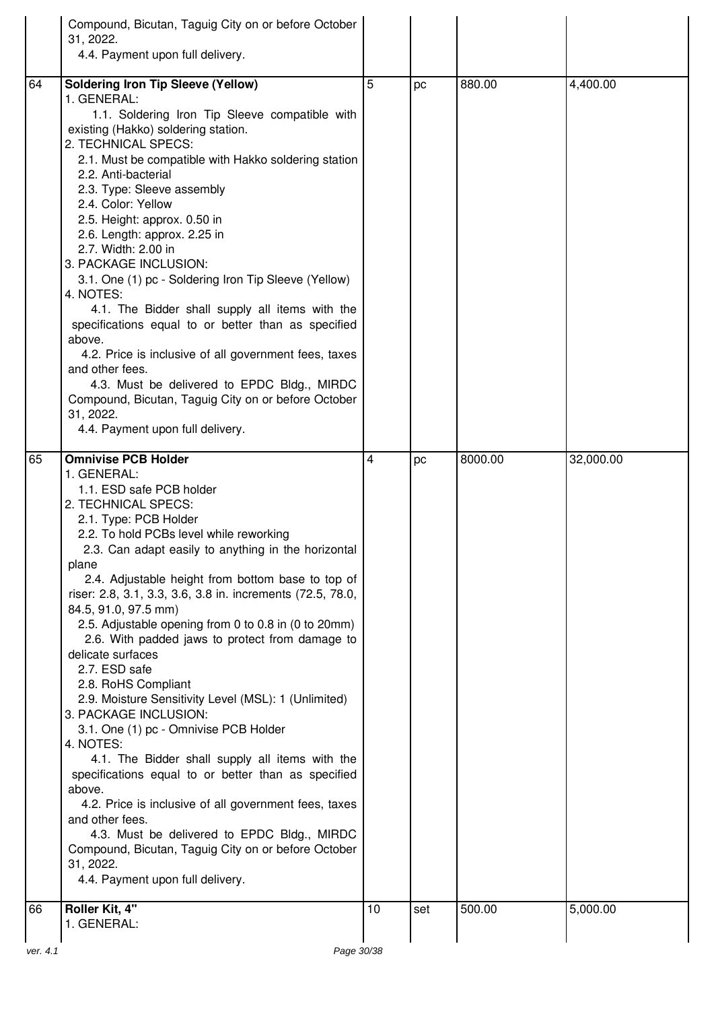|    | Compound, Bicutan, Taguig City on or before October<br>31, 2022.<br>4.4. Payment upon full delivery.                                                                                                                                                                                                                                                                                                                                                                                                                                                                                                                                                                                                                                                                                                                                                                                                                                                                                                                                              |    |     |         |           |
|----|---------------------------------------------------------------------------------------------------------------------------------------------------------------------------------------------------------------------------------------------------------------------------------------------------------------------------------------------------------------------------------------------------------------------------------------------------------------------------------------------------------------------------------------------------------------------------------------------------------------------------------------------------------------------------------------------------------------------------------------------------------------------------------------------------------------------------------------------------------------------------------------------------------------------------------------------------------------------------------------------------------------------------------------------------|----|-----|---------|-----------|
|    |                                                                                                                                                                                                                                                                                                                                                                                                                                                                                                                                                                                                                                                                                                                                                                                                                                                                                                                                                                                                                                                   |    |     |         |           |
| 64 | <b>Soldering Iron Tip Sleeve (Yellow)</b><br>1. GENERAL:<br>1.1. Soldering Iron Tip Sleeve compatible with<br>existing (Hakko) soldering station.<br>2. TECHNICAL SPECS:<br>2.1. Must be compatible with Hakko soldering station<br>2.2. Anti-bacterial<br>2.3. Type: Sleeve assembly<br>2.4. Color: Yellow<br>2.5. Height: approx. 0.50 in<br>2.6. Length: approx. 2.25 in<br>2.7. Width: 2.00 in<br>3. PACKAGE INCLUSION:<br>3.1. One (1) pc - Soldering Iron Tip Sleeve (Yellow)<br>4. NOTES:<br>4.1. The Bidder shall supply all items with the<br>specifications equal to or better than as specified<br>above.<br>4.2. Price is inclusive of all government fees, taxes<br>and other fees.<br>4.3. Must be delivered to EPDC Bldg., MIRDC<br>Compound, Bicutan, Taguig City on or before October<br>31, 2022.                                                                                                                                                                                                                               | 5  | рc  | 880.00  | 4,400.00  |
|    | 4.4. Payment upon full delivery.                                                                                                                                                                                                                                                                                                                                                                                                                                                                                                                                                                                                                                                                                                                                                                                                                                                                                                                                                                                                                  |    |     |         |           |
| 65 | <b>Omnivise PCB Holder</b><br>1. GENERAL:<br>1.1. ESD safe PCB holder<br>2. TECHNICAL SPECS:<br>2.1. Type: PCB Holder<br>2.2. To hold PCBs level while reworking<br>2.3. Can adapt easily to anything in the horizontal<br>plane<br>2.4. Adjustable height from bottom base to top of<br>riser: 2.8, 3.1, 3.3, 3.6, 3.8 in. increments (72.5, 78.0,<br>84.5, 91.0, 97.5 mm)<br>2.5. Adjustable opening from 0 to 0.8 in (0 to 20mm)<br>2.6. With padded jaws to protect from damage to<br>delicate surfaces<br>2.7. ESD safe<br>2.8. RoHS Compliant<br>2.9. Moisture Sensitivity Level (MSL): 1 (Unlimited)<br>3. PACKAGE INCLUSION:<br>3.1. One (1) pc - Omnivise PCB Holder<br>4. NOTES:<br>4.1. The Bidder shall supply all items with the<br>specifications equal to or better than as specified<br>above.<br>4.2. Price is inclusive of all government fees, taxes<br>and other fees.<br>4.3. Must be delivered to EPDC Bldg., MIRDC<br>Compound, Bicutan, Taguig City on or before October<br>31, 2022.<br>4.4. Payment upon full delivery. | 4  | pc  | 8000.00 | 32,000.00 |
| 66 | Roller Kit, 4"                                                                                                                                                                                                                                                                                                                                                                                                                                                                                                                                                                                                                                                                                                                                                                                                                                                                                                                                                                                                                                    | 10 | set | 500.00  | 5,000.00  |
|    | 1. GENERAL:                                                                                                                                                                                                                                                                                                                                                                                                                                                                                                                                                                                                                                                                                                                                                                                                                                                                                                                                                                                                                                       |    |     |         |           |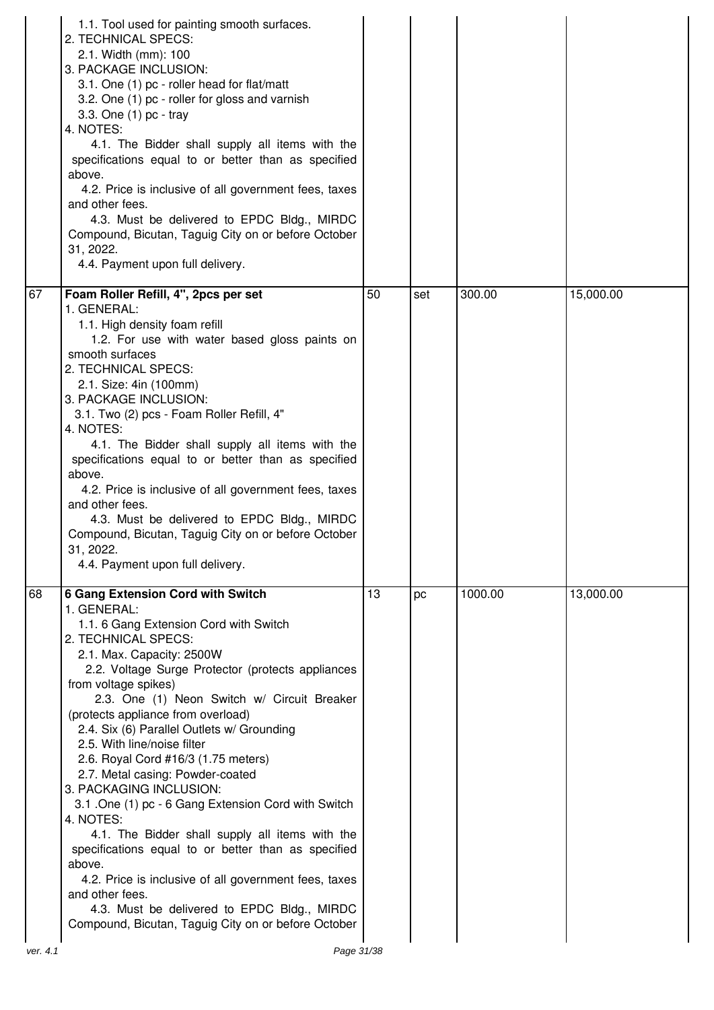|    | 1.1. Tool used for painting smooth surfaces.<br>2. TECHNICAL SPECS:<br>2.1. Width (mm): 100<br>3. PACKAGE INCLUSION:<br>3.1. One (1) pc - roller head for flat/matt<br>3.2. One (1) pc - roller for gloss and varnish<br>3.3. One (1) pc - tray<br>4. NOTES:<br>4.1. The Bidder shall supply all items with the<br>specifications equal to or better than as specified<br>above.<br>4.2. Price is inclusive of all government fees, taxes<br>and other fees.<br>4.3. Must be delivered to EPDC Bldg., MIRDC<br>Compound, Bicutan, Taguig City on or before October<br>31, 2022.<br>4.4. Payment upon full delivery.                                                                                                                                                                                                                                                                  |    |     |         |           |
|----|--------------------------------------------------------------------------------------------------------------------------------------------------------------------------------------------------------------------------------------------------------------------------------------------------------------------------------------------------------------------------------------------------------------------------------------------------------------------------------------------------------------------------------------------------------------------------------------------------------------------------------------------------------------------------------------------------------------------------------------------------------------------------------------------------------------------------------------------------------------------------------------|----|-----|---------|-----------|
| 67 | Foam Roller Refill, 4", 2pcs per set<br>1. GENERAL:<br>1.1. High density foam refill<br>1.2. For use with water based gloss paints on<br>smooth surfaces<br>2. TECHNICAL SPECS:<br>2.1. Size: 4in (100mm)<br>3. PACKAGE INCLUSION:<br>3.1. Two (2) pcs - Foam Roller Refill, 4"<br>4. NOTES:<br>4.1. The Bidder shall supply all items with the<br>specifications equal to or better than as specified<br>above.<br>4.2. Price is inclusive of all government fees, taxes<br>and other fees.<br>4.3. Must be delivered to EPDC Bldg., MIRDC<br>Compound, Bicutan, Taguig City on or before October<br>31, 2022.<br>4.4. Payment upon full delivery.                                                                                                                                                                                                                                  | 50 | set | 300.00  | 15,000.00 |
| 68 | <b>6 Gang Extension Cord with Switch</b><br>1. GENERAL:<br>1.1. 6 Gang Extension Cord with Switch<br>2. TECHNICAL SPECS:<br>2.1. Max. Capacity: 2500W<br>2.2. Voltage Surge Protector (protects appliances<br>from voltage spikes)<br>2.3. One (1) Neon Switch w/ Circuit Breaker<br>(protects appliance from overload)<br>2.4. Six (6) Parallel Outlets w/ Grounding<br>2.5. With line/noise filter<br>2.6. Royal Cord #16/3 (1.75 meters)<br>2.7. Metal casing: Powder-coated<br>3. PACKAGING INCLUSION:<br>3.1 .One (1) pc - 6 Gang Extension Cord with Switch<br>4. NOTES:<br>4.1. The Bidder shall supply all items with the<br>specifications equal to or better than as specified<br>above.<br>4.2. Price is inclusive of all government fees, taxes<br>and other fees.<br>4.3. Must be delivered to EPDC Bldg., MIRDC<br>Compound, Bicutan, Taguig City on or before October | 13 | pc  | 1000.00 | 13,000.00 |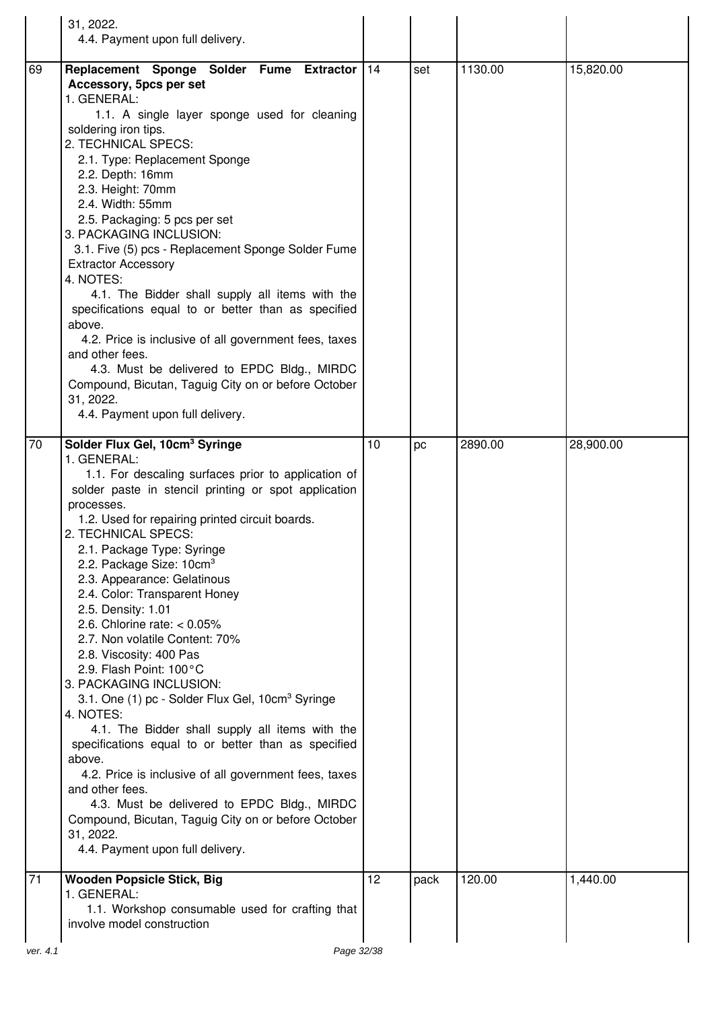|          | 31, 2022.                                                                                                                                                                                                                                                                                                                                                                                                                                                                                                                                                                                                                                                                                                                                                                                                                                                                                                                                                                                                             |    |      |         |           |
|----------|-----------------------------------------------------------------------------------------------------------------------------------------------------------------------------------------------------------------------------------------------------------------------------------------------------------------------------------------------------------------------------------------------------------------------------------------------------------------------------------------------------------------------------------------------------------------------------------------------------------------------------------------------------------------------------------------------------------------------------------------------------------------------------------------------------------------------------------------------------------------------------------------------------------------------------------------------------------------------------------------------------------------------|----|------|---------|-----------|
|          | 4.4. Payment upon full delivery.                                                                                                                                                                                                                                                                                                                                                                                                                                                                                                                                                                                                                                                                                                                                                                                                                                                                                                                                                                                      |    |      |         |           |
| 69       | Replacement Sponge Solder Fume Extractor   14<br>Accessory, 5pcs per set<br>1. GENERAL:<br>1.1. A single layer sponge used for cleaning<br>soldering iron tips.<br>2. TECHNICAL SPECS:<br>2.1. Type: Replacement Sponge<br>2.2. Depth: 16mm<br>2.3. Height: 70mm<br>2.4. Width: 55mm<br>2.5. Packaging: 5 pcs per set<br>3. PACKAGING INCLUSION:<br>3.1. Five (5) pcs - Replacement Sponge Solder Fume<br><b>Extractor Accessory</b><br>4. NOTES:<br>4.1. The Bidder shall supply all items with the<br>specifications equal to or better than as specified<br>above.<br>4.2. Price is inclusive of all government fees, taxes<br>and other fees.<br>4.3. Must be delivered to EPDC Bldg., MIRDC<br>Compound, Bicutan, Taguig City on or before October<br>31, 2022.<br>4.4. Payment upon full delivery.                                                                                                                                                                                                              |    | set  | 1130.00 | 15,820.00 |
| 70       | Solder Flux Gel, 10cm <sup>3</sup> Syringe<br>1. GENERAL:<br>1.1. For descaling surfaces prior to application of<br>solder paste in stencil printing or spot application<br>processes.<br>1.2. Used for repairing printed circuit boards.<br>2. TECHNICAL SPECS:<br>2.1. Package Type: Syringe<br>2.2. Package Size: 10cm <sup>3</sup><br>2.3. Appearance: Gelatinous<br>2.4. Color: Transparent Honey<br>2.5. Density: 1.01<br>2.6. Chlorine rate: $< 0.05\%$<br>2.7. Non volatile Content: 70%<br>2.8. Viscosity: 400 Pas<br>2.9. Flash Point: 100°C<br>3. PACKAGING INCLUSION:<br>3.1. One (1) pc - Solder Flux Gel, 10cm <sup>3</sup> Syringe<br>4. NOTES:<br>4.1. The Bidder shall supply all items with the<br>specifications equal to or better than as specified<br>above.<br>4.2. Price is inclusive of all government fees, taxes<br>and other fees.<br>4.3. Must be delivered to EPDC Bldg., MIRDC<br>Compound, Bicutan, Taguig City on or before October<br>31, 2022.<br>4.4. Payment upon full delivery. | 10 | pc   | 2890.00 | 28,900.00 |
| 71       | <b>Wooden Popsicle Stick, Big</b><br>1. GENERAL:<br>1.1. Workshop consumable used for crafting that<br>involve model construction                                                                                                                                                                                                                                                                                                                                                                                                                                                                                                                                                                                                                                                                                                                                                                                                                                                                                     | 12 | pack | 120.00  | 1,440.00  |
|          |                                                                                                                                                                                                                                                                                                                                                                                                                                                                                                                                                                                                                                                                                                                                                                                                                                                                                                                                                                                                                       |    |      |         |           |
| ver. 4.1 | Page 32/38                                                                                                                                                                                                                                                                                                                                                                                                                                                                                                                                                                                                                                                                                                                                                                                                                                                                                                                                                                                                            |    |      |         |           |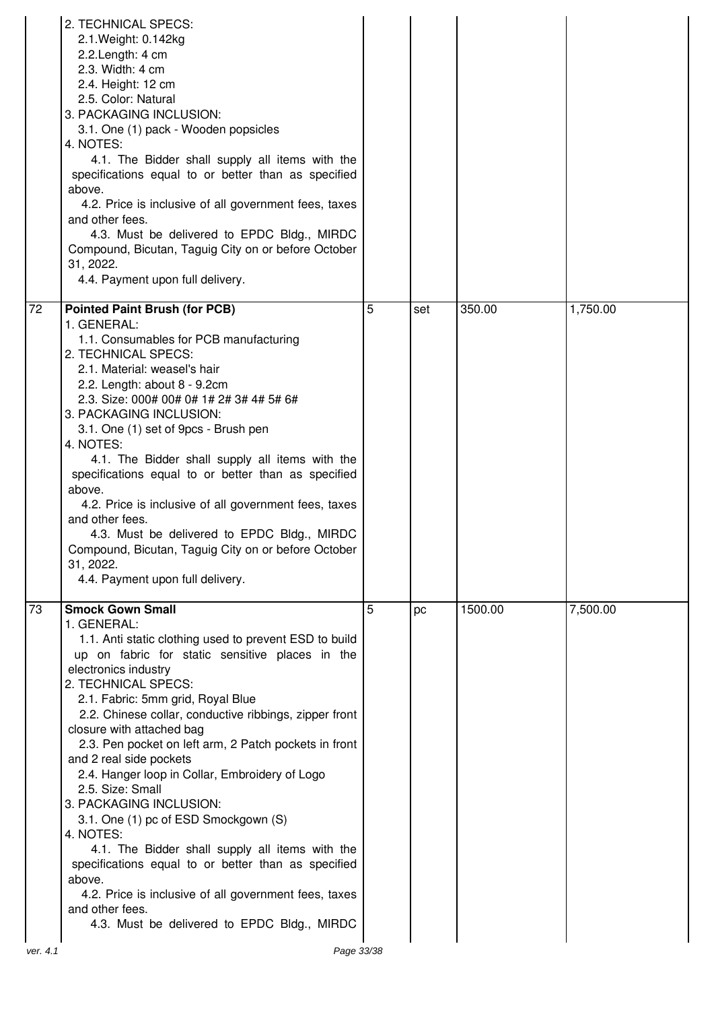|                | 2. TECHNICAL SPECS:<br>2.1. Weight: 0.142kg<br>2.2. Length: 4 cm<br>2.3. Width: 4 cm<br>2.4. Height: 12 cm<br>2.5. Color: Natural<br>3. PACKAGING INCLUSION:<br>3.1. One (1) pack - Wooden popsicles<br>4. NOTES:<br>4.1. The Bidder shall supply all items with the<br>specifications equal to or better than as specified<br>above.<br>4.2. Price is inclusive of all government fees, taxes<br>and other fees.<br>4.3. Must be delivered to EPDC Bldg., MIRDC<br>Compound, Bicutan, Taguig City on or before October<br>31, 2022.<br>4.4. Payment upon full delivery.                                                                                                                                                                                                                                                              |   |     |         |          |
|----------------|---------------------------------------------------------------------------------------------------------------------------------------------------------------------------------------------------------------------------------------------------------------------------------------------------------------------------------------------------------------------------------------------------------------------------------------------------------------------------------------------------------------------------------------------------------------------------------------------------------------------------------------------------------------------------------------------------------------------------------------------------------------------------------------------------------------------------------------|---|-----|---------|----------|
| 72             | <b>Pointed Paint Brush (for PCB)</b><br>1. GENERAL:<br>1.1. Consumables for PCB manufacturing<br>2. TECHNICAL SPECS:<br>2.1. Material: weasel's hair<br>2.2. Length: about 8 - 9.2cm<br>2.3. Size: 000# 00# 0# 1# 2# 3# 4# 5# 6#<br>3. PACKAGING INCLUSION:<br>3.1. One (1) set of 9pcs - Brush pen<br>4. NOTES:<br>4.1. The Bidder shall supply all items with the<br>specifications equal to or better than as specified<br>above.<br>4.2. Price is inclusive of all government fees, taxes<br>and other fees.<br>4.3. Must be delivered to EPDC Bldg., MIRDC<br>Compound, Bicutan, Taguig City on or before October<br>31, 2022.<br>4.4. Payment upon full delivery.                                                                                                                                                               | 5 | set | 350.00  | 1,750.00 |
| 73<br>ver. 4.1 | <b>Smock Gown Small</b><br>1. GENERAL:<br>1.1. Anti static clothing used to prevent ESD to build<br>up on fabric for static sensitive places in the<br>electronics industry<br>2. TECHNICAL SPECS:<br>2.1. Fabric: 5mm grid, Royal Blue<br>2.2. Chinese collar, conductive ribbings, zipper front<br>closure with attached bag<br>2.3. Pen pocket on left arm, 2 Patch pockets in front<br>and 2 real side pockets<br>2.4. Hanger loop in Collar, Embroidery of Logo<br>2.5. Size: Small<br>3. PACKAGING INCLUSION:<br>3.1. One (1) pc of ESD Smockgown (S)<br>4. NOTES:<br>4.1. The Bidder shall supply all items with the<br>specifications equal to or better than as specified<br>above.<br>4.2. Price is inclusive of all government fees, taxes<br>and other fees.<br>4.3. Must be delivered to EPDC Bldg., MIRDC<br>Page 33/38 | 5 | pc  | 1500.00 | 7,500.00 |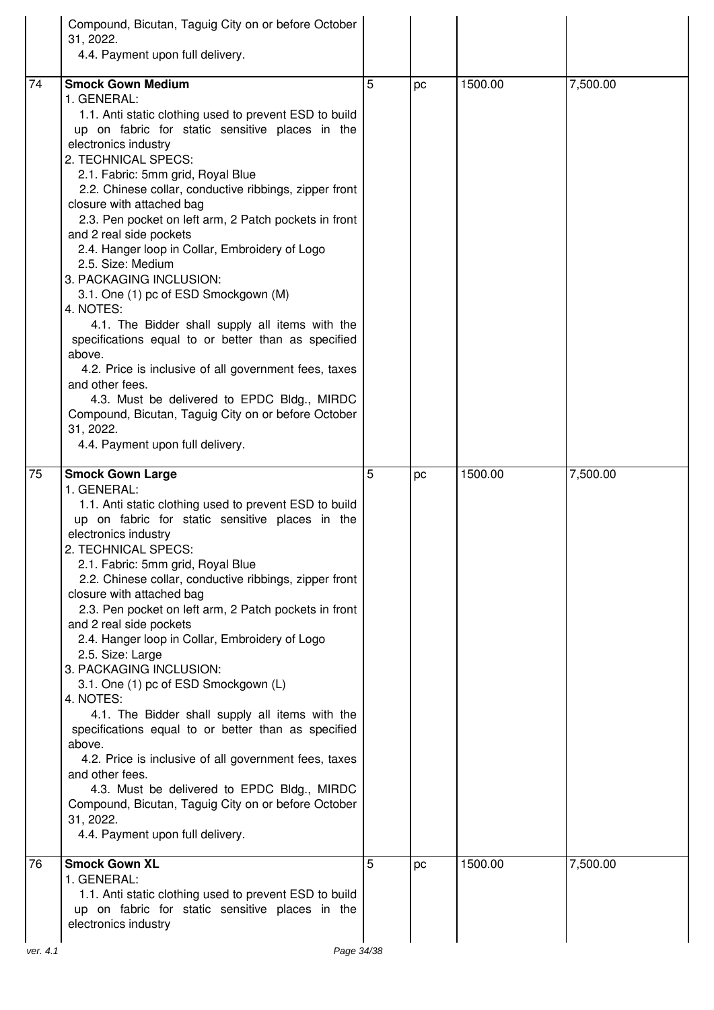| Compound, Bicutan, Taguig City on or before October<br>31, 2022.<br>4.4. Payment upon full delivery.                                                                                                                                                                                                                                                                                                                                                                                                                                                                                                                                                                                                                                                                                                                                                                                                                                                                    |  |
|-------------------------------------------------------------------------------------------------------------------------------------------------------------------------------------------------------------------------------------------------------------------------------------------------------------------------------------------------------------------------------------------------------------------------------------------------------------------------------------------------------------------------------------------------------------------------------------------------------------------------------------------------------------------------------------------------------------------------------------------------------------------------------------------------------------------------------------------------------------------------------------------------------------------------------------------------------------------------|--|
| <b>Smock Gown Medium</b><br>74<br>5<br>1500.00<br>7,500.00<br>pc<br>1. GENERAL:<br>1.1. Anti static clothing used to prevent ESD to build<br>up on fabric for static sensitive places in the<br>electronics industry<br>2. TECHNICAL SPECS:<br>2.1. Fabric: 5mm grid, Royal Blue<br>2.2. Chinese collar, conductive ribbings, zipper front<br>closure with attached bag<br>2.3. Pen pocket on left arm, 2 Patch pockets in front<br>and 2 real side pockets<br>2.4. Hanger loop in Collar, Embroidery of Logo<br>2.5. Size: Medium<br>3. PACKAGING INCLUSION:<br>3.1. One (1) pc of ESD Smockgown (M)<br>4. NOTES:<br>4.1. The Bidder shall supply all items with the<br>specifications equal to or better than as specified<br>above.<br>4.2. Price is inclusive of all government fees, taxes<br>and other fees.<br>4.3. Must be delivered to EPDC Bldg., MIRDC                                                                                                       |  |
| Compound, Bicutan, Taguig City on or before October<br>31, 2022.<br>4.4. Payment upon full delivery.                                                                                                                                                                                                                                                                                                                                                                                                                                                                                                                                                                                                                                                                                                                                                                                                                                                                    |  |
| 7,500.00<br><b>Smock Gown Large</b><br>5<br>1500.00<br>75<br>pc<br>1. GENERAL:<br>1.1. Anti static clothing used to prevent ESD to build<br>up on fabric for static sensitive places in the<br>electronics industry<br>2. TECHNICAL SPECS:<br>2.1. Fabric: 5mm grid, Royal Blue<br>2.2. Chinese collar, conductive ribbings, zipper front<br>closure with attached bag<br>2.3. Pen pocket on left arm, 2 Patch pockets in front<br>and 2 real side pockets<br>2.4. Hanger loop in Collar, Embroidery of Logo<br>2.5. Size: Large<br>3. PACKAGING INCLUSION:<br>3.1. One (1) pc of ESD Smockgown (L)<br>4. NOTES:<br>4.1. The Bidder shall supply all items with the<br>specifications equal to or better than as specified<br>above.<br>4.2. Price is inclusive of all government fees, taxes<br>and other fees.<br>4.3. Must be delivered to EPDC Bldg., MIRDC<br>Compound, Bicutan, Taguig City on or before October<br>31, 2022.<br>4.4. Payment upon full delivery. |  |
| <b>Smock Gown XL</b><br>5<br>76<br>1500.00<br>7,500.00<br>pc<br>1. GENERAL:<br>1.1. Anti static clothing used to prevent ESD to build<br>up on fabric for static sensitive places in the<br>electronics industry                                                                                                                                                                                                                                                                                                                                                                                                                                                                                                                                                                                                                                                                                                                                                        |  |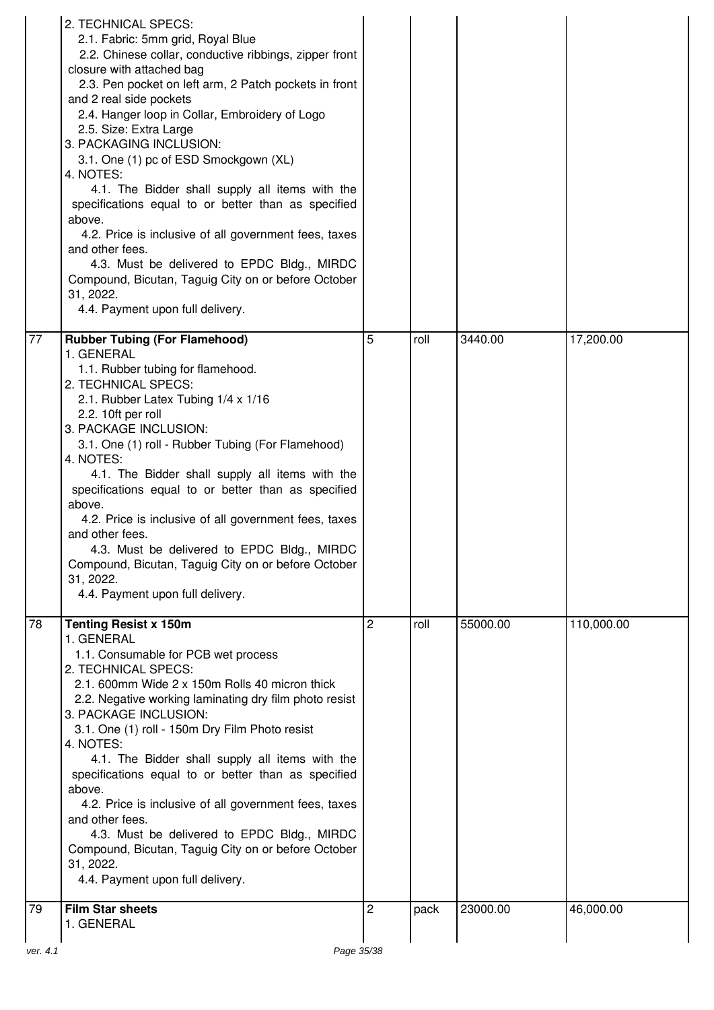|                 | 2. TECHNICAL SPECS:<br>2.1. Fabric: 5mm grid, Royal Blue<br>2.2. Chinese collar, conductive ribbings, zipper front<br>closure with attached bag<br>2.3. Pen pocket on left arm, 2 Patch pockets in front<br>and 2 real side pockets<br>2.4. Hanger loop in Collar, Embroidery of Logo<br>2.5. Size: Extra Large<br>3. PACKAGING INCLUSION:<br>3.1. One (1) pc of ESD Smockgown (XL)<br>4. NOTES:<br>4.1. The Bidder shall supply all items with the<br>specifications equal to or better than as specified<br>above.<br>4.2. Price is inclusive of all government fees, taxes<br>and other fees.<br>4.3. Must be delivered to EPDC Bldg., MIRDC<br>Compound, Bicutan, Taguig City on or before October<br>31, 2022.<br>4.4. Payment upon full delivery. |   |      |          |            |
|-----------------|---------------------------------------------------------------------------------------------------------------------------------------------------------------------------------------------------------------------------------------------------------------------------------------------------------------------------------------------------------------------------------------------------------------------------------------------------------------------------------------------------------------------------------------------------------------------------------------------------------------------------------------------------------------------------------------------------------------------------------------------------------|---|------|----------|------------|
| $\overline{77}$ | <b>Rubber Tubing (For Flamehood)</b><br>1. GENERAL<br>1.1. Rubber tubing for flamehood.<br>2. TECHNICAL SPECS:<br>2.1. Rubber Latex Tubing 1/4 x 1/16<br>2.2. 10ft per roll<br>3. PACKAGE INCLUSION:<br>3.1. One (1) roll - Rubber Tubing (For Flamehood)<br>4. NOTES:<br>4.1. The Bidder shall supply all items with the<br>specifications equal to or better than as specified<br>above.<br>4.2. Price is inclusive of all government fees, taxes<br>and other fees.<br>4.3. Must be delivered to EPDC Bldg., MIRDC<br>Compound, Bicutan, Taguig City on or before October<br>31, 2022.<br>4.4. Payment upon full delivery.                                                                                                                           | 5 | roll | 3440.00  | 17,200.00  |
| 78              | <b>Tenting Resist x 150m</b><br>1. GENERAL<br>1.1. Consumable for PCB wet process<br>2. TECHNICAL SPECS:<br>2.1. 600mm Wide 2 x 150m Rolls 40 micron thick<br>2.2. Negative working laminating dry film photo resist<br>3. PACKAGE INCLUSION:<br>3.1. One (1) roll - 150m Dry Film Photo resist<br>4. NOTES:<br>4.1. The Bidder shall supply all items with the<br>specifications equal to or better than as specified<br>above.<br>4.2. Price is inclusive of all government fees, taxes<br>and other fees.<br>4.3. Must be delivered to EPDC Bldg., MIRDC<br>Compound, Bicutan, Taguig City on or before October<br>31, 2022.<br>4.4. Payment upon full delivery.                                                                                     | 2 | roll | 55000.00 | 110,000.00 |
| $\overline{79}$ | <b>Film Star sheets</b><br>1. GENERAL                                                                                                                                                                                                                                                                                                                                                                                                                                                                                                                                                                                                                                                                                                                   | 2 | pack | 23000.00 | 46,000.00  |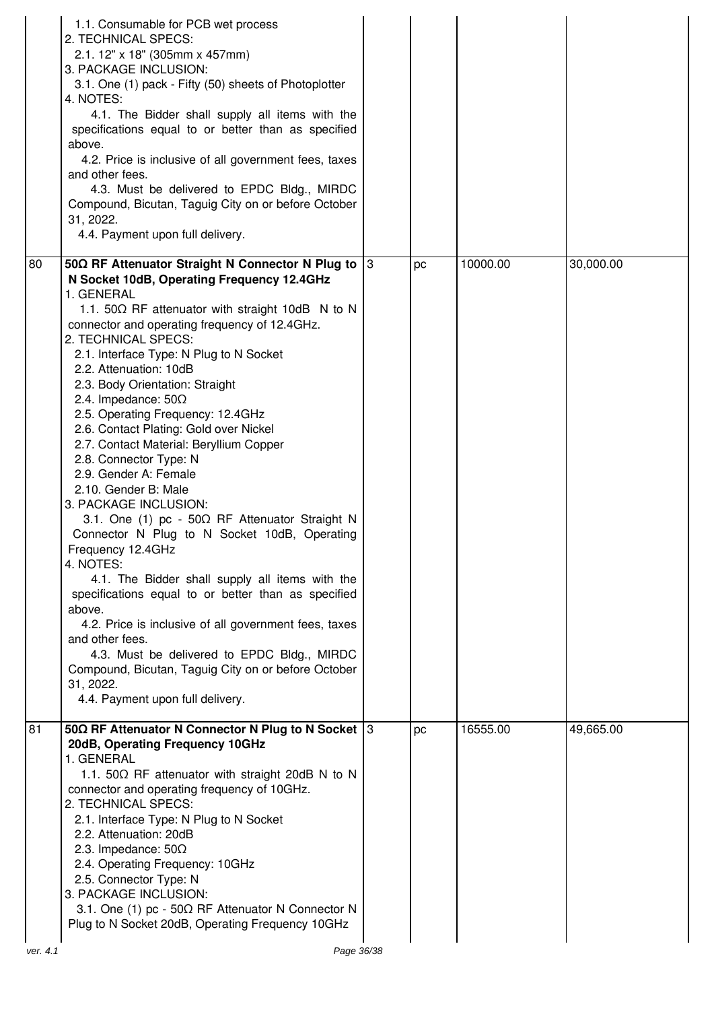|    | 1.1. Consumable for PCB wet process<br>2. TECHNICAL SPECS:<br>2.1. 12" x 18" (305mm x 457mm)<br>3. PACKAGE INCLUSION:<br>3.1. One (1) pack - Fifty (50) sheets of Photoplotter<br>4. NOTES:<br>4.1. The Bidder shall supply all items with the<br>specifications equal to or better than as specified<br>above.<br>4.2. Price is inclusive of all government fees, taxes<br>and other fees.<br>4.3. Must be delivered to EPDC Bldg., MIRDC<br>Compound, Bicutan, Taguig City on or before October<br>31, 2022.<br>4.4. Payment upon full delivery.                                                                                                                                                                                                                                                                                                                                                                                                                                                                                                                                                              |    |    |          |           |
|----|-----------------------------------------------------------------------------------------------------------------------------------------------------------------------------------------------------------------------------------------------------------------------------------------------------------------------------------------------------------------------------------------------------------------------------------------------------------------------------------------------------------------------------------------------------------------------------------------------------------------------------------------------------------------------------------------------------------------------------------------------------------------------------------------------------------------------------------------------------------------------------------------------------------------------------------------------------------------------------------------------------------------------------------------------------------------------------------------------------------------|----|----|----------|-----------|
| 80 | 50Ω RF Attenuator Straight N Connector N Plug to<br>N Socket 10dB, Operating Frequency 12.4GHz<br>1. GENERAL<br>1.1. 50Ω RF attenuator with straight 10dB N to N<br>connector and operating frequency of 12.4GHz.<br>2. TECHNICAL SPECS:<br>2.1. Interface Type: N Plug to N Socket<br>2.2. Attenuation: 10dB<br>2.3. Body Orientation: Straight<br>2.4. Impedance: $50\Omega$<br>2.5. Operating Frequency: 12.4GHz<br>2.6. Contact Plating: Gold over Nickel<br>2.7. Contact Material: Beryllium Copper<br>2.8. Connector Type: N<br>2.9. Gender A: Female<br>2.10. Gender B: Male<br>3. PACKAGE INCLUSION:<br>3.1. One (1) pc - 50 $\Omega$ RF Attenuator Straight N<br>Connector N Plug to N Socket 10dB, Operating<br>Frequency 12.4GHz<br>4. NOTES:<br>4.1. The Bidder shall supply all items with the<br>specifications equal to or better than as specified<br>above.<br>4.2. Price is inclusive of all government fees, taxes<br>and other fees.<br>4.3. Must be delivered to EPDC Bldg., MIRDC<br>Compound, Bicutan, Taguig City on or before October<br>31, 2022.<br>4.4. Payment upon full delivery. | 13 | pc | 10000.00 | 30,000.00 |
| 81 | 50 $\Omega$ RF Attenuator N Connector N Plug to N Socket 3<br>20dB, Operating Frequency 10GHz<br>1. GENERAL<br>1.1. 50 $\Omega$ RF attenuator with straight 20dB N to N<br>connector and operating frequency of 10GHz.<br>2. TECHNICAL SPECS:<br>2.1. Interface Type: N Plug to N Socket<br>2.2. Attenuation: 20dB<br>2.3. Impedance: $50\Omega$<br>2.4. Operating Frequency: 10GHz<br>2.5. Connector Type: N<br>3. PACKAGE INCLUSION:<br>3.1. One (1) pc - 50 $\Omega$ RF Attenuator N Connector N<br>Plug to N Socket 20dB, Operating Frequency 10GHz                                                                                                                                                                                                                                                                                                                                                                                                                                                                                                                                                         |    | pc | 16555.00 | 49,665.00 |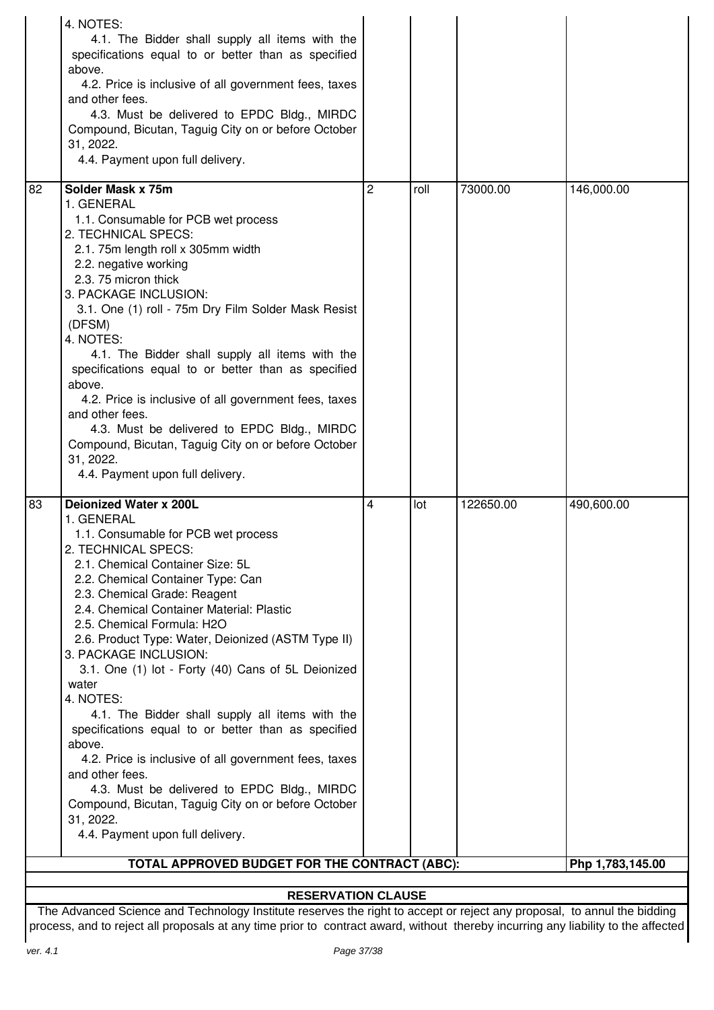| 4. NOTES:<br>4.1. The Bidder shall supply all items with the<br>specifications equal to or better than as specified<br>above.<br>4.2. Price is inclusive of all government fees, taxes<br>and other fees.<br>4.3. Must be delivered to EPDC Bldg., MIRDC<br>Compound, Bicutan, Taguig City on or before October<br>31, 2022.<br>4.4. Payment upon full delivery.                                                                                                                                                                                                                                                                                                                                                                                                                                               |   |      |           |            |  |  |  |
|----------------------------------------------------------------------------------------------------------------------------------------------------------------------------------------------------------------------------------------------------------------------------------------------------------------------------------------------------------------------------------------------------------------------------------------------------------------------------------------------------------------------------------------------------------------------------------------------------------------------------------------------------------------------------------------------------------------------------------------------------------------------------------------------------------------|---|------|-----------|------------|--|--|--|
| Solder Mask x 75m<br>82<br>1. GENERAL<br>1.1. Consumable for PCB wet process<br>2. TECHNICAL SPECS:<br>2.1. 75m length roll x 305mm width<br>2.2. negative working<br>2.3. 75 micron thick<br>3. PACKAGE INCLUSION:<br>3.1. One (1) roll - 75m Dry Film Solder Mask Resist<br>(DFSM)<br>4. NOTES:<br>4.1. The Bidder shall supply all items with the<br>specifications equal to or better than as specified<br>above.<br>4.2. Price is inclusive of all government fees, taxes<br>and other fees.<br>4.3. Must be delivered to EPDC Bldg., MIRDC<br>Compound, Bicutan, Taguig City on or before October<br>31, 2022.<br>4.4. Payment upon full delivery.                                                                                                                                                       | 2 | roll | 73000.00  | 146,000.00 |  |  |  |
| Deionized Water x 200L<br>83<br>1. GENERAL<br>1.1. Consumable for PCB wet process<br>2. TECHNICAL SPECS:<br>2.1. Chemical Container Size: 5L<br>2.2. Chemical Container Type: Can<br>2.3. Chemical Grade: Reagent<br>2.4. Chemical Container Material: Plastic<br>2.5. Chemical Formula: H2O<br>2.6. Product Type: Water, Deionized (ASTM Type II)<br>3. PACKAGE INCLUSION:<br>3.1. One (1) lot - Forty (40) Cans of 5L Deionized<br>water<br>4. NOTES:<br>4.1. The Bidder shall supply all items with the<br>specifications equal to or better than as specified<br>above.<br>4.2. Price is inclusive of all government fees, taxes<br>and other fees.<br>4.3. Must be delivered to EPDC Bldg., MIRDC<br>Compound, Bicutan, Taguig City on or before October<br>31, 2022.<br>4.4. Payment upon full delivery. | 4 | lot  | 122650.00 | 490,600.00 |  |  |  |
| TOTAL APPROVED BUDGET FOR THE CONTRACT (ABC):<br>Php 1,783,145.00                                                                                                                                                                                                                                                                                                                                                                                                                                                                                                                                                                                                                                                                                                                                              |   |      |           |            |  |  |  |
| <b>RESERVATION CLAUSE</b>                                                                                                                                                                                                                                                                                                                                                                                                                                                                                                                                                                                                                                                                                                                                                                                      |   |      |           |            |  |  |  |

The Advanced Science and Technology Institute reserves the right to accept or reject any proposal, to annul the bidding process, and to reject all proposals at any time prior to contract award, without thereby incurring any liability to the affected